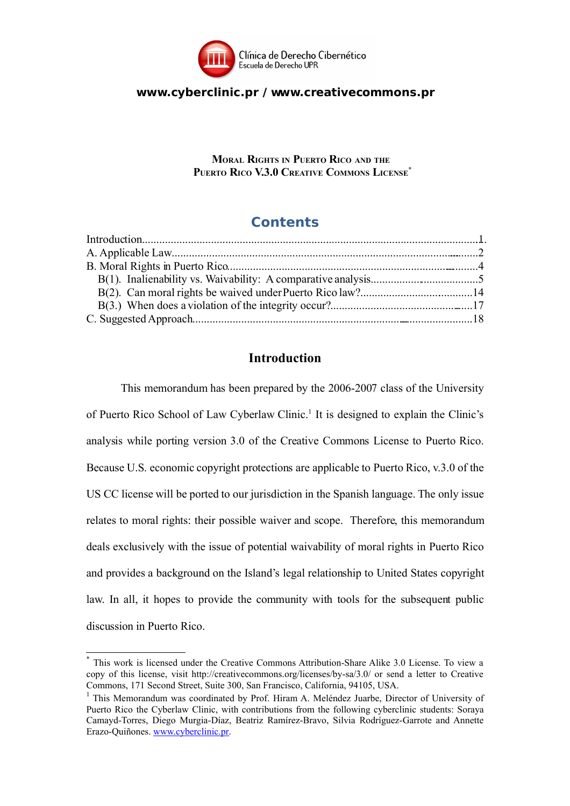

## **www.cyberclinic.pr / www.creativecommons.pr**

**MORAL RIGHTS IN PUERTO RICO AND THE PUERTO RICO V.3.0 CREATIVE COMMONS LICENSE [\\*](#page-0-0)**

# **Contents**

# **Introduction**

This memorandum has been prepared by the 2006-2007 class of the University of Puerto Rico School of Law Cyberlaw Clinic.<sup>[1](#page-0-1)</sup> It is designed to explain the Clinic's analysis while porting version 3.0 of the Creative Commons License to Puerto Rico. Because U.S. economic copyright protections are applicable to Puerto Rico, v.3.0 of the US CC license will be ported to our jurisdiction in the Spanish language. The only issue relates to moral rights: their possible waiver and scope. Therefore, this memorandum deals exclusively with the issue of potential waivability of moral rights in Puerto Rico and provides a background on the Island's legal relationship to United States copyright law. In all, it hopes to provide the community with tools for the subsequent public discussion in Puerto Rico.

<span id="page-0-0"></span><sup>\*</sup> This work is licensed under the Creative Commons Attribution-Share Alike 3.0 License. To view a copy of this license, visit http://creativecommons.org/licenses/by-sa/3.0/ or send a letter to Creative Commons, 171 Second Street, Suite 300, San Francisco, California, 94105, USA.

<span id="page-0-1"></span><sup>&</sup>lt;sup>1</sup> This Memorandum was coordinated by Prof. Hiram A. Meléndez Juarbe, Director of University of Puerto Rico the Cyberlaw Clinic, with contributions from the following cyberclinic students: Soraya Camayd-Torres, Diego Murgia-Díaz, Beatriz Ramírez-Bravo, Silvia Rodríguez-Garrote and Annette Erazo-Quiñones. [www.cyberclinic.pr.](http://www.cyberclinic.pr/)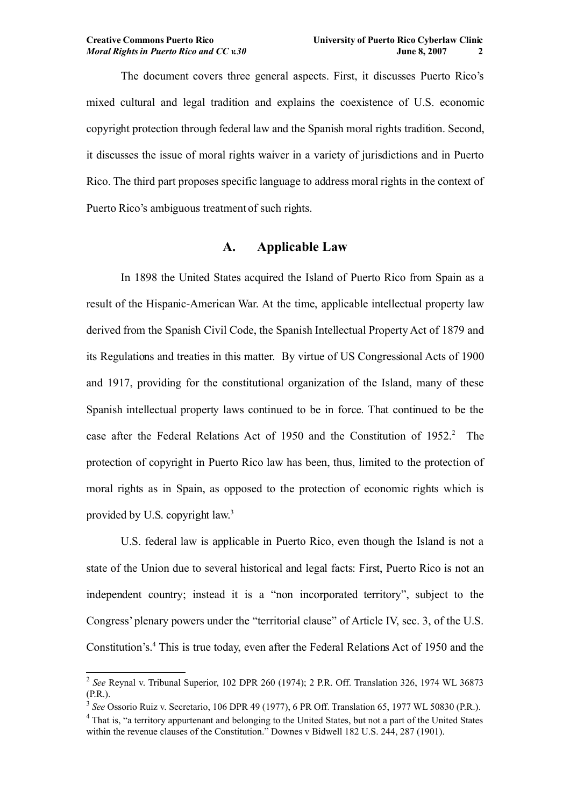The document covers three general aspects. First, it discusses Puerto Rico's mixed cultural and legal tradition and explains the coexistence of U.S. economic copyright protection through federal law and the Spanish moral rights tradition. Second, it discusses the issue of moral rights waiver in a variety of jurisdictions and in Puerto Rico. The third part proposes specific language to address moral rights in the context of Puerto Rico's ambiguous treatment of such rights.

# **A. Applicable Law**

In 1898 the United States acquired the Island of Puerto Rico from Spain as a result of the Hispanic-American War. At the time, applicable intellectual property law derived from the Spanish Civil Code, the Spanish Intellectual Property Act of 1879 and its Regulations and treaties in this matter. By virtue of US Congressional Acts of 1900 and 1917, providing for the constitutional organization of the Island, many of these Spanish intellectual property laws continued to be in force. That continued to be the case after the Federal Relations Act of 1950 and the Constitution of 195[2](#page-1-0).<sup>2</sup> The protection of copyright in Puerto Rico law has been, thus, limited to the protection of moral rights as in Spain, as opposed to the protection of economic rights which is provided by U.S. copyright law.<sup>[3](#page-1-1)</sup>

U.S. federal law is applicable in Puerto Rico, even though the Island is not a state of the Union due to several historical and legal facts: First, Puerto Rico is not an independent country; instead it is a "non incorporated territory", subject to the Congress' plenary powers under the "territorial clause" of Article IV, sec. 3, of the U.S. Constitution's.[4](#page-1-2) This is true today, even after the Federal Relations Act of 1950 and the

<span id="page-1-0"></span><sup>2</sup> *See* Reynal v. Tribunal Superior, 102 DPR 260 (1974); 2 P.R. Off. Translation 326, 1974 WL 36873 (P.R.).

<span id="page-1-1"></span><sup>3</sup> *See* Ossorio Ruiz v. Secretario, 106 DPR 49 (1977), 6 PR Off. Translation 65, 1977 WL 50830 (P.R.).

<span id="page-1-2"></span><sup>&</sup>lt;sup>4</sup> That is, "a territory appurtenant and belonging to the United States, but not a part of the United States within the revenue clauses of the Constitution." Downes v Bidwell 182 U.S. 244, 287 (1901).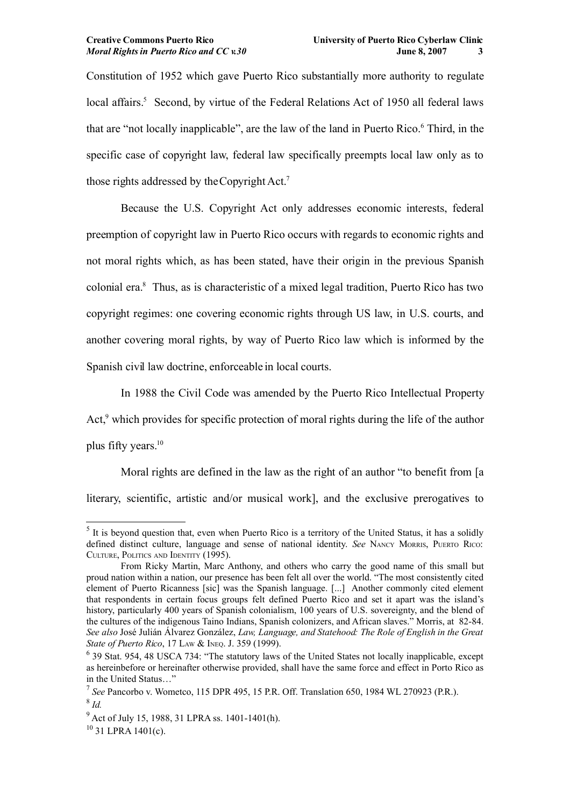Constitution of 1952 which gave Puerto Rico substantially more authority to regulate local affairs.<sup>[5](#page-2-0)</sup> Second, by virtue of the Federal Relations Act of 1950 all federal laws that are "not locally inapplicable", are the law of the land in Puerto Rico.[6](#page-2-1) Third, in the specific case of copyright law, federal law specifically preempts local law only as to those rights addressed by the Copyright Act.[7](#page-2-2)

Because the U.S. Copyright Act only addresses economic interests, federal preemption of copyright law in Puerto Rico occurs with regards to economic rights and not moral rights which, as has been stated, have their origin in the previous Spanish colonial era.[8](#page-2-3) Thus, as is characteristic of a mixed legal tradition, Puerto Rico has two copyright regimes: one covering economic rights through US law, in U.S. courts, and another covering moral rights, by way of Puerto Rico law which is informed by the Spanish civil law doctrine, enforceable in local courts.

In 1988 the Civil Code was amended by the Puerto Rico Intellectual Property Act,<sup>[9](#page-2-4)</sup> which provides for specific protection of moral rights during the life of the author plus fifty years.<sup>[10](#page-2-5)</sup>

Moral rights are defined in the law as the right of an author "to benefit from [a] literary, scientific, artistic and/or musical work], and the exclusive prerogatives to

<span id="page-2-5"></span> $10$  31 LPRA 1401(c).

<span id="page-2-0"></span> $<sup>5</sup>$  It is beyond question that, even when Puerto Rico is a territory of the United Status, it has a solidly</sup> defined distinct culture, language and sense of national identity. *See* NANCY MORRIS, PUERTO RICO: CULTURE, POLITICS AND IDENTITY (1995).

From Ricky Martin, Marc Anthony, and others who carry the good name of this small but proud nation within a nation, our presence has been felt all over the world. "The most consistently cited element of Puerto Ricanness [sic] was the Spanish language. [...] Another commonly cited element that respondents in certain focus groups felt defined Puerto Rico and set it apart was the island's history, particularly 400 years of Spanish colonialism, 100 years of U.S. sovereignty, and the blend of the cultures of the indigenous Taino Indians, Spanish colonizers, and African slaves." Morris, at 82-84. *See also* José Julián Álvarez González, *Law, Language, and Statehood: The Role of English in the Great State of Puerto Rico*, 17 LAW & INEQ. J. 359 (1999).

<span id="page-2-1"></span><sup>&</sup>lt;sup>6</sup> 39 Stat. 954, 48 USCA 734: "The statutory laws of the United States not locally inapplicable, except as hereinbefore or hereinafter otherwise provided, shall have the same force and effect in Porto Rico as in the United Status…"

<span id="page-2-3"></span><span id="page-2-2"></span><sup>7</sup> *See* Pancorbo v. Wometco, 115 DPR 495, 15 P.R. Off. Translation 650, 1984 WL 270923 (P.R.). 8 *Id.* 

<span id="page-2-4"></span><sup>9</sup> Act of July 15, 1988, 31 LPRA ss. 1401-1401(h).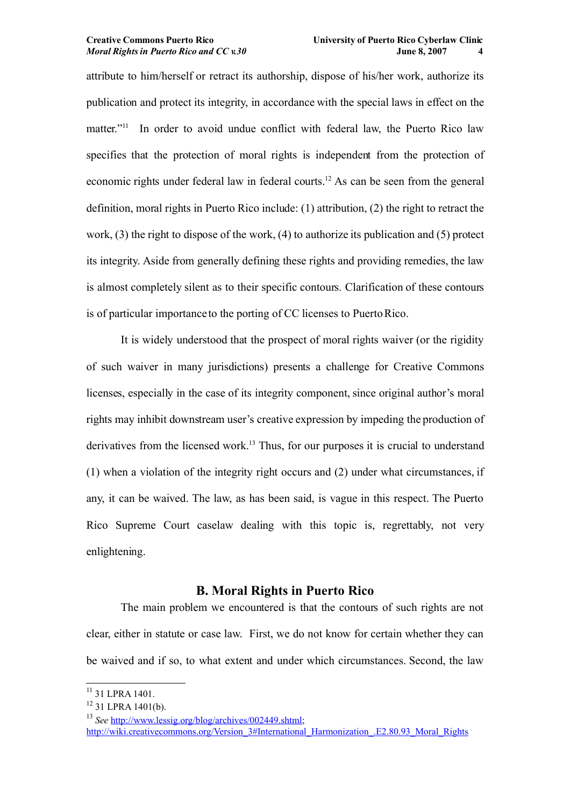attribute to him/herself or retract its authorship, dispose of his/her work, authorize its publication and protect its integrity, in accordance with the special laws in effect on the matter."<sup>[11](#page-3-0)</sup> In order to avoid undue conflict with federal law, the Puerto Rico law specifies that the protection of moral rights is independent from the protection of economic rights under federal law in federal courts.[12](#page-3-1) As can be seen from the general definition, moral rights in Puerto Rico include: (1) attribution, (2) the right to retract the work, (3) the right to dispose of the work, (4) to authorize its publication and (5) protect its integrity. Aside from generally defining these rights and providing remedies, the law is almost completely silent as to their specific contours. Clarification of these contours is of particular importance to the porting of CC licenses to Puerto Rico.

It is widely understood that the prospect of moral rights waiver (or the rigidity of such waiver in many jurisdictions) presents a challenge for Creative Commons licenses, especially in the case of its integrity component, since original author's moral rights may inhibit downstream user's creative expression by impeding the production of derivatives from the licensed work.<sup>[13](#page-3-2)</sup> Thus, for our purposes it is crucial to understand (1) when a violation of the integrity right occurs and (2) under what circumstances, if any, it can be waived. The law, as has been said, is vague in this respect. The Puerto Rico Supreme Court caselaw dealing with this topic is, regrettably, not very enlightening.

# **B. Moral Rights in Puerto Rico**

The main problem we encountered is that the contours of such rights are not clear, either in statute or case law. First, we do not know for certain whether they can be waived and if so, to what extent and under which circumstances. Second, the law

<span id="page-3-0"></span><sup>&</sup>lt;sup>11</sup> 31 LPRA 1401.

<span id="page-3-1"></span> $12$  31 LPRA 1401(b).

<span id="page-3-2"></span><sup>13</sup> *See* [http://www.lessig.org/blog/archives/002449.shtml;](http://www.lessig.org/blog/archives/002449.shtml)

[http://wiki.creativecommons.org/Version\\_3#International\\_Harmonization\\_.E2.80.93\\_Moral\\_Rights](http://wiki.creativecommons.org/Version_3#International_Harmonization_.E2.80.93_Moral_Rights)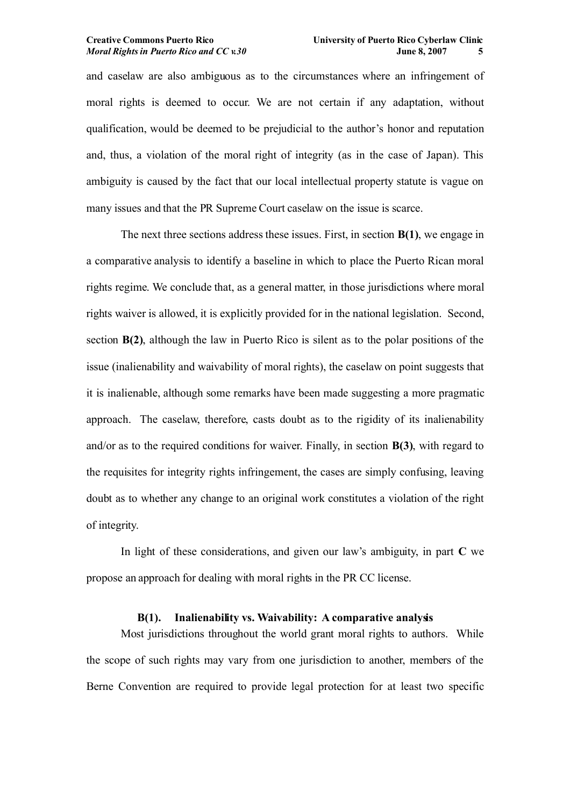and caselaw are also ambiguous as to the circumstances where an infringement of moral rights is deemed to occur. We are not certain if any adaptation, without qualification, would be deemed to be prejudicial to the author's honor and reputation and, thus, a violation of the moral right of integrity (as in the case of Japan). This ambiguity is caused by the fact that our local intellectual property statute is vague on many issues and that the PR Supreme Court caselaw on the issue is scarce.

The next three sections address these issues. First, in section **B(1)**, we engage in a comparative analysis to identify a baseline in which to place the Puerto Rican moral rights regime. We conclude that, as a general matter, in those jurisdictions where moral rights waiver is allowed, it is explicitly provided for in the national legislation. Second, section **B(2)**, although the law in Puerto Rico is silent as to the polar positions of the issue (inalienability and waivability of moral rights), the caselaw on point suggests that it is inalienable, although some remarks have been made suggesting a more pragmatic approach. The caselaw, therefore, casts doubt as to the rigidity of its inalienability and/or as to the required conditions for waiver. Finally, in section **B(3)**, with regard to the requisites for integrity rights infringement, the cases are simply confusing, leaving doubt as to whether any change to an original work constitutes a violation of the right of integrity.

In light of these considerations, and given our law's ambiguity, in part **C** we propose an approach for dealing with moral rights in the PR CC license.

## **B(1). Inalienability vs. Waivability: A comparative analysis**

Most jurisdictions throughout the world grant moral rights to authors. While the scope of such rights may vary from one jurisdiction to another, members of the Berne Convention are required to provide legal protection for at least two specific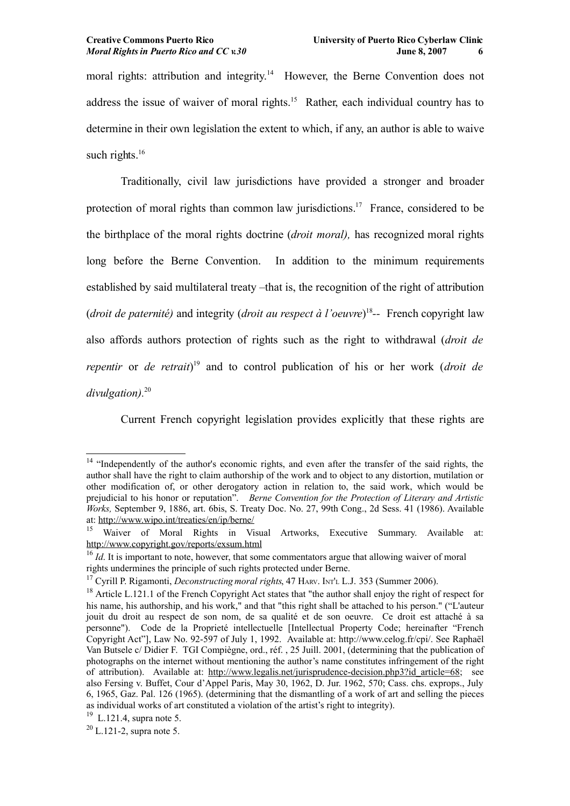moral rights: attribution and integrity.<sup>[14](#page-5-0)</sup> However, the Berne Convention does not address the issue of waiver of moral rights.<sup>[15](#page-5-1)</sup> Rather, each individual country has to determine in their own legislation the extent to which, if any, an author is able to waive such rights. $16$ 

Traditionally, civil law jurisdictions have provided a stronger and broader protection of moral rights than common law jurisdictions.[17](#page-5-3) France, considered to be the birthplace of the moral rights doctrine (*droit moral),* has recognized moral rights long before the Berne Convention. In addition to the minimum requirements established by said multilateral treaty –that is, the recognition of the right of attribution (*droit de paternité)* and integrity (*droit au respect à l'oeuvre*) [18](#page-5-4) *--* French copyright law also affords authors protection of rights such as the right to withdrawal (*droit de repentir* or *de retrait*) [19](#page-5-5) and to control publication of his or her work (*droit de divulgation).*[20](#page-5-6)

Current French copyright legislation provides explicitly that these rights are

<span id="page-5-0"></span><sup>&</sup>lt;sup>14</sup> "Independently of the author's economic rights, and even after the transfer of the said rights, the author shall have the right to claim authorship of the work and to object to any distortion, mutilation or other modification of, or other derogatory action in relation to, the said work, which would be prejudicial to his honor or reputation". *Berne Convention for the Protection of Literary and Artistic Works,* September 9, 1886, art. 6bis, S. Treaty Doc. No. 27, 99th Cong., 2d Sess. 41 (1986). Available at: <http://www.wipo.int/treaties/en/ip/berne/>

<span id="page-5-1"></span><sup>&</sup>lt;sup>15</sup> Waiver of Moral Rights in Visual Artworks, Executive Summary. Available at: <http://www.copyright.gov/reports/exsum.html>

<span id="page-5-2"></span><sup>&</sup>lt;sup>16</sup> *Id*. It is important to note, however, that some commentators argue that allowing waiver of moral rights undermines the principle of such rights protected under Berne.

<span id="page-5-3"></span><sup>&</sup>lt;sup>17</sup> Cyrill P. Rigamonti, *Deconstructing moral rights*, 47 HARV. INT'L L.J. 353 (Summer 2006).

<span id="page-5-4"></span><sup>&</sup>lt;sup>18</sup> Article L.121.1 of the French Copyright Act states that "the author shall enjoy the right of respect for his name, his authorship, and his work," and that "this right shall be attached to his person." ("L'auteur jouit du droit au respect de son nom, de sa qualité et de son oeuvre. Ce droit est attaché à sa personne"). Code de la Proprieté intellectuelle [Intellectual Property Code; hereinafter "French Copyright Act"], Law No. 92-597 of July 1, 1992. Available at: [http://www.celog.fr/cpi/.](http://www.celog.fr/cpi/) See Raphaël Van Butsele c/ Didier F. TGI Compiègne, ord., réf. , 25 Juill. 2001, (determining that the publication of photographs on the internet without mentioning the author's name constitutes infringement of the right of attribution). Available at: [http://www.legalis.net/jurisprudence-decision.php3?id\\_article=68;](http://www.legalis.net/jurisprudence-decision.php3?id_article=68) see also Fersing v. Buffet, Cour d'Appel Paris, May 30, 1962, D. Jur. 1962, 570; Cass. chs. exprops., July 6, 1965, Gaz. Pal. 126 (1965). (determining that the dismantling of a work of art and selling the pieces as individual works of art constituted a violation of the artist's right to integrity).

<span id="page-5-5"></span> $19$  L.121.4, supra note 5.

<span id="page-5-6"></span> $^{20}$  L.121-2, supra note 5.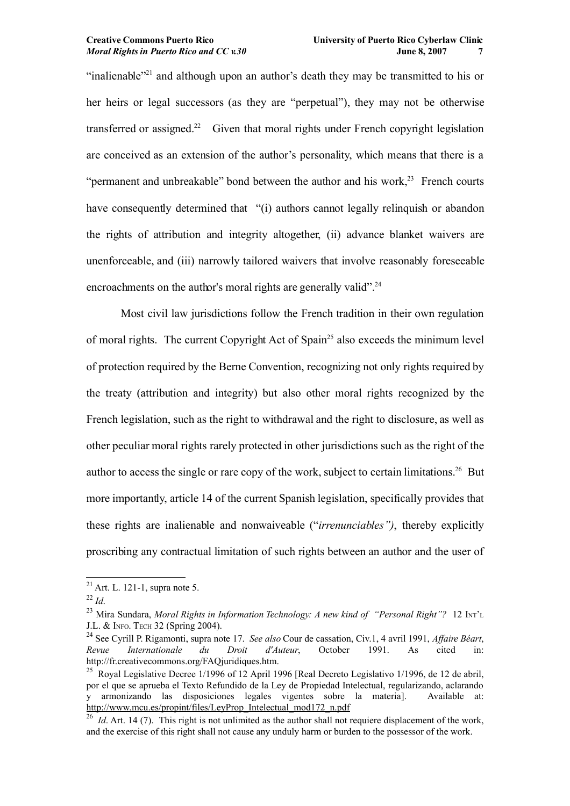"inalienable"<sup>[21](#page-6-0)</sup> and although upon an author's death they may be transmitted to his or her heirs or legal successors (as they are "perpetual"), they may not be otherwise transferred or assigned.<sup>[22](#page-6-1)</sup> Given that moral rights under French copyright legislation are conceived as an extension of the author's personality, which means that there is a "permanent and unbreakable" bond between the author and his work.<sup>[23](#page-6-2)</sup> French courts have consequently determined that "(i) authors cannot legally relinquish or abandon the rights of attribution and integrity altogether, (ii) advance blanket waivers are unenforceable, and (iii) narrowly tailored waivers that involve reasonably foreseeable encroachments on the author's moral rights are generally valid".<sup>[24](#page-6-3)</sup>

Most civil law jurisdictions follow the French tradition in their own regulation of moral rights. The current Copyright Act of Spain<sup>[25](#page-6-4)</sup> also exceeds the minimum level of protection required by the Berne Convention, recognizing not only rights required by the treaty (attribution and integrity) but also other moral rights recognized by the French legislation, such as the right to withdrawal and the right to disclosure, as well as other peculiar moral rights rarely protected in other jurisdictions such as the right of the author to access the single or rare copy of the work, subject to certain limitations.[26](#page-6-5) But more importantly, article 14 of the current Spanish legislation, specifically provides that these rights are inalienable and nonwaiveable ("*irrenunciables")*, thereby explicitly proscribing any contractual limitation of such rights between an author and the user of

<span id="page-6-0"></span> $^{21}$  Art. L. 121-1, supra note 5.

<span id="page-6-1"></span> $^{22}$  *Id.* 

<span id="page-6-2"></span><sup>23</sup> Mira Sundara, *Moral Rights in Information Technology: A new kind of "Personal Right"?* 12 INT'<sup>L</sup> J.L. & INFO. TECH 32 (Spring 2004).

<span id="page-6-3"></span><sup>24</sup> See Cyrill P. Rigamonti, supra note [17.](#page-5-3) *See also* Cour de cassation, Civ.1, 4 avril 1991, *Affaire Béart*, *Revue Internationale du Droit d'Auteur*, October 1991. As cited in: [http://fr.creativecommons.org/FAQjuridiques.htm.](http://fr.creativecommons.org/FAQjuridiques.htm)

<span id="page-6-4"></span><sup>&</sup>lt;sup>25</sup> Royal Legislative Decree 1/1996 of 12 April 1996 [Real Decreto Legislativo 1/1996, de 12 de abril, por el que se aprueba el Texto Refundido de la Ley de Propiedad Intelectual, regularizando, aclarando y armonizando las disposiciones legales vigentes sobre la materia]. Available at: [http://www.mcu.es/propint/files/LeyProp\\_Intelectual\\_mod172\\_n.pdf](http://www.mcu.es/propint/files/LeyProp_Intelectual_mod172_n.pdf)

<span id="page-6-5"></span><sup>&</sup>lt;sup>26</sup> *Id.* Art. 14 (7). This right is not unlimited as the author shall not requiere displacement of the work, and the exercise of this right shall not cause any unduly harm or burden to the possessor of the work.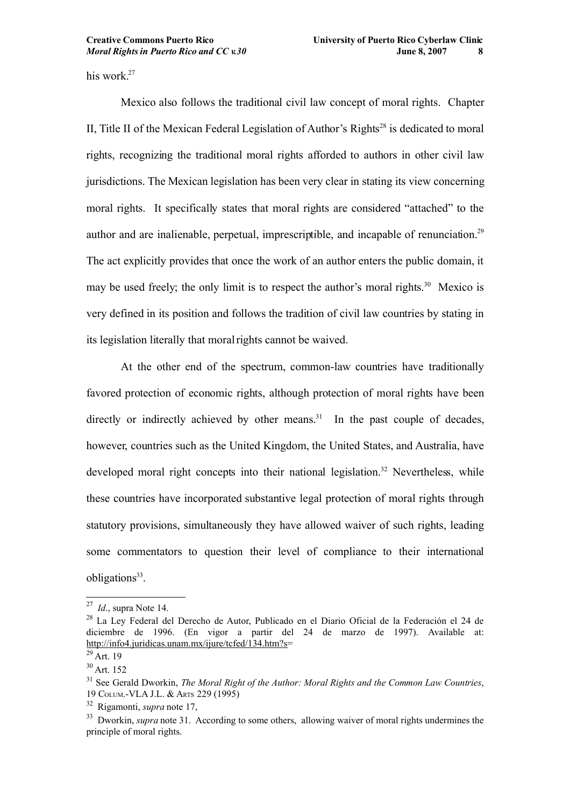his work.<sup>[27](#page-7-1)</sup>

Mexico also follows the traditional civil law concept of moral rights. Chapter II, Title II of the Mexican Federal Legislation of Author's Rights<sup>[28](#page-7-2)</sup> is dedicated to moral rights, recognizing the traditional moral rights afforded to authors in other civil law jurisdictions. The Mexican legislation has been very clear in stating its view concerning moral rights. It specifically states that moral rights are considered "attached" to the author and are inalienable, perpetual, imprescriptible, and incapable of renunciation.<sup>[29](#page-7-3)</sup> The act explicitly provides that once the work of an author enters the public domain, it may be used freely; the only limit is to respect the author's moral rights.<sup>[30](#page-7-4)</sup> Mexico is very defined in its position and follows the tradition of civil law countries by stating in its legislation literally that moral rights cannot be waived.

At the other end of the spectrum, common-law countries have traditionally favored protection of economic rights, although protection of moral rights have been directly or indirectly achieved by other means.<sup>[31](#page-7-0)</sup> In the past couple of decades, however, countries such as the United Kingdom, the United States, and Australia, have developed moral right concepts into their national legislation.<sup>[32](#page-7-5)</sup> Nevertheless, while these countries have incorporated substantive legal protection of moral rights through statutory provisions, simultaneously they have allowed waiver of such rights, leading some commentators to question their level of compliance to their international obligations<sup>[33](#page-7-6)</sup>.

<span id="page-7-1"></span><sup>27</sup> *Id*., supra Note 14.

<span id="page-7-2"></span><sup>28</sup> La Ley Federal del Derecho de Autor, Publicado en el Diario Oficial de la Federación el 24 de diciembre de 1996. (En vigor a partir del 24 de marzo de 1997). Available at: [http://info4.juridicas.unam.mx/ijure/tcfed/134.htm?s=](http://info4.juridicas.unam.mx/ijure/tcfed/134.htm?s)

<span id="page-7-3"></span> $29$  Art. 19

<span id="page-7-4"></span> $30$  Art. 152

<span id="page-7-0"></span><sup>31</sup> See Gerald Dworkin, *The Moral Right of the Author: Moral Rights and the Common Law Countries*, 19 COLUM.-VLA J.L. & ARTS 229 (1995)

<span id="page-7-5"></span><sup>32</sup> Rigamonti, *supra* note [17,](#page-5-3)

<span id="page-7-6"></span><sup>&</sup>lt;sup>33</sup> Dworkin, *supra* note [31.](#page-7-0) According to some others, allowing waiver of moral rights undermines the principle of moral rights.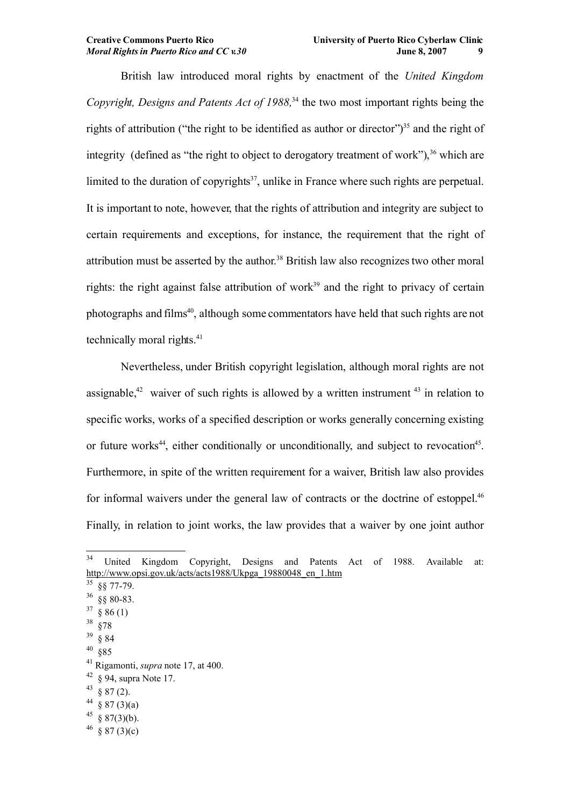British law introduced moral rights by enactment of the *United Kingdom Copyright, Designs and Patents Act of 1988,*[34](#page-8-0) the two most important rights being the rights of attribution ("the right to be identified as author or director")<sup>[35](#page-8-1)</sup> and the right of integrity (defined as "the right to object to derogatory treatment of work"), [36](#page-8-2) which are limited to the duration of copyrights<sup>[37](#page-8-3)</sup>, unlike in France where such rights are perpetual. It is important to note, however, that the rights of attribution and integrity are subject to certain requirements and exceptions, for instance, the requirement that the right of attribution must be asserted by the author.<sup>[38](#page-8-4)</sup> British law also recognizes two other moral rights: the right against false attribution of work<sup>[39](#page-8-5)</sup> and the right to privacy of certain photographs and films<sup>[40](#page-8-6)</sup>, although some commentators have held that such rights are not technically moral rights.<sup>[41](#page-8-7)</sup>

Nevertheless, under British copyright legislation, although moral rights are not assignable,<sup>[42](#page-8-8)</sup> waiver of such rights is allowed by a written instrument  $43$  in relation to specific works, works of a specified description or works generally concerning existing or future works<sup>[44](#page-8-10)</sup>, either conditionally or unconditionally, and subject to revocation<sup>[45](#page-8-11)</sup>. Furthermore, in spite of the written requirement for a waiver, British law also provides for informal waivers under the general law of contracts or the doctrine of estoppel.<sup>[46](#page-8-12)</sup> Finally, in relation to joint works, the law provides that a waiver by one joint author

<span id="page-8-0"></span><sup>34</sup> United Kingdom Copyright, Designs and Patents Act of 1988. Available at: [http://www.opsi.gov.uk/acts/acts1988/Ukpga\\_19880048\\_en\\_1.htm](http://www.opsi.gov.uk/acts/acts1988/Ukpga_19880048_en_1.htm)

<span id="page-8-1"></span> $35$  §§ 77-79.

<span id="page-8-2"></span> $36$  §§ 80-83.

<span id="page-8-3"></span> $37 \text{ } \frac{\text{}}{\text{}} 86(1)$ 

<span id="page-8-4"></span><sup>38</sup> §78

<span id="page-8-5"></span><sup>39</sup> § 84

<span id="page-8-6"></span> $^{40}$  §85

<span id="page-8-7"></span><sup>41</sup> Rigamonti, *supra* note [17,](#page-5-3) at 400.

<span id="page-8-8"></span> $42 \text{ }$  § 94, supra Note 17.

<span id="page-8-9"></span> $43 \text{ } 87 \text{ } (2)$ .

<span id="page-8-10"></span> $44 \text{ } \text{ } $87 \text{ } (3)(a)$ 

<span id="page-8-11"></span> $45 \text{ } \frac{1}{5}$  87(3)(b).

<span id="page-8-12"></span> $^{46}$  § 87 (3)(c)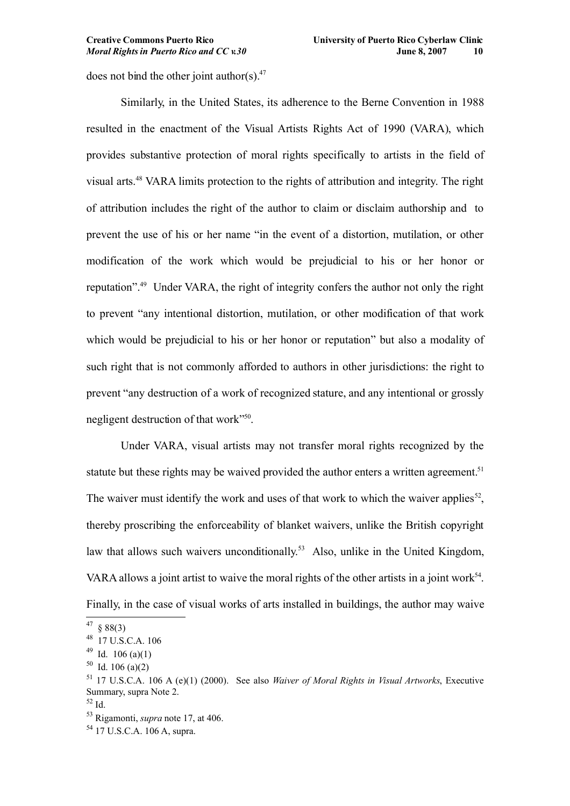does not bind the other joint author(s). $47$ 

Similarly, in the United States, its adherence to the Berne Convention in 1988 resulted in the enactment of the Visual Artists Rights Act of 1990 (VARA), which provides substantive protection of moral rights specifically to artists in the field of visual arts.[48](#page-9-1) VARA limits protection to the rights of attribution and integrity. The right of attribution includes the right of the author to claim or disclaim authorship and to prevent the use of his or her name "in the event of a distortion, mutilation, or other modification of the work which would be prejudicial to his or her honor or reputation".[49](#page-9-2) Under VARA, the right of integrity confers the author not only the right to prevent "any intentional distortion, mutilation, or other modification of that work which would be prejudicial to his or her honor or reputation" but also a modality of such right that is not commonly afforded to authors in other jurisdictions: the right to prevent "any destruction of a work of recognized stature, and any intentional or grossly negligent destruction of that work"<sup>[50](#page-9-3)</sup>.

Under VARA, visual artists may not transfer moral rights recognized by the statute but these rights may be waived provided the author enters a written agreement.<sup>[51](#page-9-4)</sup> The waiver must identify the work and uses of that work to which the waiver applies<sup>[52](#page-9-5)</sup>, thereby proscribing the enforceability of blanket waivers, unlike the British copyright law that allows such waivers unconditionally.<sup>[53](#page-9-6)</sup> Also, unlike in the United Kingdom, VARA allows a joint artist to waive the moral rights of the other artists in a joint work<sup>[54](#page-9-7)</sup>. Finally, in the case of visual works of arts installed in buildings, the author may waive

<span id="page-9-0"></span> $47 \text{ } \frac{\text{}}{\text{}} 88(3)$ 

<span id="page-9-1"></span><sup>48</sup> 17 U.S.C.A. 106

<span id="page-9-2"></span> $49$  Id. 106 (a)(1)

<span id="page-9-3"></span> $50$  Id. 106 (a)(2)

<span id="page-9-4"></span><sup>51</sup> 17 U.S.C.A. 106 A (e)(1) (2000). See also *Waiver of Moral Rights in Visual Artworks*, Executive Summary, supra Note 2.

<span id="page-9-5"></span><sup>52</sup> Id.

<span id="page-9-6"></span><sup>53</sup> Rigamonti, *supra* note [17,](#page-5-3) at 406.

<span id="page-9-7"></span> $54$  17 U.S.C.A. 106 A, supra.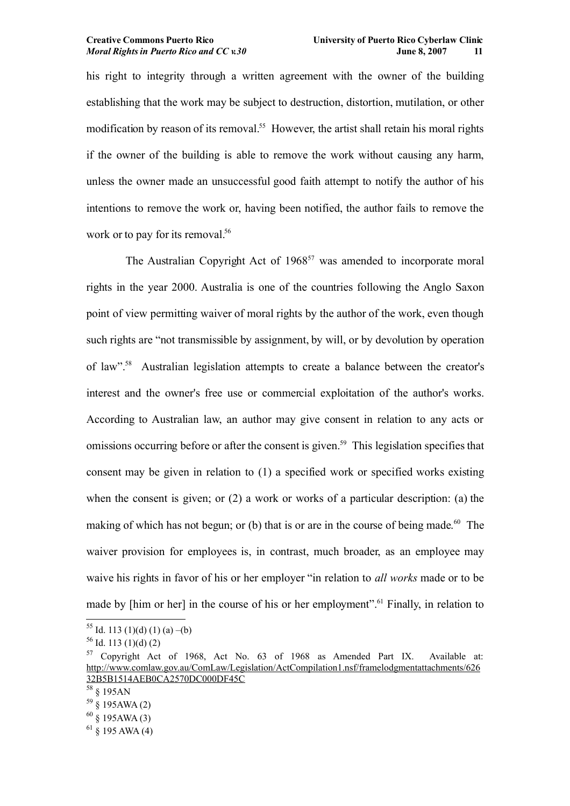his right to integrity through a written agreement with the owner of the building establishing that the work may be subject to destruction, distortion, mutilation, or other modification by reason of its removal.<sup>[55](#page-10-0)</sup> However, the artist shall retain his moral rights if the owner of the building is able to remove the work without causing any harm, unless the owner made an unsuccessful good faith attempt to notify the author of his intentions to remove the work or, having been notified, the author fails to remove the work or to pay for its removal.<sup>[56](#page-10-1)</sup>

The Australian Copyright Act of 1968<sup>[57](#page-10-2)</sup> was amended to incorporate moral rights in the year 2000. Australia is one of the countries following the Anglo Saxon point of view permitting waiver of moral rights by the author of the work, even though such rights are "not transmissible by assignment, by will, or by devolution by operation of law".[58](#page-10-3) Australian legislation attempts to create a balance between the creator's interest and the owner's free use or commercial exploitation of the author's works. According to Australian law, an author may give consent in relation to any acts or omissions occurring before or after the consent is given.<sup>[59](#page-10-4)</sup> This legislation specifies that consent may be given in relation to (1) a specified work or specified works existing when the consent is given; or (2) a work or works of a particular description: (a) the making of which has not begun; or (b) that is or are in the course of being made.<sup>[60](#page-10-5)</sup> The waiver provision for employees is, in contrast, much broader, as an employee may waive his rights in favor of his or her employer "in relation to *all works* made or to be made by [him or her] in the course of his or her employment".<sup>[61](#page-10-6)</sup> Finally, in relation to

<span id="page-10-0"></span> $55$  Id. 113 (1)(d) (1) (a) –(b)

<span id="page-10-1"></span> $56$  Id. 113 (1)(d) (2)

<span id="page-10-2"></span><sup>57</sup> Copyright Act of 1968, Act No. 63 of 1968 as Amended Part IX. Available at: [http://www.comlaw.gov.au/ComLaw/Legislation/ActCompilation1.nsf/framelodgmentattachments/626](http://www.comlaw.gov.au/ComLaw/Legislation/ActCompilation1.nsf/framelodgmentattachments/62632B5B1514AEB0CA2570DC000DF45C) [32B5B1514AEB0CA2570DC000DF45C](http://www.comlaw.gov.au/ComLaw/Legislation/ActCompilation1.nsf/framelodgmentattachments/62632B5B1514AEB0CA2570DC000DF45C)

<span id="page-10-3"></span> $^{58}$   $\upbeta$  195<br>AN

<span id="page-10-4"></span> $59\overset{\circ}{\$}195AWA(2)$ 

<span id="page-10-5"></span> $60 \text{ }$  § 195AWA (3)

<span id="page-10-6"></span> $61$  § 195 AWA (4)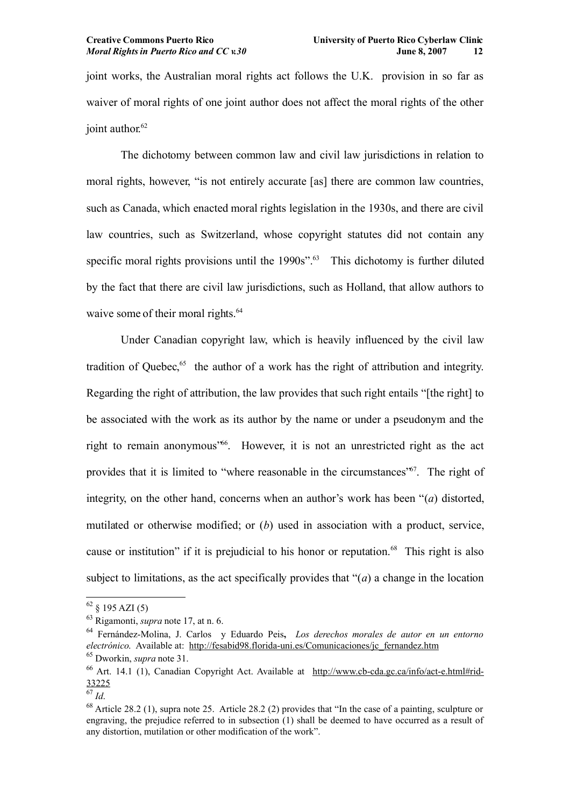joint works, the Australian moral rights act follows the U.K. provision in so far as waiver of moral rights of one joint author does not affect the moral rights of the other joint author.<sup>[62](#page-11-0)</sup>

The dichotomy between common law and civil law jurisdictions in relation to moral rights, however, "is not entirely accurate [as] there are common law countries, such as Canada, which enacted moral rights legislation in the 1930s, and there are civil law countries, such as Switzerland, whose copyright statutes did not contain any specific moral rights provisions until the 1990s".<sup>[63](#page-11-1)</sup> This dichotomy is further diluted by the fact that there are civil law jurisdictions, such as Holland, that allow authors to waive some of their moral rights.<sup>[64](#page-11-2)</sup>

Under Canadian copyright law, which is heavily influenced by the civil law tradition of Quebec,<sup>[65](#page-11-3)</sup> the author of a work has the right of attribution and integrity. Regarding the right of attribution, the law provides that such right entails "[the right] to be associated with the work as its author by the name or under a pseudonym and the right to remain anonymous<sup>3[66](#page-11-4)</sup>. However, it is not an unrestricted right as the act provides that it is limited to "where reasonable in the circumstances"<sup>[67](#page-11-5)</sup>. The right of integrity, on the other hand, concerns when an author's work has been "(*a*) distorted, mutilated or otherwise modified; or (*b*) used in association with a product, service, cause or institution" if it is prejudicial to his honor or reputation.<sup>[68](#page-11-6)</sup> This right is also subject to limitations, as the act specifically provides that "(*a*) a change in the location

<span id="page-11-0"></span> $62 \& 195 AZI(5)$ 

<span id="page-11-1"></span><sup>63</sup> Rigamonti, *supra* note [17,](#page-5-3) at n. 6.

<span id="page-11-2"></span><sup>64</sup> Fernández-Molina, J. Carlos y Eduardo Peis**,** *Los derechos morales de autor en un entorno electrónico*. Available at: [http://fesabid98.florida-uni.es/Comunicaciones/jc\\_fernandez.htm](http://fesabid98.florida-uni.es/Comunicaciones/jc_fernandez.htm) <sup>65</sup> Dworkin, *supra* note [31.](#page-7-0)

<span id="page-11-4"></span><span id="page-11-3"></span><sup>66</sup> Art. 14.1 (1), Canadian Copyright Act. Available at [http://www.cb-cda.gc.ca/info/act-e.html#rid-](http://www.cb-cda.gc.ca/info/act-e.html#rid-33225)[33225](http://www.cb-cda.gc.ca/info/act-e.html#rid-33225)

<span id="page-11-5"></span> $^{67}$  *Id.* 

<span id="page-11-6"></span><sup>68</sup> Article 28.2 (1), supra note 25. Article 28.2 (2) provides that "In the case of a painting, sculpture or engraving, the prejudice referred to in subsection (1) shall be deemed to have occurred as a result of any distortion, mutilation or other modification of the work".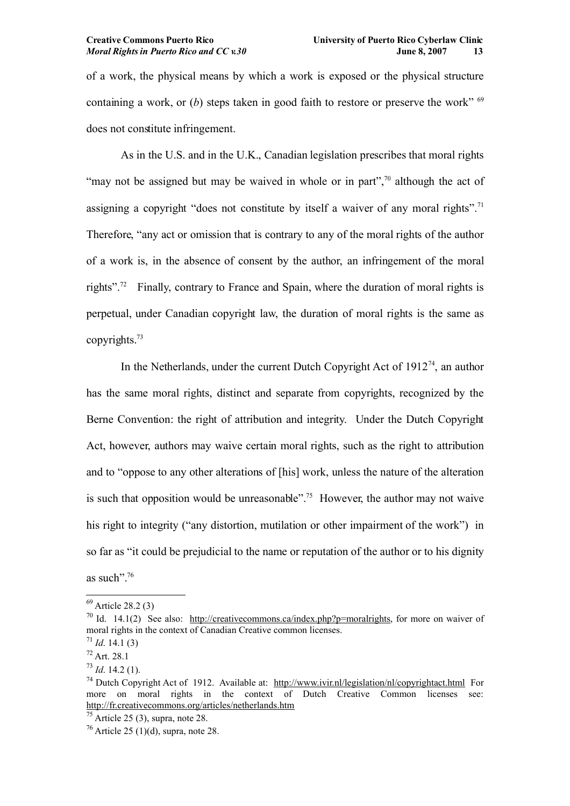of a work, the physical means by which a work is exposed or the physical structure containing a work, or  $(b)$  steps taken in good faith to restore or preserve the work"  $69$ does not constitute infringement.

As in the U.S. and in the U.K., Canadian legislation prescribes that moral rights "may not be assigned but may be waived in whole or in part", $\frac{70}{10}$  $\frac{70}{10}$  $\frac{70}{10}$  although the act of assigning a copyright "does not constitute by itself a waiver of any moral rights".<sup>[71](#page-12-2)</sup> Therefore, "any act or omission that is contrary to any of the moral rights of the author of a work is, in the absence of consent by the author, an infringement of the moral rights".<sup>[72](#page-12-3)</sup> Finally, contrary to France and Spain, where the duration of moral rights is perpetual, under Canadian copyright law, the duration of moral rights is the same as copyrights.[73](#page-12-4)

In the Netherlands, under the current Dutch Copyright Act of  $1912<sup>74</sup>$  $1912<sup>74</sup>$  $1912<sup>74</sup>$ , an author has the same moral rights, distinct and separate from copyrights, recognized by the Berne Convention: the right of attribution and integrity. Under the Dutch Copyright Act, however, authors may waive certain moral rights, such as the right to attribution and to "oppose to any other alterations of [his] work, unless the nature of the alteration is such that opposition would be unreasonable". [75](#page-12-6) However, the author may not waive his right to integrity ("any distortion, mutilation or other impairment of the work") in so far as "it could be prejudicial to the name or reputation of the author or to his dignity as such".[76](#page-12-7)

<span id="page-12-0"></span> $^{69}$  Article 28.2 (3)

<span id="page-12-1"></span><sup>&</sup>lt;sup>70</sup> Id. 14.1(2) See also: [http://creativecommons.ca/index.php?p=moralrights,](http://creativecommons.ca/index.php?p=moralrights) for more on waiver of moral rights in the context of Canadian Creative common licenses.

<span id="page-12-2"></span><sup>71</sup> *Id*. 14.1 (3)

<span id="page-12-3"></span><sup>72</sup> Art. 28.1

<span id="page-12-4"></span> $^{73}$  *Id.* 14.2 (1).

<span id="page-12-5"></span><sup>&</sup>lt;sup>74</sup> Dutch Copyright Act of 1912. Available at: <http://www.ivir.nl/legislation/nl/copyrightact.html> For more on moral rights in the context of Dutch Creative Common licenses see: <http://fr.creativecommons.org/articles/netherlands.htm>

<span id="page-12-6"></span> $<sup>75</sup>$  Article 25 (3), supra, note 28.</sup>

<span id="page-12-7"></span> $76$  Article 25 (1)(d), supra, note 28.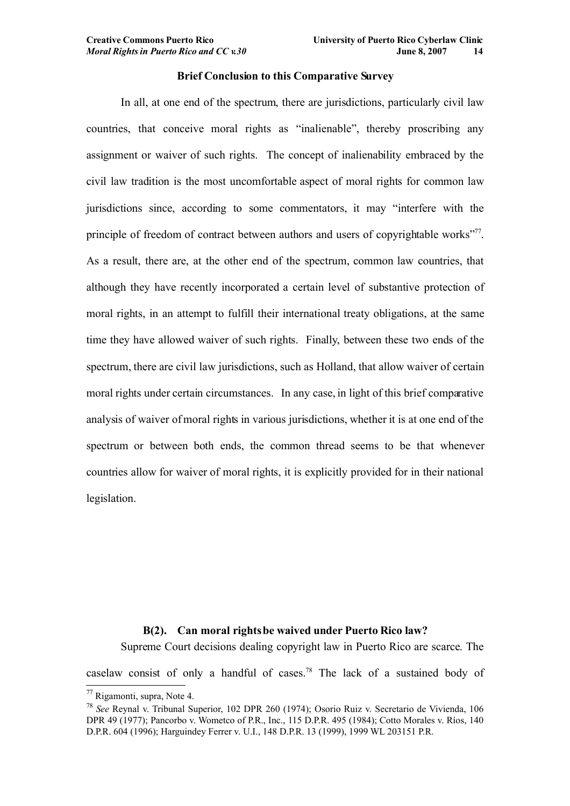## **Brief Conclusion to this Comparative Survey**

In all, at one end of the spectrum, there are jurisdictions, particularly civil law countries, that conceive moral rights as "inalienable", thereby proscribing any assignment or waiver of such rights. The concept of inalienability embraced by the civil law tradition is the most uncomfortable aspect of moral rights for common law jurisdictions since, according to some commentators, it may "interfere with the principle of freedom of contract between authors and users of copyrightable works"<sup>[77](#page-13-0)</sup>. As a result, there are, at the other end of the spectrum, common law countries, that although they have recently incorporated a certain level of substantive protection of moral rights, in an attempt to fulfill their international treaty obligations, at the same time they have allowed waiver of such rights. Finally, between these two ends of the spectrum, there are civil law jurisdictions, such as Holland, that allow waiver of certain moral rights under certain circumstances. In any case, in light of this brief comparative analysis of waiver of moral rights in various jurisdictions, whether it is at one end of the spectrum or between both ends, the common thread seems to be that whenever countries allow for waiver of moral rights, it is explicitly provided for in their national legislation.

## **B(2). Can moral rights be waived under Puerto Rico law?**

Supreme Court decisions dealing copyright law in Puerto Rico are scarce. The

caselaw consist of only a handful of cases.[78](#page-13-1) The lack of a sustained body of

<span id="page-13-0"></span><sup>77</sup> Rigamonti, supra, Note 4.

<span id="page-13-1"></span><sup>78</sup> *See* Reynal v. Tribunal Superior, 102 DPR 260 (1974); Osorio Ruiz v. Secretario de Vivienda, 106 DPR 49 (1977); Pancorbo v. Wometco of P.R., Inc., 115 D.P.R. 495 (1984); Cotto Morales v. Ríos, 140 D.P.R. 604 (1996); Harguindey Ferrer v. U.I., 148 D.P.R. 13 (1999), 1999 WL 203151 P.R.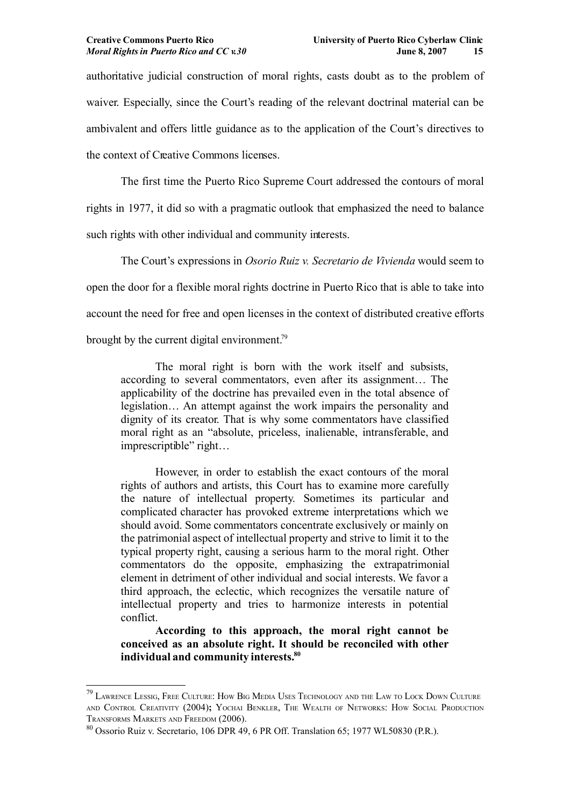authoritative judicial construction of moral rights, casts doubt as to the problem of waiver. Especially, since the Court's reading of the relevant doctrinal material can be ambivalent and offers little guidance as to the application of the Court's directives to the context of Creative Commons licenses.

The first time the Puerto Rico Supreme Court addressed the contours of moral rights in 1977, it did so with a pragmatic outlook that emphasized the need to balance such rights with other individual and community interests.

The Court's expressions in *Osorio Ruiz v. Secretario de Vivienda* would seem to open the door for a flexible moral rights doctrine in Puerto Rico that is able to take into account the need for free and open licenses in the context of distributed creative efforts brought by the current digital environment.<sup>[79](#page-14-0)</sup>

The moral right is born with the work itself and subsists, according to several commentators, even after its assignment… The applicability of the doctrine has prevailed even in the total absence of legislation… An attempt against the work impairs the personality and dignity of its creator. That is why some commentators have classified moral right as an "absolute, priceless, inalienable, intransferable, and imprescriptible" right…

However, in order to establish the exact contours of the moral rights of authors and artists, this Court has to examine more carefully the nature of intellectual property. Sometimes its particular and complicated character has provoked extreme interpretations which we should avoid. Some commentators concentrate exclusively or mainly on the patrimonial aspect of intellectual property and strive to limit it to the typical property right, causing a serious harm to the moral right. Other commentators do the opposite, emphasizing the extrapatrimonial element in detriment of other individual and social interests. We favor a third approach, the eclectic, which recognizes the versatile nature of intellectual property and tries to harmonize interests in potential conflict.

**According to this approach, the moral right cannot be conceived as an absolute right. It should be reconciled with other individual and community interests.[80](#page-14-1)**

<span id="page-14-0"></span><sup>&</sup>lt;sup>79</sup> LAWRENCE LESSIG, FREE CULTURE: HOW BIG MEDIA USES TECHNOLOGY AND THE LAW TO LOCK DOWN CULTURE AND CONTROL CREATIVITY (2004)**;** YOCHAI BENKLER, THE WEALTH OF NETWORKS: HOW SOCIAL PRODUCTION TRANSFORMS MARKETS AND FREEDOM (2006).

<span id="page-14-1"></span><sup>80</sup> Ossorio Ruiz v. Secretario, 106 DPR 49, 6 PR Off. Translation 65; 1977 WL50830 (P.R.).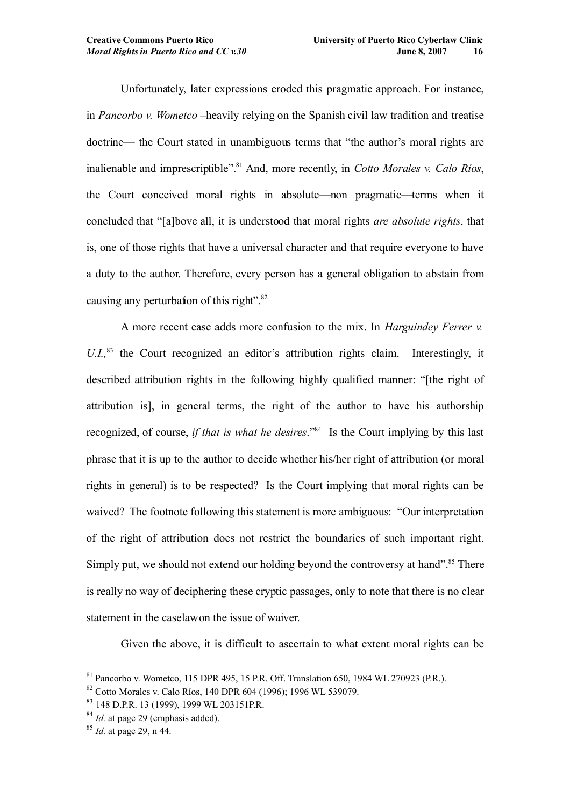Unfortunately, later expressions eroded this pragmatic approach. For instance, in *Pancorbo v. Wometco* –heavily relying on the Spanish civil law tradition and treatise doctrine— the Court stated in unambiguous terms that "the author's moral rights are inalienable and imprescriptible".[81](#page-15-0) And, more recently, in *Cotto Morales v. Calo Ríos*, the Court conceived moral rights in absolute—non pragmatic—terms when it concluded that "[a]bove all, it is understood that moral rights *are absolute rights*, that is, one of those rights that have a universal character and that require everyone to have a duty to the author. Therefore, every person has a general obligation to abstain from causing any perturbation of this right". $82$ 

A more recent case adds more confusion to the mix. In *Harguindey Ferrer v.* U.I.<sup>[83](#page-15-2)</sup> the Court recognized an editor's attribution rights claim. Interestingly, it described attribution rights in the following highly qualified manner: "[the right of attribution is], in general terms, the right of the author to have his authorship recognized, of course, *if that is what he desires*."[84](#page-15-3) Is the Court implying by this last phrase that it is up to the author to decide whether his/her right of attribution (or moral rights in general) is to be respected? Is the Court implying that moral rights can be waived? The footnote following this statement is more ambiguous: "Our interpretation of the right of attribution does not restrict the boundaries of such important right. Simply put, we should not extend our holding beyond the controversy at hand".<sup>[85](#page-15-4)</sup> There is really no way of deciphering these cryptic passages, only to note that there is no clear statement in the caselaw on the issue of waiver.

Given the above, it is difficult to ascertain to what extent moral rights can be

<span id="page-15-0"></span><sup>81</sup> Pancorbo v. Wometco, 115 DPR 495, 15 P.R. Off. Translation 650, 1984 WL 270923 (P.R.).

<span id="page-15-1"></span><sup>82</sup> Cotto Morales v. Calo Ríos, 140 DPR 604 (1996); 1996 WL 539079.

<span id="page-15-2"></span><sup>83</sup> 148 D.P.R. 13 (1999), 1999 WL 203151P.R.

<span id="page-15-3"></span><sup>&</sup>lt;sup>84</sup> *Id.* at page 29 (emphasis added).

<span id="page-15-4"></span><sup>85</sup> *Id.* at page 29, n 44.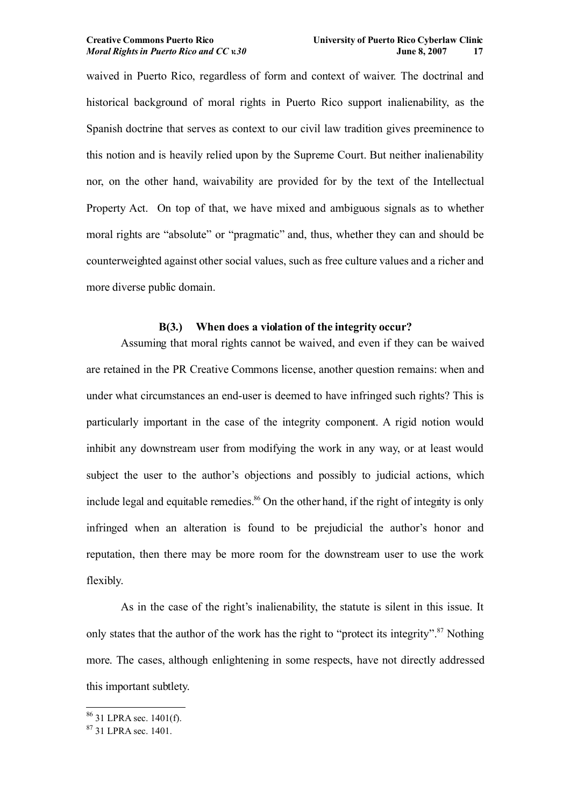waived in Puerto Rico, regardless of form and context of waiver. The doctrinal and historical background of moral rights in Puerto Rico support inalienability, as the Spanish doctrine that serves as context to our civil law tradition gives preeminence to this notion and is heavily relied upon by the Supreme Court. But neither inalienability nor, on the other hand, waivability are provided for by the text of the Intellectual Property Act. On top of that, we have mixed and ambiguous signals as to whether moral rights are "absolute" or "pragmatic" and, thus, whether they can and should be counterweighted against other social values, such as free culture values and a richer and more diverse public domain.

## **B(3.) When does a violation of the integrity occur?**

Assuming that moral rights cannot be waived, and even if they can be waived are retained in the PR Creative Commons license, another question remains: when and under what circumstances an end-user is deemed to have infringed such rights? This is particularly important in the case of the integrity component. A rigid notion would inhibit any downstream user from modifying the work in any way, or at least would subject the user to the author's objections and possibly to judicial actions, which include legal and equitable remedies. $86$  On the other hand, if the right of integrity is only infringed when an alteration is found to be prejudicial the author's honor and reputation, then there may be more room for the downstream user to use the work flexibly.

As in the case of the right's inalienability, the statute is silent in this issue. It only states that the author of the work has the right to "protect its integrity".<sup>[87](#page-16-1)</sup> Nothing more. The cases, although enlightening in some respects, have not directly addressed this important subtlety.

<span id="page-16-0"></span><sup>86</sup> 31 LPRA sec. 1401(f).

<span id="page-16-1"></span><sup>87</sup> 31 LPRA sec. 1401.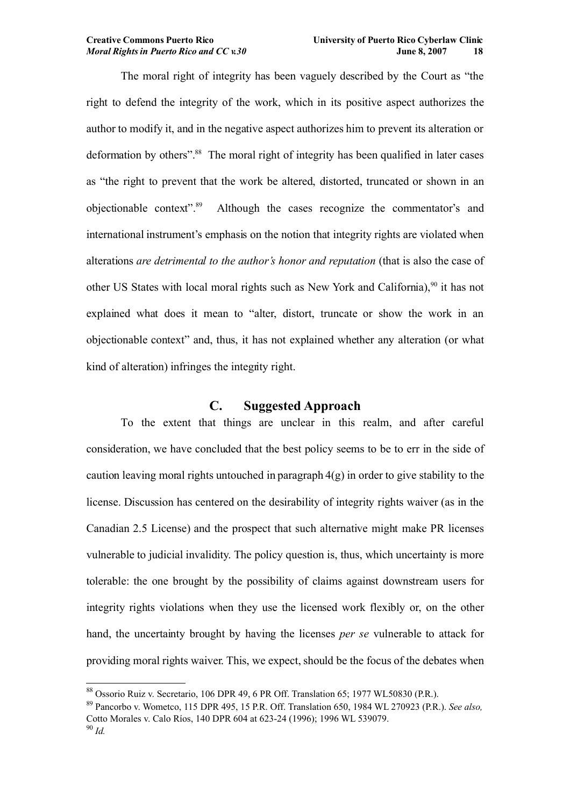The moral right of integrity has been vaguely described by the Court as "the right to defend the integrity of the work, which in its positive aspect authorizes the author to modify it, and in the negative aspect authorizes him to prevent its alteration or deformation by others".<sup>[88](#page-17-0)</sup> The moral right of integrity has been qualified in later cases as "the right to prevent that the work be altered, distorted, truncated or shown in an objectionable context". Although the cases recognize the commentator's and international instrument's emphasis on the notion that integrity rights are violated when alterations *are detrimental to the author's honor and reputation* (that is also the case of other US States with local moral rights such as New York and California),<sup>[90](#page-17-2)</sup> it has not explained what does it mean to "alter, distort, truncate or show the work in an objectionable context" and, thus, it has not explained whether any alteration (or what kind of alteration) infringes the integrity right.

# **C. Suggested Approach**

To the extent that things are unclear in this realm, and after careful consideration, we have concluded that the best policy seems to be to err in the side of caution leaving moral rights untouched in paragraph  $4(g)$  in order to give stability to the license. Discussion has centered on the desirability of integrity rights waiver (as in the Canadian 2.5 License) and the prospect that such alternative might make PR licenses vulnerable to judicial invalidity. The policy question is, thus, which uncertainty is more tolerable: the one brought by the possibility of claims against downstream users for integrity rights violations when they use the licensed work flexibly or, on the other hand, the uncertainty brought by having the licenses *per se* vulnerable to attack for providing moral rights waiver. This, we expect, should be the focus of the debates when

<span id="page-17-0"></span><sup>88</sup> Ossorio Ruiz v. Secretario, 106 DPR 49, 6 PR Off. Translation 65; 1977 WL50830 (P.R.).

<span id="page-17-1"></span><sup>89</sup> Pancorbo v. Wometco, 115 DPR 495, 15 P.R. Off. Translation 650, 1984 WL 270923 (P.R.). *See also,* Cotto Morales v. Calo Ríos, 140 DPR 604 at 623-24 (1996); 1996 WL 539079.

<span id="page-17-2"></span><sup>90</sup> *Id.*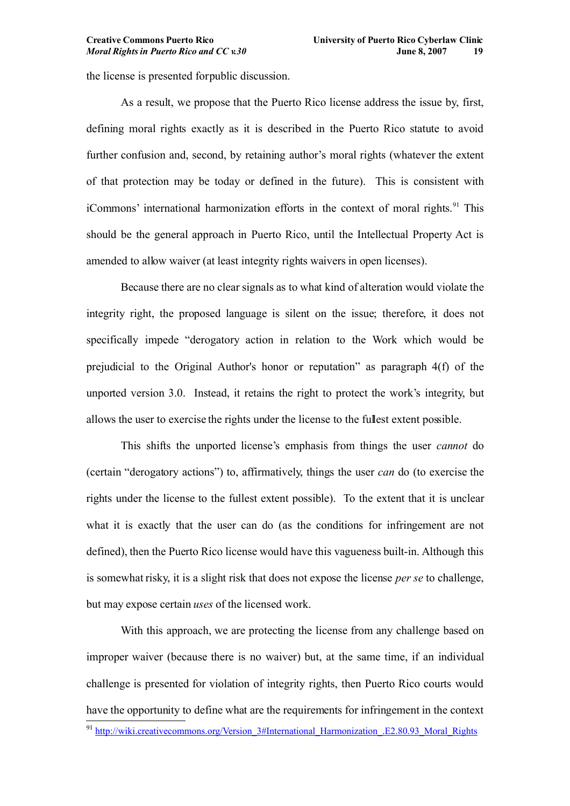the license is presented for public discussion.

As a result, we propose that the Puerto Rico license address the issue by, first, defining moral rights exactly as it is described in the Puerto Rico statute to avoid further confusion and, second, by retaining author's moral rights (whatever the extent of that protection may be today or defined in the future). This is consistent with iCommons' international harmonization efforts in the context of moral rights.<sup>[91](#page-18-0)</sup> This should be the general approach in Puerto Rico, until the Intellectual Property Act is amended to allow waiver (at least integrity rights waivers in open licenses).

Because there are no clear signals as to what kind of alteration would violate the integrity right, the proposed language is silent on the issue; therefore, it does not specifically impede "derogatory action in relation to the Work which would be prejudicial to the Original Author's honor or reputation" as paragraph 4(f) of the unported version 3.0. Instead, it retains the right to protect the work's integrity, but allows the user to exercise the rights under the license to the fullest extent possible.

This shifts the unported license's emphasis from things the user *cannot* do (certain "derogatory actions") to, affirmatively, things the user *can* do (to exercise the rights under the license to the fullest extent possible). To the extent that it is unclear what it is exactly that the user can do (as the conditions for infringement are not defined), then the Puerto Rico license would have this vagueness built-in. Although this is somewhat risky, it is a slight risk that does not expose the license *per se* to challenge, but may expose certain *uses* of the licensed work.

<span id="page-18-0"></span>With this approach, we are protecting the license from any challenge based on improper waiver (because there is no waiver) but, at the same time, if an individual challenge is presented for violation of integrity rights, then Puerto Rico courts would have the opportunity to define what are the requirements for infringement in the context 91 [http://wiki.creativecommons.org/Version\\_3#International\\_Harmonization\\_.E2.80.93\\_Moral\\_Rights](http://wiki.creativecommons.org/Version_3#International_Harmonization_.E2.80.93_Moral_Rights)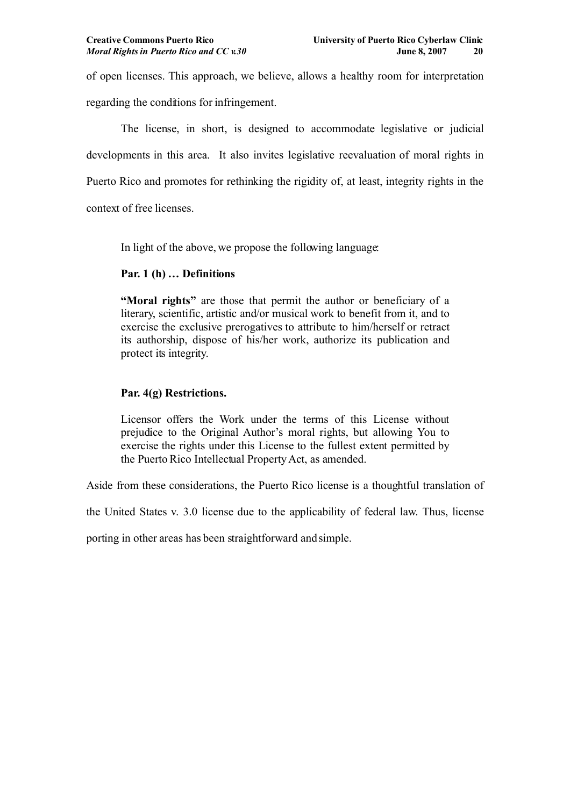of open licenses. This approach, we believe, allows a healthy room for interpretation regarding the conditions for infringement.

The license, in short, is designed to accommodate legislative or judicial developments in this area. It also invites legislative reevaluation of moral rights in Puerto Rico and promotes for rethinking the rigidity of, at least, integrity rights in the context of free licenses.

In light of the above, we propose the following language:

## **Par. 1 (h) … Definitions**

**"Moral rights"** are those that permit the author or beneficiary of a literary, scientific, artistic and/or musical work to benefit from it, and to exercise the exclusive prerogatives to attribute to him/herself or retract its authorship, dispose of his/her work, authorize its publication and protect its integrity.

## **Par. 4(g) Restrictions.**

Licensor offers the Work under the terms of this License without prejudice to the Original Author's moral rights, but allowing You to exercise the rights under this License to the fullest extent permitted by the Puerto Rico Intellectual Property Act, as amended.

Aside from these considerations, the Puerto Rico license is a thoughtful translation of

the United States v. 3.0 license due to the applicability of federal law. Thus, license

porting in other areas has been straightforward and simple.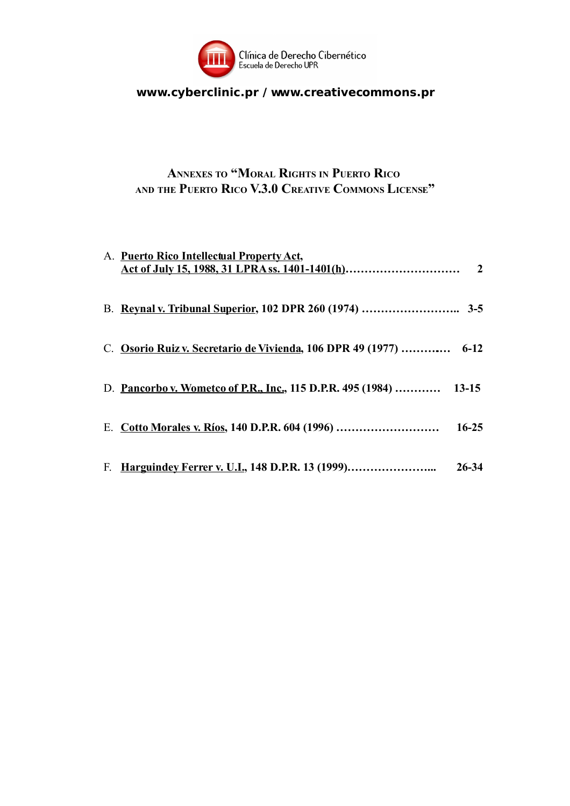

# **www.cyberclinic.pr / www.creativecommons.pr**

# **ANNEXES TO "MORAL RIGHTS IN PUERTO RICO AND THE PUERTO RICO V.3.0 CREATIVE COMMONS LICENSE"**

| A. Puerto Rico Intellectual Property Act,                          |           |
|--------------------------------------------------------------------|-----------|
|                                                                    |           |
| C. Osorio Ruiz v. Secretario de Vivienda, 106 DPR 49 (1977)  6-12  |           |
| D. Pancorbo v. Wometco of P.R., Inc., 115 D.P.R. 495 (1984)  13-15 |           |
| E. Cotto Morales v. Ríos, 140 D.P.R. 604 (1996)                    | $16 - 25$ |
| F. Harguindey Ferrer v. U.I., 148 D.P.R. 13 (1999)                 | $26 - 34$ |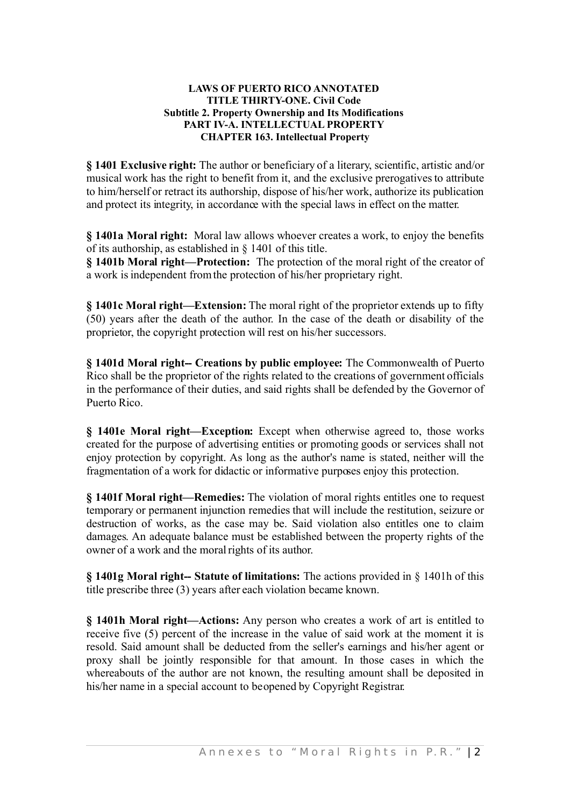## **LAWS OF PUERTO RICO ANNOTATED TITLE THIRTY-ONE. Civil Code Subtitle 2. Property Ownership and Its Modifications PART IV-A. INTELLECTUAL PROPERTY CHAPTER 163. Intellectual Property**

**§ 1401 Exclusive right:** The author or beneficiary of a literary, scientific, artistic and/or musical work has the right to benefit from it, and the exclusive prerogatives to attribute to him/herself or retract its authorship, dispose of his/her work, authorize its publication and protect its integrity, in accordance with the special laws in effect on the matter.

**§ 1401a Moral right:** Moral law allows whoever creates a work, to enjoy the benefits of its authorship, as established in § 1401 of this title.

**§ 1401b Moral right—Protection:** The protection of the moral right of the creator of a work isindependent from the protection of his/her proprietary right.

**§ 1401c Moral right—Extension:** The moral right of the proprietor extends up to fifty (50) years after the death of the author. In the case of the death or disability of the proprietor, the copyright protection will rest on his/her successors.

**§ 1401d Moral right-- Creations by public employee:** The Commonwealth of Puerto Rico shall be the proprietor of the rights related to the creations of government officials in the performance of their duties, and said rights shall be defended by the Governor of Puerto Rico.

**§ 1401e Moral right—Exception:** Except when otherwise agreed to, those works created for the purpose of advertising entities or promoting goods or services shall not enjoy protection by copyright. As long as the author's name is stated, neither will the fragmentation of a work for didactic or informative purposes enjoy this protection.

**§ 1401f Moral right—Remedies:** The violation of moral rights entitles one to request temporary or permanent injunction remedies that will include the restitution, seizure or destruction of works, as the case may be. Said violation also entitles one to claim damages. An adequate balance must be established between the property rights of the owner of a work and the moral rights of its author.

**§ 1401g Moral right-- Statute of limitations:** The actions provided in § 1401h of this title prescribe three (3) years after each violation became known.

**§ 1401h Moral right—Actions:** Any person who creates a work of art is entitled to receive five (5) percent of the increase in the value of said work at the moment it is resold. Said amount shall be deducted from the seller's earnings and his/her agent or proxy shall be jointly responsible for that amount. In those cases in which the whereabouts of the author are not known, the resulting amount shall be deposited in his/her name in a special account to be opened by Copyright Registrar.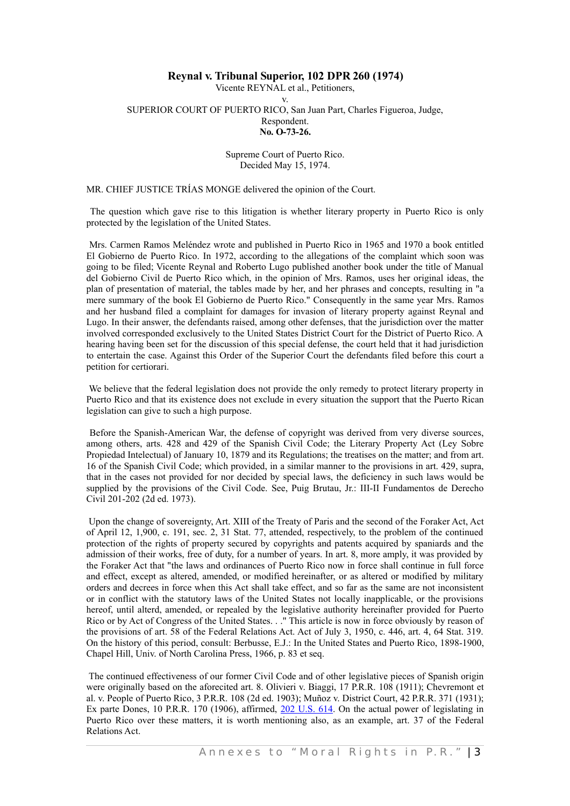## **Reynal v. Tribunal Superior, 102 DPR 260 (1974)**

Vicente REYNAL et al., Petitioners, v. SUPERIOR COURT OF PUERTO RICO, San Juan Part, Charles Figueroa, Judge, Respondent. **No. O-73-26.**

#### Supreme Court of Puerto Rico. Decided May 15, 1974.

MR. CHIEF JUSTICE TRÍAS MONGE delivered the opinion of the Court.

The question which gave rise to this litigation is whether literary property in Puerto Rico is only protected by the legislation of the United States.

Mrs. Carmen Ramos Meléndez wrote and published in Puerto Rico in 1965 and 1970 a book entitled El Gobierno de Puerto Rico. In 1972, according to the allegations of the complaint which soon was going to be filed; Vicente Reynal and Roberto Lugo published another book under the title of Manual del Gobierno Civil de Puerto Rico which, in the opinion of Mrs. Ramos, uses her original ideas, the plan of presentation of material, the tables made by her, and her phrases and concepts, resulting in "a mere summary of the book El Gobierno de Puerto Rico." Consequently in the same year Mrs. Ramos and her husband filed a complaint for damages for invasion of literary property against Reynal and Lugo. In their answer, the defendants raised, among other defenses, that the jurisdiction over the matter involved corresponded exclusively to the United States District Court for the District of Puerto Rico. A hearing having been set for the discussion of this special defense, the court held that it had jurisdiction to entertain the case. Against this Order of the Superior Court the defendants filed before this court a petition for certiorari.

We believe that the federal legislation does not provide the only remedy to protect literary property in Puerto Rico and that its existence does not exclude in every situation the support that the Puerto Rican legislation can give to such a high purpose.

Before the Spanish-American War, the defense of copyright was derived from very diverse sources, among others, arts. 428 and 429 of the Spanish Civil Code; the Literary Property Act (Ley Sobre Propiedad Intelectual) of January 10, 1879 and its Regulations; the treatises on the matter; and from art. 16 of the Spanish Civil Code; which provided, in a similar manner to the provisions in art. 429, supra, that in the cases not provided for nor decided by special laws, the deficiency in such laws would be supplied by the provisions of the Civil Code. See, Puig Brutau, Jr.: III-II Fundamentos de Derecho Civil 201-202 (2d ed. 1973).

Upon the change of sovereignty, Art. XIII of the Treaty of Paris and the second of the Foraker Act, Act of April 12, 1,900, c. 191, sec. 2, 31 Stat. 77, attended, respectively, to the problem of the continued protection of the rights of property secured by copyrights and patents acquired by spaniards and the admission of their works, free of duty, for a number of years. In art. 8, more amply, it was provided by the Foraker Act that "the laws and ordinances of Puerto Rico now in force shall continue in full force and effect, except as altered, amended, or modified hereinafter, or as altered or modified by military orders and decrees in force when this Act shall take effect, and so far as the same are not inconsistent or in conflict with the statutory laws of the United States not locally inapplicable, or the provisions hereof, until alterd, amended, or repealed by the legislative authority hereinafter provided for Puerto Rico or by Act of Congress of the United States. . ." This article is now in force obviously by reason of the provisions of art. 58 of the Federal Relations Act. Act of July 3, 1950, c. 446, art. 4, 64 Stat. 319. On the history of this period, consult: Berbusse, E.J.: In the United States and Puerto Rico, 1898-1900, Chapel Hill, Univ. of North Carolina Press, 1966, p. 83 et seq.

The continued effectiveness of our former Civil Code and of other legislative pieces of Spanish origin were originally based on the aforecited art. 8. Olivieri v. Biaggi, 17 P.R.R. 108 (1911); Chevremont et al. v. People of Puerto Rico, 3 P.R.R. 108 (2d ed. 1903); Muñoz v. District Court, 42 P.R.R. 371 (1931); Ex parte Dones, 10 P.R.R. 170 (1906), affirmed, 202 [U.S.](http://www.westlaw.com/Find/Default.wl?rs=dfa1.0&vr=2.0&DocName=202US614&FindType=Y) 614. On the actual power of legislating in Puerto Rico over these matters, it is worth mentioning also, as an example, art. 37 of the Federal Relations Act.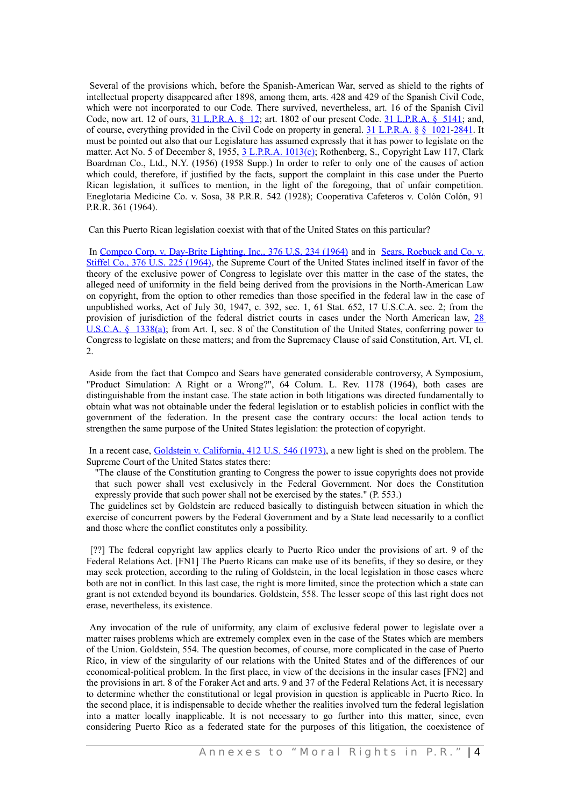Several of the provisions which, before the Spanish-American War, served as shield to the rights of intellectual property disappeared after 1898, among them, arts. 428 and 429 of the Spanish Civil Code, which were not incorporated to our Code. There survived, nevertheless, art. 16 of the Spanish Civil Code, now art. 12 of ours, 31 [L.P.R.A.](http://www.westlaw.com/Find/Default.wl?rs=dfa1.0&vr=2.0&DB=1015876&DocName=PRSSTT31S5141&FindType=L) § 12; art. 1802 of our present Code. 31 L.P.R.A. § 5141; and, of course, everything provided in the Civil Code on property in general. 31 [L.P.R.A.](http://www.westlaw.com/Find/Default.wl?rs=dfa1.0&vr=2.0&DB=1015876&DocName=PRSSTT31S1021&FindType=L) § § 1021[-2841.](http://www.westlaw.com/Find/Default.wl?rs=dfa1.0&vr=2.0&DB=1015876&DocName=PRSSTT31S2841&FindType=L) It must be pointed out also that our Legislature has assumed expressly that it has power to legislate on the matter. Act No. 5 of December 8, 1955, 3 [L.P.R.A.](http://www.westlaw.com/Find/Default.wl?rs=dfa1.0&vr=2.0&DB=1015876&DocName=PRSSTT3S1013&FindType=L) 1013(c); Rothenberg, S., Copyright Law 117, Clark Boardman Co., Ltd., N.Y. (1956) (1958 Supp.) In order to refer to only one of the causes of action which could, therefore, if justified by the facts, support the complaint in this case under the Puerto Rican legislation, it suffices to mention, in the light of the foregoing, that of unfair competition. Eneglotaria Medicine Co. v. Sosa, 38 P.R.R. 542 (1928); Cooperativa Cafeteros v. Colón Colón, 91 P.R.R. 361 (1964).

Can this Puerto Rican legislation coexist with that of the United States on this particular?

In Compco Corp. v. [Day-Brite](http://www.westlaw.com/Find/Default.wl?rs=dfa1.0&vr=2.0&DB=780&FindType=Y&SerialNum=1964124784) Lighting, Inc., 376 U.S. 234 (1964) and in Sears, [Roebuck](http://www.westlaw.com/Find/Default.wl?rs=dfa1.0&vr=2.0&DB=780&FindType=Y&SerialNum=1964124786) and Co. v. Stiffel Co., 376 U.S. 225 [\(1964\),](http://www.westlaw.com/Find/Default.wl?rs=dfa1.0&vr=2.0&DB=780&FindType=Y&SerialNum=1964124786) the Supreme Court of the United States inclined itself in favor of the theory of the exclusive power of Congress to legislate over this matter in the case of the states, the alleged need of uniformity in the field being derived from the provisions in the North-American Law on copyright, from the option to other remedies than those specified in the federal law in the case of unpublished works, Act of July 30, 1947, c. 392, sec. 1, 61 Stat. 652, 17 U.S.C.A. sec. 2; from the provision of jurisdiction of the federal district courts in cases under the North American law, [28](http://www.westlaw.com/Find/Default.wl?rs=dfa1.0&vr=2.0&DB=1000546&DocName=28USCAS1338&FindType=L) [U.S.C.A.](http://www.westlaw.com/Find/Default.wl?rs=dfa1.0&vr=2.0&DB=1000546&DocName=28USCAS1338&FindType=L) § 1338(a); from Art. I, sec. 8 of the Constitution of the United States, conferring power to Congress to legislate on these matters; and from the Supremacy Clause of said Constitution, Art. VI, cl. 2.

Aside from the fact that Compco and Sears have generated considerable controversy, A Symposium, "Product Simulation: A Right or a Wrong?", 64 Colum. L. Rev. 1178 (1964), both cases are distinguishable from the instant case. The state action in both litigations was directed fundamentally to obtain what was not obtainable under the federal legislation or to establish policies in conflict with the government of the federation. In the present case the contrary occurs: the local action tends to strengthen the same purpose of the United States legislation: the protection of copyright.

In a recent case, Goldstein v. [California,](http://www.westlaw.com/Find/Default.wl?rs=dfa1.0&vr=2.0&DB=780&FindType=Y&SerialNum=1973126419) 412 U.S. 546 (1973), a new light is shed on the problem. The Supreme Court of the United States states there:

"The clause of the Constitution granting to Congress the power to issue copyrights does not provide that such power shall vest exclusively in the Federal Government. Nor does the Constitution expressly provide that such power shall not be exercised by the states." (P. 553.)

The guidelines set by Goldstein are reduced basically to distinguish between situation in which the exercise of concurrent powers by the Federal Government and by a State lead necessarily to a conflict and those where the conflict constitutes only a possibility.

[??] The federal copyright law applies clearly to Puerto Rico under the provisions of art. 9 of the Federal Relations Act. [FN1] The Puerto Ricans can make use of its benefits, if they so desire, or they may seek protection, according to the ruling of Goldstein, in the local legislation in those cases where both are not in conflict. In this last case, the right is more limited, since the protection which a state can grant is not extended beyond its boundaries. Goldstein, 558. The lesser scope of this last right does not erase, nevertheless, its existence.

Any invocation of the rule of uniformity, any claim of exclusive federal power to legislate over a matter raises problems which are extremely complex even in the case of the States which are members of the Union. Goldstein, 554. The question becomes, of course, more complicated in the case of Puerto Rico, in view of the singularity of our relations with the United States and of the differences of our economical-political problem. In the first place, in view of the decisions in the insular cases [FN2] and the provisions in art. 8 of the Foraker Act and arts. 9 and 37 of the Federal Relations Act, it is necessary to determine whether the constitutional or legal provision in question is applicable in Puerto Rico. In the second place, it is indispensable to decide whether the realities involved turn the federal legislation into a matter locally inapplicable. It is not necessary to go further into this matter, since, even considering Puerto Rico as a federated state for the purposes of this litigation, the coexistence of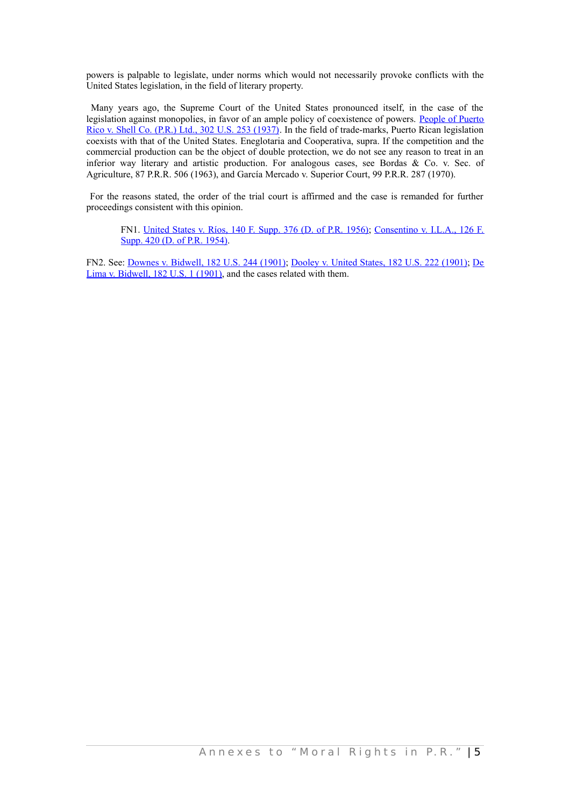powers is palpable to legislate, under norms which would not necessarily provoke conflicts with the United States legislation, in the field of literary property.

Many years ago, the Supreme Court of the United States pronounced itself, in the case of the legislation against monopolies, in favor of an ample policy of coexistence of powers. [People](http://www.westlaw.com/Find/Default.wl?rs=dfa1.0&vr=2.0&DB=780&FindType=Y&SerialNum=1937123076) of Puerto Rico v. Shell Co. (P.R.) Ltd., 302 U.S. 253 [\(1937\).](http://www.westlaw.com/Find/Default.wl?rs=dfa1.0&vr=2.0&DB=780&FindType=Y&SerialNum=1937123076) In the field of trade-marks, Puerto Rican legislation coexists with that of the United States. Eneglotaria and Cooperativa, supra. If the competition and the commercial production can be the object of double protection, we do not see any reason to treat in an inferior way literary and artistic production. For analogous cases, see Bordas & Co. v. Sec. of Agriculture, 87 P.R.R. 506 (1963), and García Mercado v. Superior Court, 99 P.R.R. 287 (1970).

For the reasons stated, the order of the trial court is affirmed and the case is remanded for further proceedings consistent with this opinion.

FN1. [United](http://www.westlaw.com/Find/Default.wl?rs=dfa1.0&vr=2.0&DB=345&FindType=Y&SerialNum=1956112068) States v. Ríos, 140 F. Supp. 376 (D. of P.R. 1956); [Consentino](http://www.westlaw.com/Find/Default.wl?rs=dfa1.0&vr=2.0&DB=345&FindType=Y&SerialNum=1955117973) v. I.L.A., 126 F. [Supp. 420 \(D. of P.R. 1954\).](http://www.westlaw.com/Find/Default.wl?rs=dfa1.0&vr=2.0&DB=345&FindType=Y&SerialNum=1955117973)

FN2. See: Downes v. [Bidwell,](http://www.westlaw.com/Find/Default.wl?rs=dfa1.0&vr=2.0&DB=780&FindType=Y&SerialNum=1901103898) 182 U.S. 244 (1901); [Dooley](http://www.westlaw.com/Find/Default.wl?rs=dfa1.0&vr=2.0&DB=780&FindType=Y&SerialNum=1901103897) v. United States, 182 U.S. 222 (1901); [De](http://www.westlaw.com/Find/Default.wl?rs=dfa1.0&vr=2.0&DB=780&FindType=Y&SerialNum=1901103754) [Lima v. Bidwell, 182 U.S. 1 \(1901\),](http://www.westlaw.com/Find/Default.wl?rs=dfa1.0&vr=2.0&DB=780&FindType=Y&SerialNum=1901103754) and the cases related with them.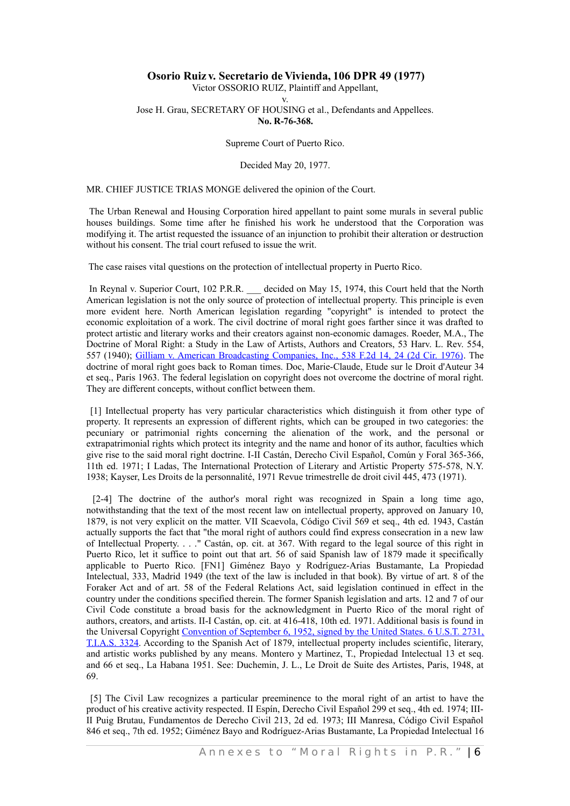## **Osorio Ruiz v. Secretario de Vivienda, 106 DPR 49 (1977)**

#### Victor OSSORIO RUIZ, Plaintiff and Appellant, v. Jose H. Grau, SECRETARY OF HOUSING et al., Defendants and Appellees. **No. R-76-368.**

Supreme Court of Puerto Rico.

#### Decided May 20, 1977.

### MR. CHIEF JUSTICE TRIAS MONGE delivered the opinion of the Court.

The Urban Renewal and Housing Corporation hired appellant to paint some murals in several public houses buildings. Some time after he finished his work he understood that the Corporation was modifying it. The artist requested the issuance of an injunction to prohibit their alteration or destruction without his consent. The trial court refused to issue the writ.

The case raises vital questions on the protection of intellectual property in Puerto Rico.

In Reynal v. Superior Court, 102 P.R.R. decided on May 15, 1974, this Court held that the North American legislation is not the only source of protection of intellectual property. This principle is even more evident here. North American legislation regarding "copyright" is intended to protect the economic exploitation of a work. The civil doctrine of moral right goes farther since it was drafted to protect artistic and literary works and their creators against non-economic damages. Roeder, M.A., The Doctrine of Moral Right: a Study in the Law of Artists, Authors and Creators, 53 Harv. L. Rev. 554, 557 (1940); Gilliam v. American [Broadcasting](http://www.westlaw.com/Find/Default.wl?rs=dfa1.0&vr=2.0&DB=350&FindType=Y&ReferencePositionType=S&SerialNum=1976123836&ReferencePosition=24) Companies, Inc., 538 F.2d 14, 24 (2d Cir. 1976). The doctrine of moral right goes back to Roman times. Doc, Marie-Claude, Etude sur le Droit d'Auteur 34 et seq., Paris 1963. The federal legislation on copyright does not overcome the doctrine of moral right. They are different concepts, without conflict between them.

[1] Intellectual property has very particular characteristics which distinguish it from other type of property. It represents an expression of different rights, which can be grouped in two categories: the pecuniary or patrimonial rights concerning the alienation of the work, and the personal or extrapatrimonial rights which protect its integrity and the name and honor of its author, faculties which give rise to the said moral right doctrine. I-II Castán, Derecho Civil Español, Común y Foral 365-366, 11th ed. 1971; I Ladas, The International Protection of Literary and Artistic Property 575-578, N.Y. 1938; Kayser, Les Droits de la personnalité, 1971 Revue trimestrelle de droit civil 445, 473 (1971).

[2-4] The doctrine of the author's moral right was recognized in Spain a long time ago, notwithstanding that the text of the most recent law on intellectual property, approved on January 10, 1879, is not very explicit on the matter. VII Scaevola, Código Civil 569 et seq., 4th ed. 1943, Castán actually supports the fact that "the moral right of authors could find express consecration in a new law of Intellectual Property. . . ." Castán, op. cit. at 367. With regard to the legal source of this right in Puerto Rico, let it suffice to point out that art. 56 of said Spanish law of 1879 made it specifically applicable to Puerto Rico. [FN1] Giménez Bayo y Rodríguez-Arias Bustamante, La Propiedad Intelectual, 333, Madrid 1949 (the text of the law is included in that book). By virtue of art. 8 of the Foraker Act and of art. 58 of the Federal Relations Act, said legislation continued in effect in the country under the conditions specified therein. The former Spanish legislation and arts. 12 and 7 of our Civil Code constitute a broad basis for the acknowledgment in Puerto Rico of the moral right of authors, creators, and artists. II-I Castán, op. cit. at 416-418, 10th ed. 1971. Additional basis is found in the Universal Copyright [Convention](http://www.westlaw.com/Find/Default.wl?rs=dfa1.0&vr=2.0&DB=0006792&FindType=Y&SerialNum=1954045680) of September 6, 1952, signed by the United States. 6 U.S.T. 2731, [T.I.A.S.](http://www.westlaw.com/Find/Default.wl?rs=dfa1.0&vr=2.0&DB=0006792&FindType=Y&SerialNum=1954045680) 3324. According to the Spanish Act of 1879, intellectual property includes scientific, literary, and artistic works published by any means. Montero y Martinez, T., Propiedad Intelectual 13 et seq. and 66 et seq., La Habana 1951. See: Duchemin, J. L., Le Droit de Suite des Artistes, Paris, 1948, at 69.

[5] The Civil Law recognizes a particular preeminence to the moral right of an artist to have the product of his creative activity respected. II Espín, Derecho Civil Español 299 et seq., 4th ed. 1974; III-II Puig Brutau, Fundamentos de Derecho Civil 213, 2d ed. 1973; III Manresa, Código Civil Español 846 et seq., 7th ed. 1952; Giménez Bayo and Rodríguez-Arias Bustamante, La Propiedad Intelectual 16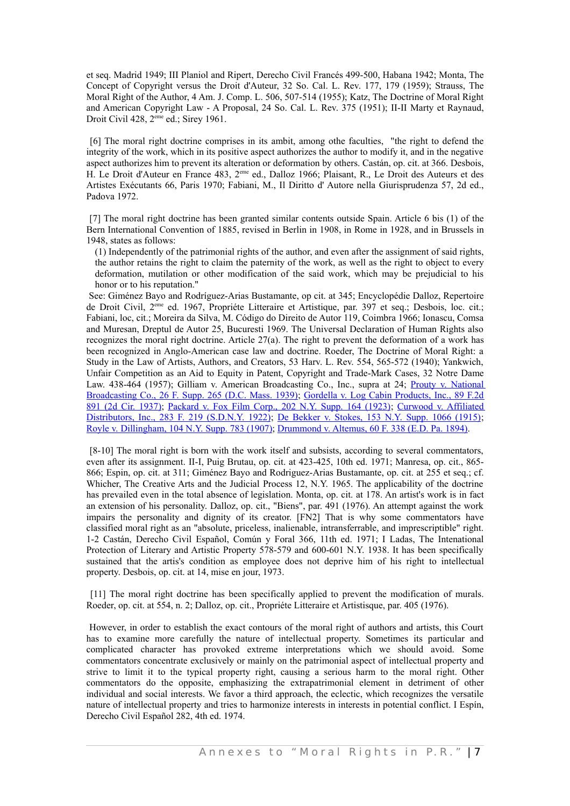et seq. Madrid 1949; III Planiol and Ripert, Derecho Civil Francés 499-500, Habana 1942; Monta, The Concept of Copyright versus the Droit d'Auteur, 32 So. Cal. L. Rev. 177, 179 (1959); Strauss, The Moral Right of the Author, 4 Am. J. Comp. L. 506, 507-514 (1955); Katz, The Doctrine of Moral Right and American Copyright Law - A Proposal, 24 So. Cal. L. Rev. 375 (1951); II-II Marty et Raynaud, Droit Civil 428, 2<sup>eme</sup> ed.; Sirey 1961.

[6] The moral right doctrine comprises in its ambit, among othe faculties, "the right to defend the integrity of the work, which in its positive aspect authorizes the author to modify it, and in the negative aspect authorizes him to prevent its alteration or deformation by others. Castán, op. cit. at 366. Desbois, H. Le Droit d'Auteur en France 483, 2 eme ed., Dalloz 1966; Plaisant, R., Le Droit des Auteurs et des Artistes Exécutants 66, Paris 1970; Fabiani, M., Il Diritto d' Autore nella Giurisprudenza 57, 2d ed., Padova 1972.

[7] The moral right doctrine has been granted similar contents outside Spain. Article 6 bis (1) of the Bern International Convention of 1885, revised in Berlin in 1908, in Rome in 1928, and in Brussels in 1948, states as follows:

(1) Independently of the patrimonial rights of the author, and even after the assignment of said rights, the author retains the right to claim the paternity of the work, as well as the right to object to every deformation, mutilation or other modification of the said work, which may be prejudicial to his honor or to his reputation."

See: Giménez Bayo and Rodríguez-Arias Bustamante, op cit. at 345; Encyclopédie Dalloz, Repertoire de Droit Civil, 2 eme ed. 1967, Propriéte Litteraire et Artistique, par. 397 et seq.; Desbois, loc. cit.; Fabiani, loc, cit.; Moreira da Silva, M. Código do Direito de Autor 119, Coimbra 1966; Ionascu, Comsa and Muresan, Dreptul de Autor 25, Bucuresti 1969. The Universal Declaration of Human Rights also recognizes the moral right doctrine. Article 27(a). The right to prevent the deformation of a work has been recognized in Anglo-American case law and doctrine. Roeder, The Doctrine of Moral Right: a Study in the Law of Artists, Authors, and Creators, 53 Harv. L. Rev. 554, 565-572 (1940); Yankwich, Unfair Competition as an Aid to Equity in Patent, Copyright and Trade-Mark Cases, 32 Notre Dame Law. 438-464 (1957); Gilliam v. American Broadcasting Co., Inc., supra at 24; Prouty v. [National](http://www.westlaw.com/Find/Default.wl?rs=dfa1.0&vr=2.0&DB=345&FindType=Y&SerialNum=1939123727) [Broadcasting](http://www.westlaw.com/Find/Default.wl?rs=dfa1.0&vr=2.0&DB=345&FindType=Y&SerialNum=1939123727) Co., 26 F. Supp. 265 (D.C. Mass. 1939); Gordella v. Log Cabin [Products,](http://www.westlaw.com/Find/Default.wl?rs=dfa1.0&vr=2.0&DB=350&FindType=Y&SerialNum=1937121667) Inc., 89 F.2d 891 (2d Cir. [1937\);](http://www.westlaw.com/Find/Default.wl?rs=dfa1.0&vr=2.0&DB=350&FindType=Y&SerialNum=1937121667) [Packard](http://www.westlaw.com/Find/Default.wl?rs=dfa1.0&vr=2.0&DB=601&FindType=Y&SerialNum=1923127041) v. Fox Film Corp., 202 N.Y. Supp. 164 (1923); Curwood v. [Affiliated](http://www.westlaw.com/Find/Default.wl?rs=dfa1.0&vr=2.0&DB=348&FindType=Y&SerialNum=1922122485) [Distributors,](http://www.westlaw.com/Find/Default.wl?rs=dfa1.0&vr=2.0&DB=348&FindType=Y&SerialNum=1922122485) Inc., 283 F. 219 (S.D.N.Y. 1922); De Bekker v. [Stokes,](http://www.westlaw.com/Find/Default.wl?rs=dfa1.0&vr=2.0&DB=601&FindType=Y&SerialNum=1915006945) 153 N.Y. Supp. 1066 (1915); [Royle v. Dillingham, 104 N.Y. Supp. 783 \(1907\);](http://www.westlaw.com/Find/Default.wl?rs=dfa1.0&vr=2.0&DB=601&FindType=Y&SerialNum=1907020873) [Drummond v. Altemus, 60 F. 338 \(E.D. Pa. 1894\).](http://www.westlaw.com/Find/Default.wl?rs=dfa1.0&vr=2.0&DB=348&FindType=Y&SerialNum=1894138464)

[8-10] The moral right is born with the work itself and subsists, according to several commentators, even after its assignment. II-I, Puig Brutau, op. cit. at 423-425, 10th ed. 1971; Manresa, op. cit., 865- 866; Espin, op. cit. at 311; Giménez Bayo and Rodriguez-Arias Bustamante, op. cit. at 255 et seq.; cf. Whicher, The Creative Arts and the Judicial Process 12, N.Y. 1965. The applicability of the doctrine has prevailed even in the total absence of legislation. Monta, op. cit. at 178. An artist's work is in fact an extension of his personality. Dalloz, op. cit., "Biens", par. 491 (1976). An attempt against the work impairs the personality and dignity of its creator. [FN2] That is why some commentators have classified moral right as an "absolute, priceless, inalienable, intransferrable, and imprescriptible" right. 1-2 Castán, Derecho Civil Español, Común y Foral 366, 11th ed. 1971; I Ladas, The Intenational Protection of Literary and Artistic Property 578-579 and 600-601 N.Y. 1938. It has been specifically sustained that the artis's condition as employee does not deprive him of his right to intellectual property. Desbois, op. cit. at 14, mise en jour, 1973.

[11] The moral right doctrine has been specifically applied to prevent the modification of murals. Roeder, op. cit. at 554, n. 2; Dalloz, op. cit., Propriéte Litteraire et Artistisque, par. 405 (1976).

However, in order to establish the exact contours of the moral right of authors and artists, this Court has to examine more carefully the nature of intellectual property. Sometimes its particular and complicated character has provoked extreme interpretations which we should avoid. Some commentators concentrate exclusively or mainly on the patrimonial aspect of intellectual property and strive to limit it to the typical property right, causing a serious harm to the moral right. Other commentators do the opposite, emphasizing the extrapatrimonial element in detriment of other individual and social interests. We favor a third approach, the eclectic, which recognizes the versatile nature of intellectual property and tries to harmonize interests in interests in potential conflict. I Espín, Derecho Civil Español 282, 4th ed. 1974.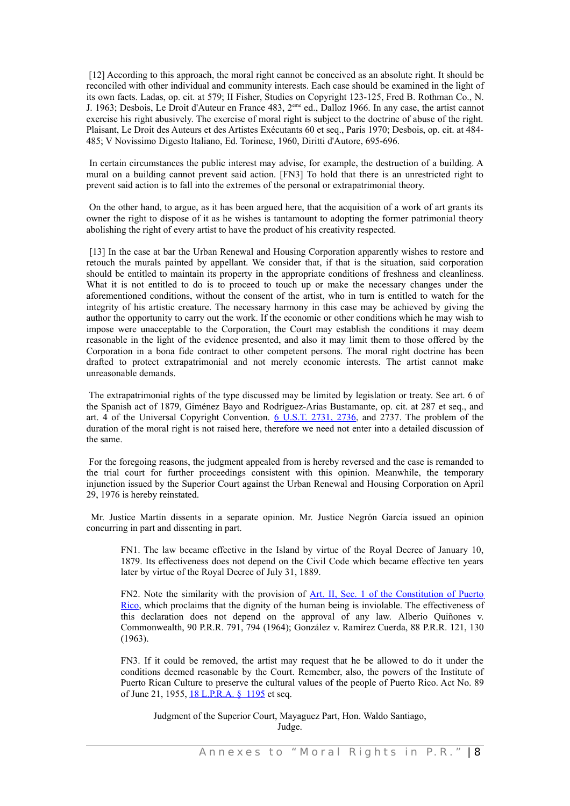[12] According to this approach, the moral right cannot be conceived as an absolute right. It should be reconciled with other individual and community interests. Each case should be examined in the light of its own facts. Ladas, op. cit. at 579; II Fisher, Studies on Copyright 123-125, Fred B. Rothman Co., N. J. 1963; Desbois, Le Droit d'Auteur en France 483, 2 eme ed., Dalloz 1966. In any case, the artist cannot exercise his right abusively. The exercise of moral right is subject to the doctrine of abuse of the right. Plaisant, Le Droit des Auteurs et des Artistes Exécutants 60 et seq., Paris 1970; Desbois, op. cit. at 484- 485; V Novissimo Digesto Italiano, Ed. Torinese, 1960, Diritti d'Autore, 695-696.

In certain circumstances the public interest may advise, for example, the destruction of a building. A mural on a building cannot prevent said action. [FN3] To hold that there is an unrestricted right to prevent said action is to fall into the extremes of the personal or extrapatrimonial theory.

On the other hand, to argue, as it has been argued here, that the acquisition of a work of art grants its owner the right to dispose of it as he wishes is tantamount to adopting the former patrimonial theory abolishing the right of every artist to have the product of his creativity respected.

[13] In the case at bar the Urban Renewal and Housing Corporation apparently wishes to restore and retouch the murals painted by appellant. We consider that, if that is the situation, said corporation should be entitled to maintain its property in the appropriate conditions of freshness and cleanliness. What it is not entitled to do is to proceed to touch up or make the necessary changes under the aforementioned conditions, without the consent of the artist, who in turn is entitled to watch for the integrity of his artistic creature. The necessary harmony in this case may be achieved by giving the author the opportunity to carry out the work. If the economic or other conditions which he may wish to impose were unacceptable to the Corporation, the Court may establish the conditions it may deem reasonable in the light of the evidence presented, and also it may limit them to those offered by the Corporation in a bona fide contract to other competent persons. The moral right doctrine has been drafted to protect extrapatrimonial and not merely economic interests. The artist cannot make unreasonable demands.

The extrapatrimonial rights of the type discussed may be limited by legislation or treaty. See art. 6 of the Spanish act of 1879, Giménez Bayo and Rodríguez-Arias Bustamante, op. cit. at 287 et seq., and art. 4 of the Universal Copyright Convention. 6 [U.S.T.](http://www.westlaw.com/Find/Default.wl?rs=dfa1.0&vr=2.0&DB=0006792&FindType=Y&ReferencePositionType=S&SerialNum=1954045680&ReferencePosition=2736) 2731, 2736, and 2737. The problem of the duration of the moral right is not raised here, therefore we need not enter into a detailed discussion of the same.

For the foregoing reasons, the judgment appealed from is hereby reversed and the case is remanded to the trial court for further proceedings consistent with this opinion. Meanwhile, the temporary injunction issued by the Superior Court against the Urban Renewal and Housing Corporation on April 29, 1976 is hereby reinstated.

Mr. Justice Martín dissents in a separate opinion. Mr. Justice Negrón García issued an opinion concurring in part and dissenting in part.

FN1. The law became effective in the Island by virtue of the Royal Decree of January 10, 1879. Its effectiveness does not depend on the Civil Code which became effective ten years later by virtue of the Royal Decree of July 31, 1889.

FN2. Note the similarity with the provision of Art. II, Sec. 1 of the [Constitution](http://www.westlaw.com/Find/Default.wl?rs=dfa1.0&vr=2.0&DB=1015876&DocName=PRCNARTIIS1&FindType=L) of Puerto [Rico,](http://www.westlaw.com/Find/Default.wl?rs=dfa1.0&vr=2.0&DB=1015876&DocName=PRCNARTIIS1&FindType=L) which proclaims that the dignity of the human being is inviolable. The effectiveness of this declaration does not depend on the approval of any law. Alberio Quiñones v. Commonwealth, 90 P.R.R. 791, 794 (1964); González v. Ramírez Cuerda, 88 P.R.R. 121, 130 (1963).

FN3. If it could be removed, the artist may request that he be allowed to do it under the conditions deemed reasonable by the Court. Remember, also, the powers of the Institute of Puerto Rican Culture to preserve the cultural values of the people of Puerto Rico. Act No. 89 of June 21, 1955, [18 L.P.R.A. § 1195](http://www.westlaw.com/Find/Default.wl?rs=dfa1.0&vr=2.0&DB=1015876&DocName=PRSSTT18S1195&FindType=L) et seq.

 Judgment of the Superior Court, Mayaguez Part, Hon. Waldo Santiago, Judge.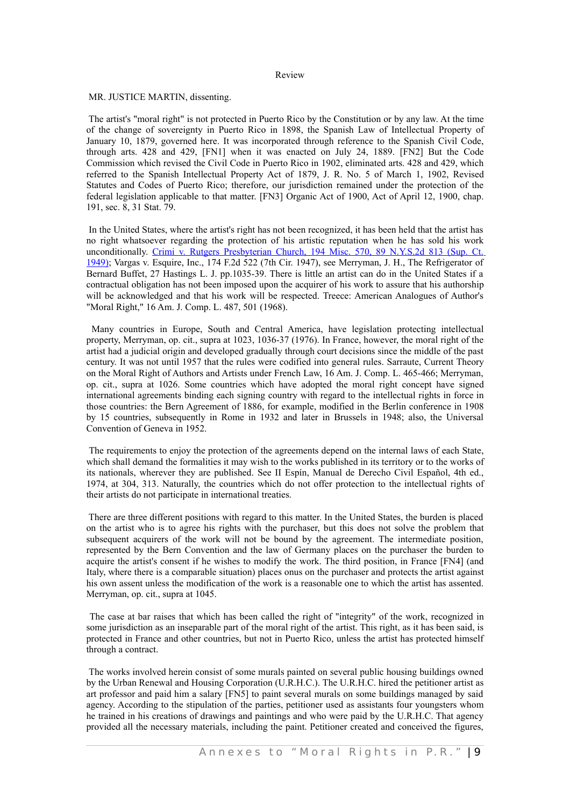#### Review

MR. JUSTICE MARTIN, dissenting.

 The artist's "moral right" is not protected in Puerto Rico by the Constitution or by any law. At the time of the change of sovereignty in Puerto Rico in 1898, the Spanish Law of Intellectual Property of January 10, 1879, governed here. It was incorporated through reference to the Spanish Civil Code, through arts. 428 and 429, [FN1] when it was enacted on July 24, 1889. [FN2] But the Code Commission which revised the Civil Code in Puerto Rico in 1902, eliminated arts. 428 and 429, which referred to the Spanish Intellectual Property Act of 1879, J. R. No. 5 of March 1, 1902, Revised Statutes and Codes of Puerto Rico; therefore, our jurisdiction remained under the protection of the federal legislation applicable to that matter. [FN3] Organic Act of 1900, Act of April 12, 1900, chap. 191, sec. 8, 31 Stat. 79.

In the United States, where the artist's right has not been recognized, it has been held that the artist has no right whatsoever regarding the protection of his artistic reputation when he has sold his work unconditionally. Crimi v. Rutgers [Presbyterian](http://www.westlaw.com/Find/Default.wl?rs=dfa1.0&vr=2.0&DB=602&FindType=Y&SerialNum=1949100317) Church, 194 Misc. 570, 89 N.Y.S.2d 813 (Sup. Ct. [1949\);](http://www.westlaw.com/Find/Default.wl?rs=dfa1.0&vr=2.0&DB=602&FindType=Y&SerialNum=1949100317) Vargas v. Esquire, Inc., 174 F.2d 522 (7th Cir. 1947), see Merryman, J. H., The Refrigerator of Bernard Buffet, 27 Hastings L. J. pp.1035-39. There is little an artist can do in the United States if a contractual obligation has not been imposed upon the acquirer of his work to assure that his authorship will be acknowledged and that his work will be respected. Treece: American Analogues of Author's "Moral Right," 16 Am. J. Comp. L. 487, 501 (1968).

Many countries in Europe, South and Central America, have legislation protecting intellectual property, Merryman, op. cit., supra at 1023, 1036-37 (1976). In France, however, the moral right of the artist had a judicial origin and developed gradually through court decisions since the middle of the past century. It was not until 1957 that the rules were codified into general rules. Sarraute, Current Theory on the Moral Right of Authors and Artists under French Law, 16 Am. J. Comp. L. 465-466; Merryman, op. cit., supra at 1026. Some countries which have adopted the moral right concept have signed international agreements binding each signing country with regard to the intellectual rights in force in those countries: the Bern Agreement of 1886, for example, modified in the Berlin conference in 1908 by 15 countries, subsequently in Rome in 1932 and later in Brussels in 1948; also, the Universal Convention of Geneva in 1952.

The requirements to enjoy the protection of the agreements depend on the internal laws of each State, which shall demand the formalities it may wish to the works published in its territory or to the works of its nationals, wherever they are published. See II Espín, Manual de Derecho Civil Español, 4th ed., 1974, at 304, 313. Naturally, the countries which do not offer protection to the intellectual rights of their artists do not participate in international treaties.

 There are three different positions with regard to this matter. In the United States, the burden is placed on the artist who is to agree his rights with the purchaser, but this does not solve the problem that subsequent acquirers of the work will not be bound by the agreement. The intermediate position, represented by the Bern Convention and the law of Germany places on the purchaser the burden to acquire the artist's consent if he wishes to modify the work. The third position, in France [FN4] (and Italy, where there is a comparable situation) places onus on the purchaser and protects the artist against his own assent unless the modification of the work is a reasonable one to which the artist has assented. Merryman, op. cit., supra at 1045.

The case at bar raises that which has been called the right of "integrity" of the work, recognized in some jurisdiction as an inseparable part of the moral right of the artist. This right, as it has been said, is protected in France and other countries, but not in Puerto Rico, unless the artist has protected himself through a contract.

The works involved herein consist of some murals painted on several public housing buildings owned by the Urban Renewal and Housing Corporation (U.R.H.C.). The U.R.H.C. hired the petitioner artist as art professor and paid him a salary [FN5] to paint several murals on some buildings managed by said agency. According to the stipulation of the parties, petitioner used as assistants four youngsters whom he trained in his creations of drawings and paintings and who were paid by the U.R.H.C. That agency provided all the necessary materials, including the paint. Petitioner created and conceived the figures,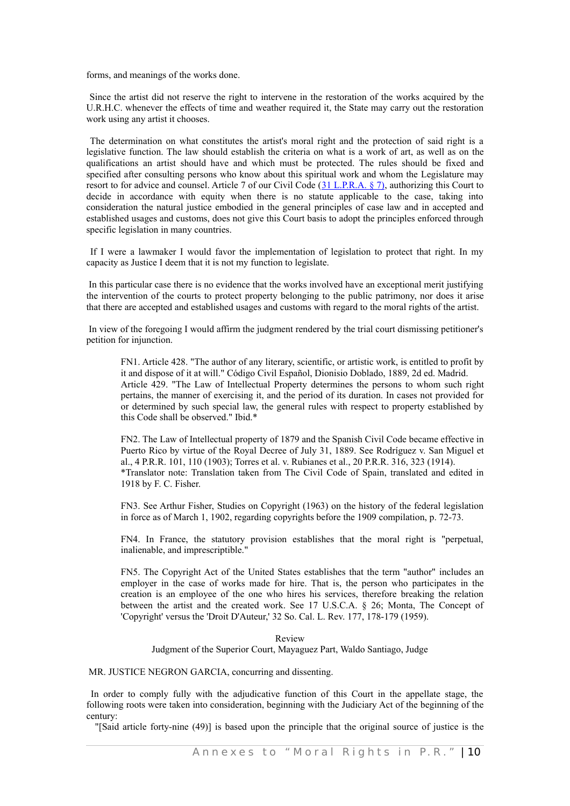forms, and meanings of the works done.

Since the artist did not reserve the right to intervene in the restoration of the works acquired by the U.R.H.C. whenever the effects of time and weather required it, the State may carry out the restoration work using any artist it chooses.

The determination on what constitutes the artist's moral right and the protection of said right is a legislative function. The law should establish the criteria on what is a work of art, as well as on the qualifications an artist should have and which must be protected. The rules should be fixed and specified after consulting persons who know about this spiritual work and whom the Legislature may resort to for advice and counsel. Article 7 of our Civil Code (31 [L.P.R.A. § 7\),](http://www.westlaw.com/Find/Default.wl?rs=dfa1.0&vr=2.0&DB=1015876&DocName=PRSSTT31S7&FindType=L) authorizing this Court to decide in accordance with equity when there is no statute applicable to the case, taking into consideration the natural justice embodied in the general principles of case law and in accepted and established usages and customs, does not give this Court basis to adopt the principles enforced through specific legislation in many countries.

If I were a lawmaker I would favor the implementation of legislation to protect that right. In my capacity as Justice I deem that it is not my function to legislate.

In this particular case there is no evidence that the works involved have an exceptional merit justifying the intervention of the courts to protect property belonging to the public patrimony, nor does it arise that there are accepted and established usages and customs with regard to the moral rights of the artist.

In view of the foregoing I would affirm the judgment rendered by the trial court dismissing petitioner's petition for injunction.

FN1. Article 428. "The author of any literary, scientific, or artistic work, is entitled to profit by it and dispose of it at will." Código Civil Español, Dionisio Doblado, 1889, 2d ed. Madrid. Article 429. "The Law of Intellectual Property determines the persons to whom such right pertains, the manner of exercising it, and the period of its duration. In cases not provided for or determined by such special law, the general rules with respect to property established by this Code shall be observed." Ibid.\*

FN2. The Law of Intellectual property of 1879 and the Spanish Civil Code became effective in Puerto Rico by virtue of the Royal Decree of July 31, 1889. See Rodríguez v. San Miguel et al., 4 P.R.R. 101, 110 (1903); Torres et al. v. Rubianes et al., 20 P.R.R. 316, 323 (1914). \*Translator note: Translation taken from The Civil Code of Spain, translated and edited in 1918 by F. C. Fisher.

FN3. See Arthur Fisher, Studies on Copyright (1963) on the history of the federal legislation in force as of March 1, 1902, regarding copyrights before the 1909 compilation, p. 72-73.

FN4. In France, the statutory provision establishes that the moral right is "perpetual, inalienable, and imprescriptible."

FN5. The Copyright Act of the United States establishes that the term "author" includes an employer in the case of works made for hire. That is, the person who participates in the creation is an employee of the one who hires his services, therefore breaking the relation between the artist and the created work. See 17 U.S.C.A. § 26; Monta, The Concept of 'Copyright' versus the 'Droit D'Auteur,' 32 So. Cal. L. Rev. 177, 178-179 (1959).

#### Review

Judgment of the Superior Court, Mayaguez Part, Waldo Santiago, Judge

#### MR. JUSTICE NEGRON GARCIA, concurring and dissenting.

In order to comply fully with the adjudicative function of this Court in the appellate stage, the following roots were taken into consideration, beginning with the Judiciary Act of the beginning of the century:

"[Said article forty-nine (49)] is based upon the principle that the original source of justice is the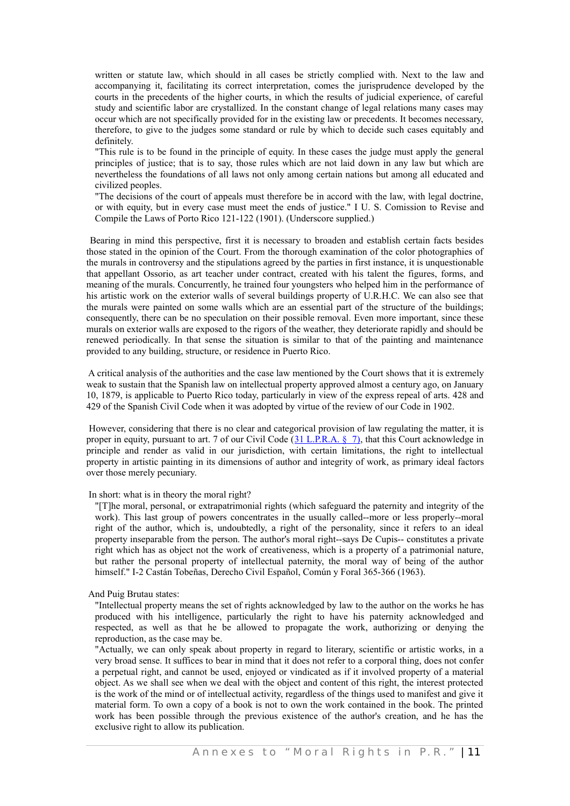written or statute law, which should in all cases be strictly complied with. Next to the law and accompanying it, facilitating its correct interpretation, comes the jurisprudence developed by the courts in the precedents of the higher courts, in which the results of judicial experience, of careful study and scientific labor are crystallized. In the constant change of legal relations many cases may occur which are not specifically provided for in the existing law or precedents. It becomes necessary, therefore, to give to the judges some standard or rule by which to decide such cases equitably and definitely.

"This rule is to be found in the principle of equity. In these cases the judge must apply the general principles of justice; that is to say, those rules which are not laid down in any law but which are nevertheless the foundations of all laws not only among certain nations but among all educated and civilized peoples.

"The decisions of the court of appeals must therefore be in accord with the law, with legal doctrine, or with equity, but in every case must meet the ends of justice." I U. S. Comission to Revise and Compile the Laws of Porto Rico 121-122 (1901). (Underscore supplied.)

Bearing in mind this perspective, first it is necessary to broaden and establish certain facts besides those stated in the opinion of the Court. From the thorough examination of the color photographies of the murals in controversy and the stipulations agreed by the parties in first instance, it is unquestionable that appellant Ossorio, as art teacher under contract, created with his talent the figures, forms, and meaning of the murals. Concurrently, he trained four youngsters who helped him in the performance of his artistic work on the exterior walls of several buildings property of U.R.H.C. We can also see that the murals were painted on some walls which are an essential part of the structure of the buildings; consequently, there can be no speculation on their possible removal. Even more important, since these murals on exterior walls are exposed to the rigors of the weather, they deteriorate rapidly and should be renewed periodically. In that sense the situation is similar to that of the painting and maintenance provided to any building, structure, or residence in Puerto Rico.

A critical analysis of the authorities and the case law mentioned by the Court shows that it is extremely weak to sustain that the Spanish law on intellectual property approved almost a century ago, on January 10, 1879, is applicable to Puerto Rico today, particularly in view of the express repeal of arts. 428 and 429 of the Spanish Civil Code when it was adopted by virtue of the review of our Code in 1902.

However, considering that there is no clear and categorical provision of law regulating the matter, it is proper in equity, pursuant to art. 7 of our Civil Code (31 [L.P.R.A.](http://www.westlaw.com/Find/Default.wl?rs=dfa1.0&vr=2.0&DB=1015876&DocName=PRSSTT31S7&FindType=L) § 7), that this Court acknowledge in principle and render as valid in our jurisdiction, with certain limitations, the right to intellectual property in artistic painting in its dimensions of author and integrity of work, as primary ideal factors over those merely pecuniary.

#### In short: what is in theory the moral right?

"[T]he moral, personal, or extrapatrimonial rights (which safeguard the paternity and integrity of the work). This last group of powers concentrates in the usually called--more or less properly--moral right of the author, which is, undoubtedly, a right of the personality, since it refers to an ideal property inseparable from the person. The author's moral right--says De Cupis-- constitutes a private right which has as object not the work of creativeness, which is a property of a patrimonial nature, but rather the personal property of intellectual paternity, the moral way of being of the author himself." I-2 Castán Tobeñas, Derecho Civil Español, Común y Foral 365-366 (1963).

#### And Puig Brutau states:

"Intellectual property means the set of rights acknowledged by law to the author on the works he has produced with his intelligence, particularly the right to have his paternity acknowledged and respected, as well as that he be allowed to propagate the work, authorizing or denying the reproduction, as the case may be.

"Actually, we can only speak about property in regard to literary, scientific or artistic works, in a very broad sense. It suffices to bear in mind that it does not refer to a corporal thing, does not confer a perpetual right, and cannot be used, enjoyed or vindicated as if it involved property of a material object. As we shall see when we deal with the object and content of this right, the interest protected is the work of the mind or of intellectual activity, regardless of the things used to manifest and give it material form. To own a copy of a book is not to own the work contained in the book. The printed work has been possible through the previous existence of the author's creation, and he has the exclusive right to allow its publication.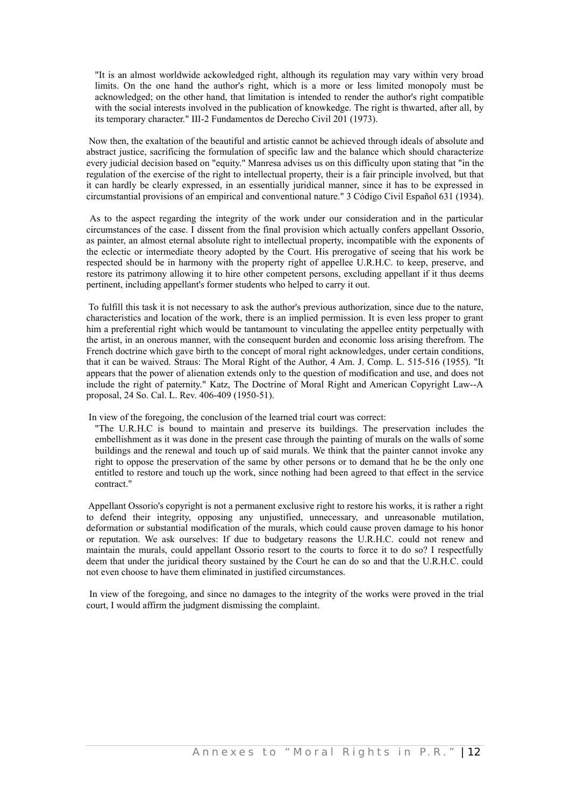"It is an almost worldwide ackowledged right, although its regulation may vary within very broad limits. On the one hand the author's right, which is a more or less limited monopoly must be acknowledged; on the other hand, that limitation is intended to render the author's right compatible with the social interests involved in the publication of knowkedge. The right is thwarted, after all, by its temporary character." III-2 Fundamentos de Derecho Civil 201 (1973).

Now then, the exaltation of the beautiful and artistic cannot be achieved through ideals of absolute and abstract justice, sacrificing the formulation of specific law and the balance which should characterize every judicial decision based on "equity." Manresa advises us on this difficulty upon stating that "in the regulation of the exercise of the right to intellectual property, their is a fair principle involved, but that it can hardly be clearly expressed, in an essentially juridical manner, since it has to be expressed in circumstantial provisions of an empirical and conventional nature." 3 Código Civil Español 631 (1934).

As to the aspect regarding the integrity of the work under our consideration and in the particular circumstances of the case. I dissent from the final provision which actually confers appellant Ossorio, as painter, an almost eternal absolute right to intellectual property, incompatible with the exponents of the eclectic or intermediate theory adopted by the Court. His prerogative of seeing that his work be respected should be in harmony with the property right of appellee U.R.H.C. to keep, preserve, and restore its patrimony allowing it to hire other competent persons, excluding appellant if it thus deems pertinent, including appellant's former students who helped to carry it out.

 To fulfill this task it is not necessary to ask the author's previous authorization, since due to the nature, characteristics and location of the work, there is an implied permission. It is even less proper to grant him a preferential right which would be tantamount to vinculating the appellee entity perpetually with the artist, in an onerous manner, with the consequent burden and economic loss arising therefrom. The French doctrine which gave birth to the concept of moral right acknowledges, under certain conditions, that it can be waived. Straus: The Moral Right of the Author, 4 Am. J. Comp. L. 515-516 (1955). "It appears that the power of alienation extends only to the question of modification and use, and does not include the right of paternity." Katz, The Doctrine of Moral Right and American Copyright Law--A proposal, 24 So. Cal. L. Rev. 406-409 (1950-51).

In view of the foregoing, the conclusion of the learned trial court was correct:

"The U.R.H.C is bound to maintain and preserve its buildings. The preservation includes the embellishment as it was done in the present case through the painting of murals on the walls of some buildings and the renewal and touch up of said murals. We think that the painter cannot invoke any right to oppose the preservation of the same by other persons or to demand that he be the only one entitled to restore and touch up the work, since nothing had been agreed to that effect in the service contract."

Appellant Ossorio's copyright is not a permanent exclusive right to restore his works, it is rather a right to defend their integrity, opposing any unjustified, unnecessary, and unreasonable mutilation, deformation or substantial modification of the murals, which could cause proven damage to his honor or reputation. We ask ourselves: If due to budgetary reasons the U.R.H.C. could not renew and maintain the murals, could appellant Ossorio resort to the courts to force it to do so? I respectfully deem that under the juridical theory sustained by the Court he can do so and that the U.R.H.C. could not even choose to have them eliminated in justified circumstances.

In view of the foregoing, and since no damages to the integrity of the works were proved in the trial court, I would affirm the judgment dismissing the complaint.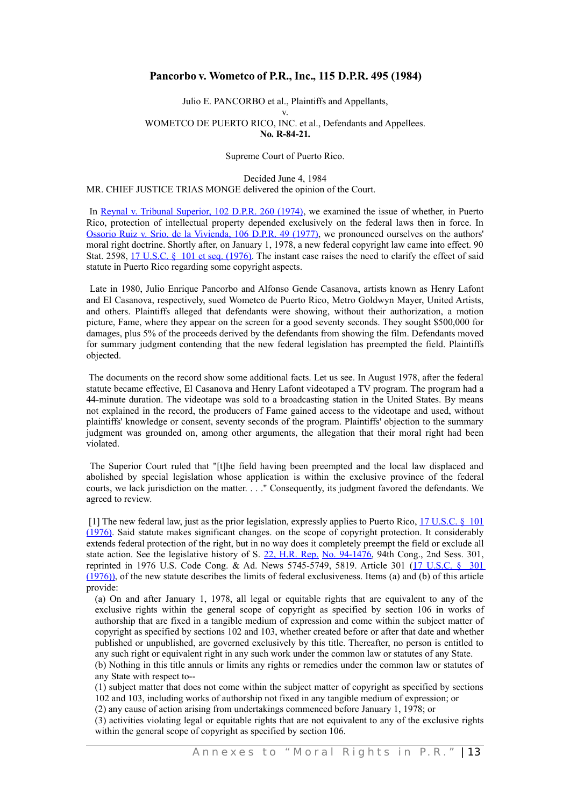## **Pancorbo v. Wometco of P.R., Inc., 115 D.P.R. 495 (1984)**

#### Julio E. PANCORBO et al., Plaintiffs and Appellants, v. WOMETCO DE PUERTO RICO, INC. et al., Defendants and Appellees. **No. R-84-21.**

Supreme Court of Puerto Rico.

Decided June 4, 1984 MR. CHIEF JUSTICE TRIAS MONGE delivered the opinion of the Court.

In Reynal v. Tribunal [Superior,](http://www.westlaw.com/Find/Default.wl?rs=dfa1.0&vr=2.0&DB=2995&FindType=Y&SerialNum=1974022716) 102 D.P.R. 260 (1974), we examined the issue of whether, in Puerto Rico, protection of intellectual property depended exclusively on the federal laws then in force. In Ossorio Ruiz v. Srio. de la [Vivienda,](http://www.westlaw.com/Find/Default.wl?rs=dfa1.0&vr=2.0&DB=2995&FindType=Y&SerialNum=1977019732) 106 D.P.R. 49 (1977), we pronounced ourselves on the authors' moral right doctrine. Shortly after, on January 1, 1978, a new federal copyright law came into effect. 90 Stat. 2598, 17 U.S.C. § 101 et seq. [\(1976\).](http://www.westlaw.com/Find/Default.wl?rs=dfa1.0&vr=2.0&DB=1000546&DocName=17USCAS101&FindType=L) The instant case raises the need to clarify the effect of said statute in Puerto Rico regarding some copyright aspects.

Late in 1980, Julio Enrique Pancorbo and Alfonso Gende Casanova, artists known as Henry Lafont and El Casanova, respectively, sued Wometco de Puerto Rico, Metro Goldwyn Mayer, United Artists, and others. Plaintiffs alleged that defendants were showing, without their authorization, a motion picture, Fame, where they appear on the screen for a good seventy seconds. They sought \$500,000 for damages, plus 5% of the proceeds derived by the defendants from showing the film. Defendants moved for summary judgment contending that the new federal legislation has preempted the field. Plaintiffs objected.

The documents on the record show some additional facts. Let us see. In August 1978, after the federal statute became effective, El Casanova and Henry Lafont videotaped a TV program. The program had a 44-minute duration. The videotape was sold to a broadcasting station in the United States. By means not explained in the record, the producers of Fame gained access to the videotape and used, without plaintiffs' knowledge or consent, seventy seconds of the program. Plaintiffs' objection to the summary judgment was grounded on, among other arguments, the allegation that their moral right had been violated.

The Superior Court ruled that "[t]he field having been preempted and the local law displaced and abolished by special legislation whose application is within the exclusive province of the federal courts, we lack jurisdiction on the matter. . . ." Consequently, its judgment favored the defendants. We agreed to review.

 [1] The new federal law, just as the prior legislation, expressly applies to Puerto Rico, [17 U.S.C. § 101](http://www.westlaw.com/Find/Default.wl?rs=dfa1.0&vr=2.0&DB=1000546&DocName=17USCAS101&FindType=L) [\(1976\).](http://www.westlaw.com/Find/Default.wl?rs=dfa1.0&vr=2.0&DB=1000546&DocName=17USCAS101&FindType=L) Said statute makes significant changes. on the scope of copyright protection. It considerably extends federal protection of the right, but in no way does it completely preempt the field or exclude all state action. See the legislative history of S. 22, [H.R.](http://www.westlaw.com/Find/Default.wl?rs=dfa1.0&vr=2.0&DB=0100014&FindType=Y&SerialNum=0100747631) Rep. No. [94-1476,](http://www.westlaw.com/Find/Default.wl?rs=dfa1.0&vr=2.0&DB=0100014&FindType=Y&SerialNum=0100747631) 94th Cong., 2nd Sess. 301, reprinted in 1976 U.S. Code Cong. & Ad. News 5745-5749, 5819. Article 301 (17 [U.S.C.](http://www.westlaw.com/Find/Default.wl?rs=dfa1.0&vr=2.0&DB=1000546&DocName=17USCAS301&FindType=L) § 301 [\(1976\)\),](http://www.westlaw.com/Find/Default.wl?rs=dfa1.0&vr=2.0&DB=1000546&DocName=17USCAS301&FindType=L) of the new statute describes the limits of federal exclusiveness. Items (a) and (b) of this article provide:

(a) On and after January 1, 1978, all legal or equitable rights that are equivalent to any of the exclusive rights within the general scope of copyright as specified by section 106 in works of authorship that are fixed in a tangible medium of expression and come within the subject matter of copyright as specified by sections 102 and 103, whether created before or after that date and whether published or unpublished, are governed exclusively by this title. Thereafter, no person is entitled to any such right or equivalent right in any such work under the common law or statutes of any State.

(b) Nothing in this title annuls or limits any rights or remedies under the common law or statutes of any State with respect to--

(1) subject matter that does not come within the subject matter of copyright as specified by sections 102 and 103, including works of authorship not fixed in any tangible medium of expression; or

(2) any cause of action arising from undertakings commenced before January 1, 1978; or

(3) activities violating legal or equitable rights that are not equivalent to any of the exclusive rights within the general scope of copyright as specified by section 106.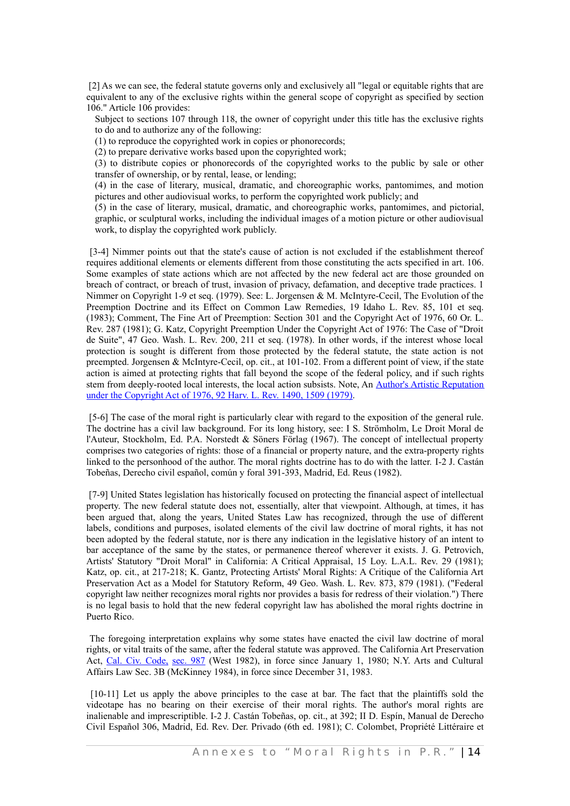[2] As we can see, the federal statute governs only and exclusively all "legal or equitable rights that are equivalent to any of the exclusive rights within the general scope of copyright as specified by section 106." Article 106 provides:

Subject to sections 107 through 118, the owner of copyright under this title has the exclusive rights to do and to authorize any of the following:

(1) to reproduce the copyrighted work in copies or phonorecords;

(2) to prepare derivative works based upon the copyrighted work;

(3) to distribute copies or phonorecords of the copyrighted works to the public by sale or other transfer of ownership, or by rental, lease, or lending;

(4) in the case of literary, musical, dramatic, and choreographic works, pantomimes, and motion pictures and other audiovisual works, to perform the copyrighted work publicly; and

(5) in the case of literary, musical, dramatic, and choreographic works, pantomimes, and pictorial, graphic, or sculptural works, including the individual images of a motion picture or other audiovisual work, to display the copyrighted work publicly.

[3-4] Nimmer points out that the state's cause of action is not excluded if the establishment thereof requires additional elements or elements different from those constituting the acts specified in art. 106. Some examples of state actions which are not affected by the new federal act are those grounded on breach of contract, or breach of trust, invasion of privacy, defamation, and deceptive trade practices. 1 Nimmer on Copyright 1-9 et seq. (1979). See: L. Jorgensen & M. McIntyre-Cecil, The Evolution of the Preemption Doctrine and its Effect on Common Law Remedies, 19 Idaho L. Rev. 85, 101 et seq. (1983); Comment, The Fine Art of Preemption: Section 301 and the Copyright Act of 1976, 60 Or. L. Rev. 287 (1981); G. Katz, Copyright Preemption Under the Copyright Act of 1976: The Case of "Droit de Suite", 47 Geo. Wash. L. Rev. 200, 211 et seq. (1978). In other words, if the interest whose local protection is sought is different from those protected by the federal statute, the state action is not preempted. Jorgensen & McIntyre-Cecil, op. cit., at 101-102. From a different point of view, if the state action is aimed at protecting rights that fall beyond the scope of the federal policy, and if such rights stem from deeply-rooted local interests, the local action subsists. Note, An Author's Artistic [Reputation](http://www.westlaw.com/Find/Default.wl?rs=dfa1.0&vr=2.0&DB=3084&FindType=Y&ReferencePositionType=S&SerialNum=0110405221&ReferencePosition=1509) under the Copyright [Act of 1976, 92 Harv. L. Rev. 1490, 1509 \(1979\).](http://www.westlaw.com/Find/Default.wl?rs=dfa1.0&vr=2.0&DB=3084&FindType=Y&ReferencePositionType=S&SerialNum=0110405221&ReferencePosition=1509)

[5-6] The case of the moral right is particularly clear with regard to the exposition of the general rule. The doctrine has a civil law background. For its long history, see: I S. Strömholm, Le Droit Moral de l'Auteur, Stockholm, Ed. P.A. Norstedt & Söners Förlag (1967). The concept of intellectual property comprises two categories of rights: those of a financial or property nature, and the extra-property rights linked to the personhood of the author. The moral rights doctrine has to do with the latter. I-2 J. Castán Tobeñas, Derecho civil español, común y foral 391-393, Madrid, Ed. Reus (1982).

[7-9] United States legislation has historically focused on protecting the financial aspect of intellectual property. The new federal statute does not, essentially, alter that viewpoint. Although, at times, it has been argued that, along the years, United States Law has recognized, through the use of different labels, conditions and purposes, isolated elements of the civil law doctrine of moral rights, it has not been adopted by the federal statute, nor is there any indication in the legislative history of an intent to bar acceptance of the same by the states, or permanence thereof wherever it exists. J. G. Petrovich, Artists' Statutory "Droit Moral" in California: A Critical Appraisal, 15 Loy. L.A.L. Rev. 29 (1981); Katz, op. cit., at 217-218; K. Gantz, Protecting Artists' Moral Rights: A Critique of the California Art Preservation Act as a Model for Statutory Reform, 49 Geo. Wash. L. Rev. 873, 879 (1981). ("Federal copyright law neither recognizes moral rights nor provides a basis for redress of their violation.") There is no legal basis to hold that the new federal copyright law has abolished the moral rights doctrine in Puerto Rico.

The foregoing interpretation explains why some states have enacted the civil law doctrine of moral rights, or vital traits of the same, after the federal statute was approved. The California Art Preservation Act, Cal. Civ. [Code,](http://www.westlaw.com/Find/Default.wl?rs=dfa1.0&vr=2.0&DB=1000200&DocName=CACIS987&FindType=L) [sec.](http://www.westlaw.com/Find/Default.wl?rs=dfa1.0&vr=2.0&DB=1000200&DocName=CACIS987&FindType=L) 987 (West 1982), in force since January 1, 1980; N.Y. Arts and Cultural Affairs Law Sec. 3B (McKinney 1984), in force since December 31, 1983.

[10-11] Let us apply the above principles to the case at bar. The fact that the plaintiffs sold the videotape has no bearing on their exercise of their moral rights. The author's moral rights are inalienable and imprescriptible. I-2 J. Castán Tobeñas, op. cit., at 392; II D. Espín, Manual de Derecho Civil Español 306, Madrid, Ed. Rev. Der. Privado (6th ed. 1981); C. Colombet, Propriété Littéraire et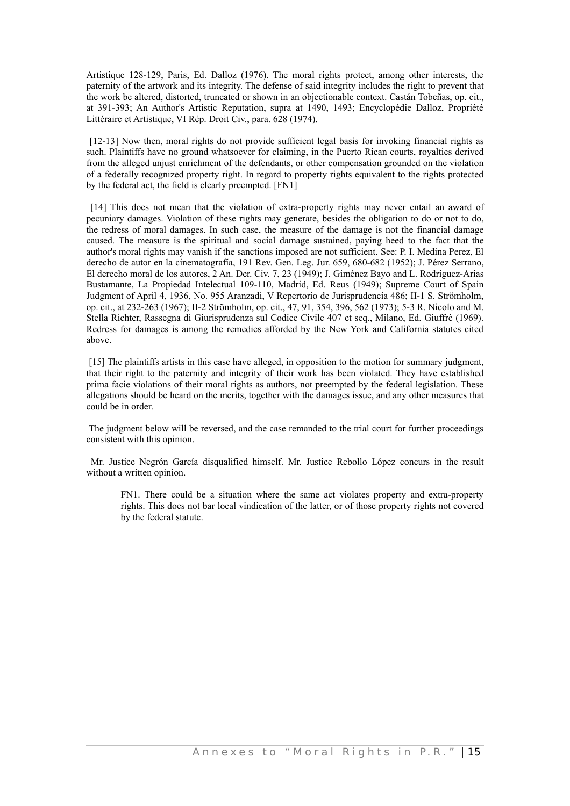Artistique 128-129, Paris, Ed. Dalloz (1976). The moral rights protect, among other interests, the paternity of the artwork and its integrity. The defense of said integrity includes the right to prevent that the work be altered, distorted, truncated or shown in an objectionable context. Castán Tobeñas, op. cit., at 391-393; An Author's Artistic Reputation, supra at 1490, 1493; Encyclopédie Dalloz, Propriété Littéraire et Artistique, VI Rép. Droit Civ., para. 628 (1974).

[12-13] Now then, moral rights do not provide sufficient legal basis for invoking financial rights as such. Plaintiffs have no ground whatsoever for claiming, in the Puerto Rican courts, royalties derived from the alleged unjust enrichment of the defendants, or other compensation grounded on the violation of a federally recognized property right. In regard to property rights equivalent to the rights protected by the federal act, the field is clearly preempted. [FN1]

[14] This does not mean that the violation of extra-property rights may never entail an award of pecuniary damages. Violation of these rights may generate, besides the obligation to do or not to do, the redress of moral damages. In such case, the measure of the damage is not the financial damage caused. The measure is the spiritual and social damage sustained, paying heed to the fact that the author's moral rights may vanish if the sanctions imposed are not sufficient. See: P. I. Medina Perez, El derecho de autor en la cinematografía, 191 Rev. Gen. Leg. Jur. 659, 680-682 (1952); J. Pérez Serrano, El derecho moral de los autores, 2 An. Der. Civ. 7, 23 (1949); J. Giménez Bayo and L. Rodríguez-Arias Bustamante, La Propiedad Intelectual 109-110, Madrid, Ed. Reus (1949); Supreme Court of Spain Judgment of April 4, 1936, No. 955 Aranzadi, V Repertorio de Jurisprudencia 486; II-1 S. Strömholm, op. cit., at 232-263 (1967); II-2 Strömholm, op. cit., 47, 91, 354, 396, 562 (1973); 5-3 R. Nicolo and M. Stella Richter, Rassegna di Giurisprudenza sul Codice Civile 407 et seq., Milano, Ed. Giuffrè (1969). Redress for damages is among the remedies afforded by the New York and California statutes cited above.

[15] The plaintiffs artists in this case have alleged, in opposition to the motion for summary judgment, that their right to the paternity and integrity of their work has been violated. They have established prima facie violations of their moral rights as authors, not preempted by the federal legislation. These allegations should be heard on the merits, together with the damages issue, and any other measures that could be in order.

The judgment below will be reversed, and the case remanded to the trial court for further proceedings consistent with this opinion.

Mr. Justice Negrón García disqualified himself. Mr. Justice Rebollo López concurs in the result without a written opinion.

FN1. There could be a situation where the same act violates property and extra-property rights. This does not bar local vindication of the latter, or of those property rights not covered by the federal statute.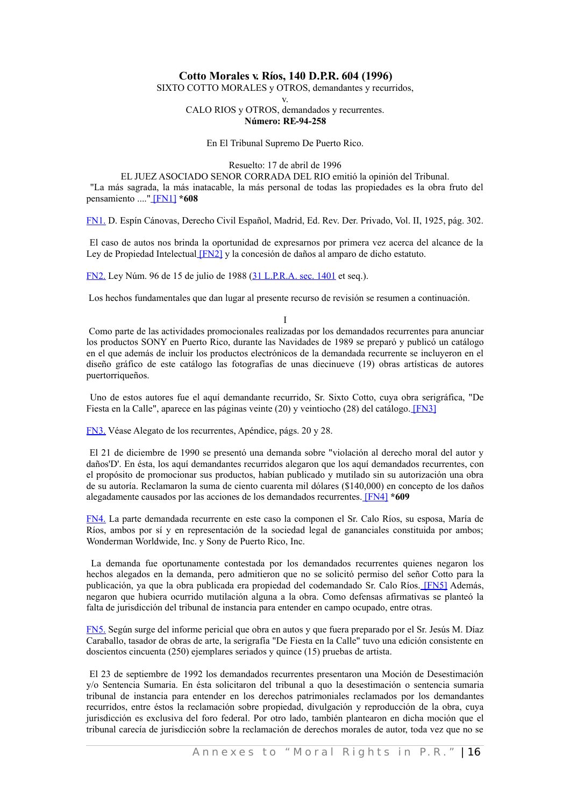## **Cotto Morales v. Ríos, 140 D.P.R. 604 (1996)**

SIXTO COTTO MORALES y OTROS, demandantes y recurridos, v.

> CALO RIOS y OTROS, demandados y recurrentes. **Número: RE-94-258**

#### En El Tribunal Supremo De Puerto Rico.

<span id="page-35-6"></span>Resuelto: 17 de abril de 1996

<span id="page-35-8"></span>EL JUEZ ASOCIADO SENOR CORRADA DEL RIO emitió la opinión del Tribunal. "La más sagrada, la más inatacable, la más personal de todas las propiedades es la obra fruto del pensamiento ....[" \[FN1\]](#page-35-9) **\*608**

<span id="page-35-9"></span>[FN1.](#page-35-8) D. Espín Cánovas, Derecho Civil Español, Madrid, Ed. Rev. Der. Privado, Vol. II, 1925, pág. 302.

El caso de autos nos brinda la oportunidad de expresarnos por primera vez acerca del alcance de la Ley de Propiedad Intelectua[l \[FN2\]](#page-35-7) y la concesión de daños al amparo de dicho estatuto.

<span id="page-35-7"></span>[FN2.](#page-35-6) Ley Núm. 96 de 15 de julio de 1988 [\(31 L.P.R.A. sec. 1401](http://www.westlaw.com/Find/Default.wl?rs=dfa1.0&vr=2.0&DB=1015876&DocName=PRSSTT31S1401&FindType=L) et seq.).

Los hechos fundamentales que dan lugar al presente recurso de revisión se resumen a continuación.

<span id="page-35-4"></span><span id="page-35-2"></span><span id="page-35-0"></span>I

Como parte de las actividades promocionales realizadas por los demandados recurrentes para anunciar los productos SONY en Puerto Rico, durante las Navidades de 1989 se preparó y publicó un catálogo en el que además de incluir los productos electrónicos de la demandada recurrente se incluyeron en el diseño gráfico de este catálogo las fotografías de unas diecinueve (19) obras artísticas de autores puertorriqueños.

Uno de estos autores fue el aquí demandante recurrido, Sr. Sixto Cotto, cuya obra serigráfica, "De Fiesta en la Calle", aparece en las páginas veinte (20) y veintiocho (28) del catálogo[. \[FN3\]](#page-35-5)

<span id="page-35-5"></span>[FN3.](#page-35-4) Véase Alegato de los recurrentes, Apéndice, págs. 20 y 28.

El 21 de diciembre de 1990 se presentó una demanda sobre "violación al derecho moral del autor y daños'D'. En ésta, los aquí demandantes recurridos alegaron que los aquí demandados recurrentes, con el propósito de promocionar sus productos, habían publicado y mutilado sin su autorización una obra de su autoría. Reclamaron la suma de ciento cuarenta mil dólares (\$140,000) en concepto de los daños alegadamente causados por las acciones de los demandados recurrentes[. \[FN4\]](#page-35-3) **\*609**

<span id="page-35-3"></span>[FN4.](#page-35-2) La parte demandada recurrente en este caso la componen el Sr. Calo Ríos, su esposa, María de Ríos, ambos por sí y en representación de la sociedad legal de gananciales constituida por ambos; Wonderman Worldwide, Inc. y Sony de Puerto Rico, Inc.

La demanda fue oportunamente contestada por los demandados recurrentes quienes negaron los hechos alegados en la demanda, pero admitieron que no se solicitó permiso del señor Cotto para la publicación, ya que la obra publicada era propiedad del codemandado Sr. Calo Ríos. [\[FN5\]](#page-35-1) Además, negaron que hubiera ocurrido mutilación alguna a la obra. Como defensas afirmativas se planteó la falta de jurisdicción del tribunal de instancia para entender en campo ocupado, entre otras.

<span id="page-35-1"></span>[FN5.](#page-35-0) Según surge del informe pericial que obra en autos y que fuera preparado por el Sr. Jesús M. Díaz Caraballo, tasador de obras de arte, la serigrafía "De Fiesta en la Calle" tuvo una edición consistente en doscientos cincuenta (250) ejemplares seriados y quince (15) pruebas de artista.

El 23 de septiembre de 1992 los demandados recurrentes presentaron una Moción de Desestimación y/o Sentencia Sumaria. En ésta solicitaron del tribunal a quo la desestimación o sentencia sumaria tribunal de instancia para entender en los derechos patrimoniales reclamados por los demandantes recurridos, entre éstos la reclamación sobre propiedad, divulgación y reproducción de la obra, cuya jurisdicción es exclusiva del foro federal. Por otro lado, también plantearon en dicha moción que el tribunal carecía de jurisdicción sobre la reclamación de derechos morales de autor, toda vez que no se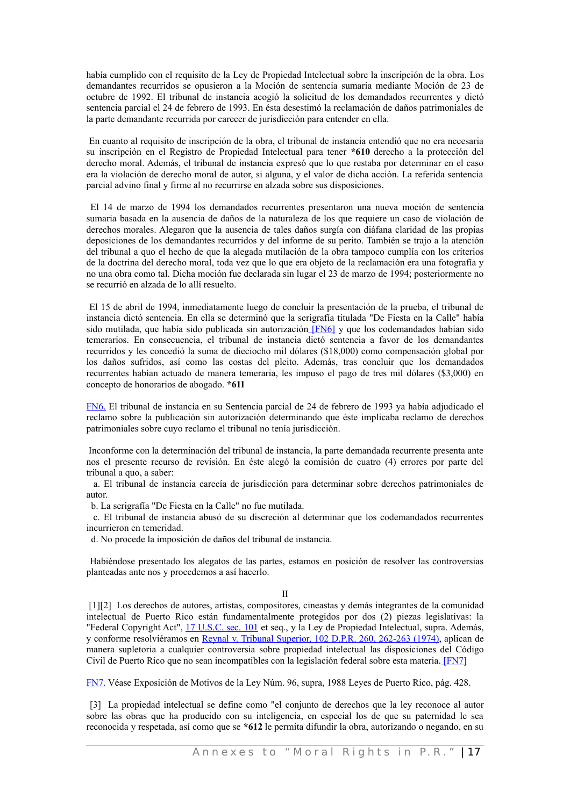había cumplido con el requisito de la Ley de Propiedad Intelectual sobre la inscripción de la obra. Los demandantes recurridos se opusieron a la Moción de sentencia sumaria mediante Moción de 23 de octubre de 1992. El tribunal de instancia acogió la solicitud de los demandados recurrentes y dictó sentencia parcial el 24 de febrero de 1993. En ésta desestimó la reclamación de daños patrimoniales de la parte demandante recurrida por carecer de jurisdicción para entender en ella.

En cuanto al requisito de inscripción de la obra, el tribunal de instancia entendió que no era necesaria su inscripción en el Registro de Propiedad Intelectual para tener **\*610** derecho a la protección del derecho moral. Además, el tribunal de instancia expresó que lo que restaba por determinar en el caso era la violación de derecho moral de autor, si alguna, y el valor de dicha acción. La referida sentencia parcial advino final y firme al no recurrirse en alzada sobre sus disposiciones.

El 14 de marzo de 1994 los demandados recurrentes presentaron una nueva moción de sentencia sumaria basada en la ausencia de daños de la naturaleza de los que requiere un caso de violación de derechos morales. Alegaron que la ausencia de tales daños surgía con diáfana claridad de las propias deposiciones de los demandantes recurridos y del informe de su perito. También se trajo a la atención del tribunal a quo el hecho de que la alegada mutilación de la obra tampoco cumplía con los criterios de la doctrina del derecho moral, toda vez que lo que era objeto de la reclamación era una fotografía y no una obra como tal. Dicha moción fue declarada sin lugar el 23 de marzo de 1994; posteriormente no se recurrió en alzada de lo allí resuelto.

<span id="page-36-2"></span>El 15 de abril de 1994, inmediatamente luego de concluir la presentación de la prueba, el tribunal de instancia dictó sentencia. En ella se determinó que la serigrafía titulada "De Fiesta en la Calle" había sido mutilada, que había sido publicada sin autorización [\[FN6\]](#page-36-3) y que los codemandados habían sido temerarios. En consecuencia, el tribunal de instancia dictó sentencia a favor de los demandantes recurridos y les concedió la suma de dieciocho mil dólares (\$18,000) como compensación global por los daños sufridos, así como las costas del pleito. Además, tras concluir que los demandados recurrentes habían actuado de manera temeraria, les impuso el pago de tres mil dólares (\$3,000) en concepto de honorarios de abogado. **\*611**

<span id="page-36-3"></span>[FN6.](#page-36-2) El tribunal de instancia en su Sentencia parcial de 24 de febrero de 1993 ya había adjudicado el reclamo sobre la publicación sin autorización determinando que éste implicaba reclamo de derechos patrimoniales sobre cuyo reclamo el tribunal no tenía jurisdicción.

 Inconforme con la determinación del tribunal de instancia, la parte demandada recurrente presenta ante nos el presente recurso de revisión. En éste alegó la comisión de cuatro (4) errores por parte del tribunal a quo, a saber:

a. El tribunal de instancia carecía de jurisdicción para determinar sobre derechos patrimoniales de autor.

b. La serigrafía "De Fiesta en la Calle" no fue mutilada.

c. El tribunal de instancia abusó de su discreción al determinar que los codemandados recurrentes incurrieron en temeridad.

d. No procede la imposición de daños del tribunal de instancia.

Habiéndose presentado los alegatos de las partes, estamos en posición de resolver las controversias planteadas ante nos y procedemos a así hacerlo.

#### <span id="page-36-0"></span>II

[1][2] Los derechos de autores, artistas, compositores, cineastas y demás integrantes de la comunidad intelectual de Puerto Rico están fundamentalmente protegidos por dos (2) piezas legislativas: la "Federal Copyright Act", 17 [U.S.C.](http://www.westlaw.com/Find/Default.wl?rs=dfa1.0&vr=2.0&DB=1000546&DocName=17USCAS101&FindType=L) sec. 101 et seq., y la Ley de Propiedad Intelectual, supra. Además, y conforme resolviéramos en Reynal v. Tribunal [Superior,](http://www.westlaw.com/Find/Default.wl?rs=dfa1.0&vr=2.0&DB=2995&FindType=Y&ReferencePositionType=S&SerialNum=1974022716&ReferencePosition=262) 102 D.P.R. 260, 262-263 (1974), aplican de manera supletoria a cualquier controversia sobre propiedad intelectual las disposiciones del Código Civil de Puerto Rico que no sean incompatibles con la legislación federal sobre esta materia[. \[FN7\]](#page-36-1)

<span id="page-36-1"></span>[FN7.](#page-36-0) Véase Exposición de Motivos de la Ley Núm. 96, supra, 1988 Leyes de Puerto Rico, pág. 428.

[3] La propiedad intelectual se define como "el conjunto de derechos que la ley reconoce al autor sobre las obras que ha producido con su inteligencia, en especial los de que su paternidad le sea reconocida y respetada, así como que se **\*612** le permita difundir la obra, autorizando o negando, en su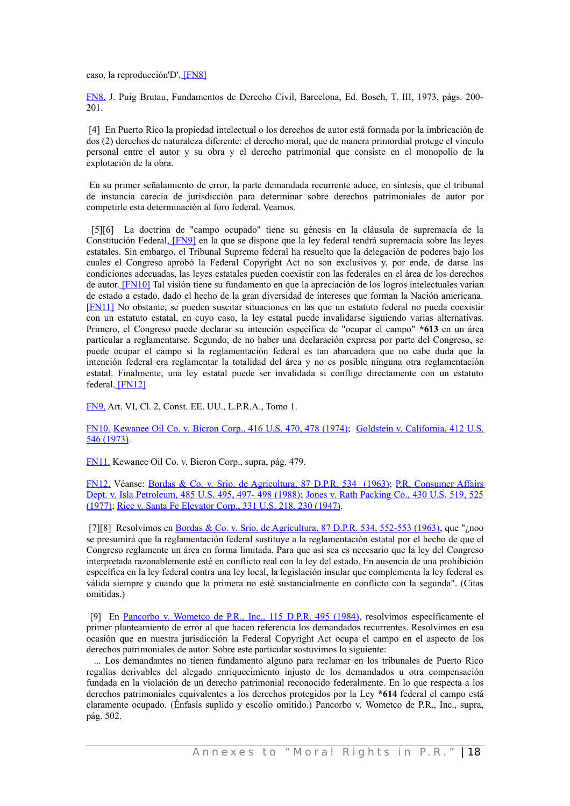<span id="page-37-8"></span>caso, la reproducción'D'[. \[FN8\]](#page-37-9)

<span id="page-37-9"></span>[FN8.](#page-37-8) J. Puig Brutau, Fundamentos de Derecho Civil, Barcelona, Ed. Bosch, T. III, 1973, págs. 200- 201.

[4] En Puerto Rico la propiedad intelectual o los derechos de autor está formada por la imbricación de dos (2) derechos de naturaleza diferente: el derecho moral, que de manera primordial protege el vínculo personal entre el autor y su obra y el derecho patrimonial que consiste en el monopolio de la explotación de la obra.

En su primer señalamiento de error, la parte demandada recurrente aduce, en síntesis, que el tribunal de instancia carecía de jurisdicción para determinar sobre derechos patrimoniales de autor por competirle esta determinación al foro federal. Veamos.

<span id="page-37-3"></span><span id="page-37-2"></span><span id="page-37-1"></span>[5][6] La doctrina de "campo ocupado" tiene su génesis en la cláusula de supremacía de la Constitución Federal, [\[FN9\]](#page-37-7) en la que se dispone que la ley federal tendrá supremacía sobre las leyes estatales. Sin embargo, el Tribunal Supremo federal ha resuelto que la delegación de poderes bajo los cuales el Congreso aprobó la Federal Copyright Act no son exclusivos y, por ende, de darse las condiciones adecuadas, las leyes estatales pueden coexistir con las federales en el área de los derechos de autor. [\[FN10\]](#page-37-6) Tal visión tiene su fundamento en que la apreciación de los logros intelectuales varían de estado a estado, dado el hecho de la gran diversidad de intereses que forman la Nación americana[.](#page-37-5) [\[FN11\]](#page-37-5) No obstante, se pueden suscitar situaciones en las que un estatuto federal no pueda coexistir con un estatuto estatal, en cuyo caso, la ley estatal puede invalidarse siguiendo varias alternativas. Primero, el Congreso puede declarar su intención específica de "ocupar el campo" **\*613** en un área particular a reglamentarse. Segundo, de no haber una declaración expresa por parte del Congreso, se puede ocupar el campo si la reglamentación federal es tan abarcadora que no cabe duda que la intención federal era reglamentar la totalidad del área y no es posible ninguna otra reglamentación estatal. Finalmente, una ley estatal puede ser invalidada si conflige directamente con un estatuto federal[. \[FN12\]](#page-37-4)

<span id="page-37-7"></span><span id="page-37-0"></span>[FN9.](#page-37-3) Art. VI, Cl. 2, Const. EE. UU., L.P.R.A., Tomo 1.

<span id="page-37-6"></span>[FN10.](#page-37-2) [Kewanee](http://www.westlaw.com/Find/Default.wl?rs=dfa1.0&vr=2.0&DB=780&FindType=Y&ReferencePositionType=S&SerialNum=1974127179&ReferencePosition=478) Oil Co. v. Bicron Corp., 416 U.S. 470, 478 (1974); Goldstein v. [California,](http://www.westlaw.com/Find/Default.wl?rs=dfa1.0&vr=2.0&DB=780&FindType=Y&SerialNum=1973126419) 412 U.S. [546 \(1973\).](http://www.westlaw.com/Find/Default.wl?rs=dfa1.0&vr=2.0&DB=780&FindType=Y&SerialNum=1973126419)

<span id="page-37-5"></span>[FN11.](#page-37-1) Kewanee Oil Co. v. Bicron Corp., supra, pág. 479.

<span id="page-37-4"></span>[FN12.](#page-37-0) Véanse: Bordas & Co. v. Srio. de [Agricultura,](http://www.westlaw.com/Find/Default.wl?rs=dfa1.0&vr=2.0&DB=2995&FindType=Y&SerialNum=1963011006) 87 D.P.R. 534 (1963); P.R. [Consumer](http://www.westlaw.com/Find/Default.wl?rs=dfa1.0&vr=2.0&DB=780&FindType=Y&ReferencePositionType=S&SerialNum=1988050116&ReferencePosition=497) Affairs Dept. v. Isla [Petroleum,](http://www.westlaw.com/Find/Default.wl?rs=dfa1.0&vr=2.0&DB=780&FindType=Y&ReferencePositionType=S&SerialNum=1988050116&ReferencePosition=497) 485 U.S. 495, 497- 498 (1988); Jones v. Rath [Packing](http://www.westlaw.com/Find/Default.wl?rs=dfa1.0&vr=2.0&DB=780&FindType=Y&ReferencePositionType=S&SerialNum=1977118757&ReferencePosition=525) Co., 430 U.S. 519, 525 [\(1977\);](http://www.westlaw.com/Find/Default.wl?rs=dfa1.0&vr=2.0&DB=780&FindType=Y&ReferencePositionType=S&SerialNum=1977118757&ReferencePosition=525) [Rice v. Santa Fe Elevator Corp., 331 U.S. 218, 230 \(1947\).](http://www.westlaw.com/Find/Default.wl?rs=dfa1.0&vr=2.0&DB=780&FindType=Y&ReferencePositionType=S&SerialNum=1947116605&ReferencePosition=230)

[7][8] Resolvimos en Bordas & Co. v. Srio. de [Agricultura, 87 D.P.R.](http://www.westlaw.com/Find/Default.wl?rs=dfa1.0&vr=2.0&DB=2995&FindType=Y&ReferencePositionType=S&SerialNum=1963011006&ReferencePosition=552) 534, 552-553 (1963), que "¿noo se presumirá que la reglamentación federal sustituye a la reglamentación estatal por el hecho de que el Congreso reglamente un área en forma limitada. Para que así sea es necesario que la ley del Congreso interpretada razonablemente esté en conflicto real con la ley del estado. En ausencia de una prohibición específica en la ley federal contra una ley local, la legislación insular que complementa la ley federal es válida siempre y cuando que la primera no esté sustancialmente en conflicto con la segunda". (Citas omitidas.)

[9] En Pancorbo v. [Wometco](http://www.westlaw.com/Find/Default.wl?rs=dfa1.0&vr=2.0&DB=2995&FindType=Y&SerialNum=1984029280) de P.R., Inc., 115 D.P.R. 495 (1984), resolvimos específicamente el primer planteamiento de error al que hacen referencia los demandados recurrentes. Resolvimos en esa ocasión que en nuestra jurisdicción la Federal Copyright Act ocupa el campo en el aspecto de los derechos patrimoniales de autor. Sobre este particular sostuvimos lo siguiente:

... Los demandantes no tienen fundamento alguno para reclamar en los tribunales de Puerto Rico regalías derivables del alegado enriquecimiento injusto de los demandados u otra compensación fundada en la violación de un derecho patrimonial reconocido federalmente. En lo que respecta a los derechos patrimoniales equivalentes a los derechos protegidos por la Ley **\*614** federal el campo está claramente ocupado. (Énfasis suplido y escolio omitido.) Pancorbo v. Wometco de P.R., Inc., supra, pág. 502.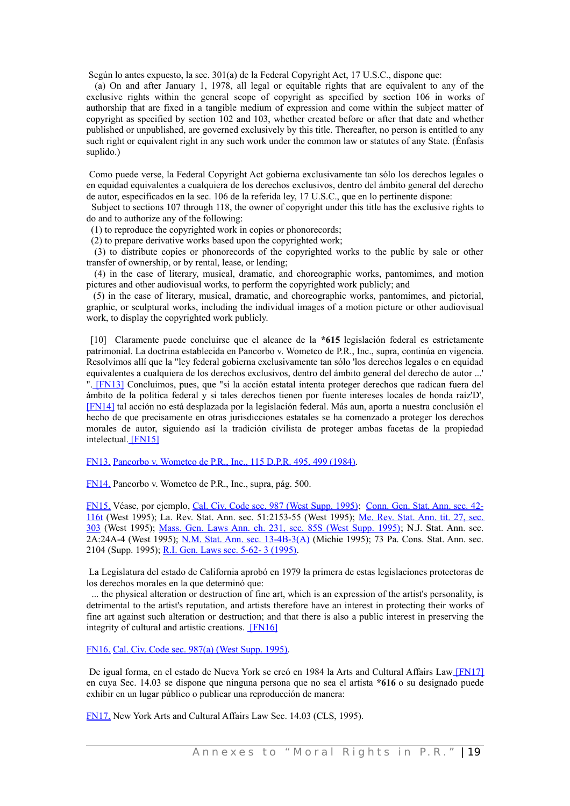Según lo antes expuesto, la sec. 301(a) de la Federal Copyright Act, 17 U.S.C., dispone que:

(a) On and after January 1, 1978, all legal or equitable rights that are equivalent to any of the exclusive rights within the general scope of copyright as specified by section 106 in works of authorship that are fixed in a tangible medium of expression and come within the subject matter of copyright as specified by section 102 and 103, whether created before or after that date and whether published or unpublished, are governed exclusively by this title. Thereafter, no person is entitled to any such right or equivalent right in any such work under the common law or statutes of any State. (Énfasis suplido.)

Como puede verse, la Federal Copyright Act gobierna exclusivamente tan sólo los derechos legales o en equidad equivalentes a cualquiera de los derechos exclusivos, dentro del ámbito general del derecho de autor, especificados en la sec. 106 de la referida ley, 17 U.S.C., que en lo pertinente dispone:

Subject to sections 107 through 118, the owner of copyright under this title has the exclusive rights to do and to authorize any of the following:

(1) to reproduce the copyrighted work in copies or phonorecords;

(2) to prepare derivative works based upon the copyrighted work;

(3) to distribute copies or phonorecords of the copyrighted works to the public by sale or other transfer of ownership, or by rental, lease, or lending;

(4) in the case of literary, musical, dramatic, and choreographic works, pantomimes, and motion pictures and other audiovisual works, to perform the copyrighted work publicly; and

(5) in the case of literary, musical, dramatic, and choreographic works, pantomimes, and pictorial, graphic, or sculptural works, including the individual images of a motion picture or other audiovisual work, to display the copyrighted work publicly.

<span id="page-38-6"></span><span id="page-38-5"></span>[10] Claramente puede concluirse que el alcance de la **\*615** legislación federal es estrictamente patrimonial. La doctrina establecida en Pancorbo v. Wometco de P.R., Inc., supra, continúa en vigencia. Resolvimos allí que la "ley federal gobierna exclusivamente tan sólo 'los derechos legales o en equidad equivalentes a cualquiera de los derechos exclusivos, dentro del ámbito general del derecho de autor ...' ". [\[FN13\]](#page-38-9) Concluimos, pues, que "si la acción estatal intenta proteger derechos que radican fuera del ámbito de la política federal y si tales derechos tienen por fuente intereses locales de honda raíz'D'[,](#page-38-8) [\[FN14\]](#page-38-8) tal acción no está desplazada por la legislación federal. Más aun, aporta a nuestra conclusión el hecho de que precisamente en otras jurisdicciones estatales se ha comenzado a proteger los derechos morales de autor, siguiendo así la tradición civilista de proteger ambas facetas de la propiedad intelectual[. \[FN15\]](#page-38-7)

<span id="page-38-9"></span><span id="page-38-4"></span>[FN13.](#page-38-6) Pancorbo v. [Wometco de P.R., Inc., 115 D.P.R. 495, 499 \(1984\).](http://www.westlaw.com/Find/Default.wl?rs=dfa1.0&vr=2.0&DB=2995&FindType=Y&ReferencePositionType=S&SerialNum=1984029280&ReferencePosition=499)

<span id="page-38-8"></span>[FN14.](#page-38-5) Pancorbo v. Wometco de P.R., Inc., supra, pág. 500.

<span id="page-38-7"></span>[FN15.](#page-38-4) Véase, por ejemplo, Cal. Civ. Code sec. 987 (West Supp. [1995\);](http://www.westlaw.com/Find/Default.wl?rs=dfa1.0&vr=2.0&DB=1000298&DocName=CACIS987&FindType=L) [Conn.](http://www.westlaw.com/Find/Default.wl?rs=dfa1.0&vr=2.0&DB=1000264&DocName=CTSTS42-116T&FindType=L) Gen. Stat. Ann. sec. 42- [116t](http://www.westlaw.com/Find/Default.wl?rs=dfa1.0&vr=2.0&DB=1000264&DocName=CTSTS42-116T&FindType=L) (West 1995); La. Rev. Stat. Ann. sec. 51:2153-55 (West 1995); Me. Rev. [Stat. Ann.](http://www.westlaw.com/Find/Default.wl?rs=dfa1.0&vr=2.0&DB=1000265&DocName=MESTT27S303&FindType=L) tit. 27, sec. [303](http://www.westlaw.com/Find/Default.wl?rs=dfa1.0&vr=2.0&DB=1000265&DocName=MESTT27S303&FindType=L) (West 1995); Mass. Gen. Laws Ann. ch. 231, sec. 85S (West Supp. [1995\);](http://www.westlaw.com/Find/Default.wl?rs=dfa1.0&vr=2.0&DB=1000042&DocName=MAST231S85S&FindType=L) N.J. Stat. Ann. sec. 2A:24A-4 (West 1995); N.M. Stat. Ann. sec. [13-4B-3\(A\)](http://www.westlaw.com/Find/Default.wl?rs=dfa1.0&vr=2.0&DB=1000036&DocName=NMSTS13-4B-3&FindType=L) (Michie 1995); 73 Pa. Cons. Stat. Ann. sec. 2104 (Supp. 1995); [R.I. Gen. Laws sec. 5-62- 3 \(1995\).](http://www.westlaw.com/Find/Default.wl?rs=dfa1.0&vr=2.0&DB=1000038&DocName=RISTS5-62-3&FindType=L)

La Legislatura del estado de California aprobó en 1979 la primera de estas legislaciones protectoras de los derechos morales en la que determinó que:

... the physical alteration or destruction of fine art, which is an expression of the artist's personality, is detrimental to the artist's reputation, and artists therefore have an interest in protecting their works of fine art against such alteration or destruction; and that there is also a public interest in preserving the integrity of cultural and artistic creations. [\[FN16\]](#page-38-3)

<span id="page-38-3"></span><span id="page-38-2"></span>[FN16.](#page-38-2) [Cal. Civ. Code sec. 987\(a\) \(West Supp. 1995\).](http://www.westlaw.com/Find/Default.wl?rs=dfa1.0&vr=2.0&DB=1000298&DocName=CACIS987&FindType=L)

<span id="page-38-0"></span>De igual forma, en el estado de Nueva York se creó en 1984 la Arts and Cultural Affairs Law [\[FN17\]](#page-38-1) en cuya Sec. 14.03 se dispone que ninguna persona que no sea el artista **\*616** o su designado puede exhibir en un lugar público o publicar una reproducción de manera:

<span id="page-38-1"></span>[FN17.](#page-38-0) New York Arts and Cultural Affairs Law Sec. 14.03 (CLS, 1995).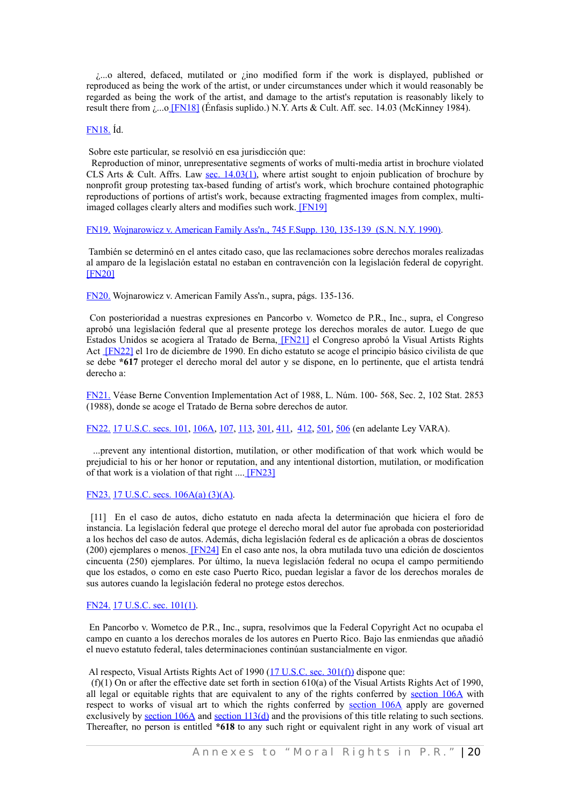¿...o altered, defaced, mutilated or ¿ino modified form if the work is displayed, published or reproduced as being the work of the artist, or under circumstances under which it would reasonably be regarded as being the work of the artist, and damage to the artist's reputation is reasonably likely to result there from  $_{i}...$  [FN18] (Énfasis suplido.) N.Y. Arts & Cult. Aff. sec. 14.03 (McKinney 1984).

#### <span id="page-39-13"></span><span id="page-39-12"></span>[FN18.](#page-39-12) Íd.

Sobre este particular, se resolvió en esa jurisdicción que:

Reproduction of minor, unrepresentative segments of works of multi-media artist in brochure violated CLS Arts & Cult. Affrs. Law sec. [14.03\(1\),](http://www.westlaw.com/Find/Default.wl?rs=dfa1.0&vr=2.0&DB=1000054&DocName=NYATS14.03&FindType=L) where artist sought to enjoin publication of brochure by nonprofit group protesting tax-based funding of artist's work, which brochure contained photographic reproductions of portions of artist's work, because extracting fragmented images from complex, multiimaged collages clearly alters and modifies such work[. \[FN19\]](#page-39-11)

<span id="page-39-11"></span><span id="page-39-10"></span>[FN19.](#page-39-10) Wojnarowicz v. American Family [Ass'n., 745 F.Supp. 130, 135-139 \(S.N. N.Y. 1990\).](http://www.westlaw.com/Find/Default.wl?rs=dfa1.0&vr=2.0&DB=345&FindType=Y&ReferencePositionType=S&SerialNum=1990121575&ReferencePosition=135)

<span id="page-39-8"></span>También se determinó en el antes citado caso, que las reclamaciones sobre derechos morales realizadas al amparo de la legislación estatal no estaban en contravención con la legislación federal de copyright[.](#page-39-9) [\[FN20\]](#page-39-9)

<span id="page-39-9"></span>[FN20.](#page-39-8) Wojnarowicz v. American Family Ass'n., supra, págs. 135-136.

<span id="page-39-5"></span><span id="page-39-4"></span>Con posterioridad a nuestras expresiones en Pancorbo v. Wometco de P.R., Inc., supra, el Congreso aprobó una legislación federal que al presente protege los derechos morales de autor. Luego de que Estados Unidos se acogiera al Tratado de Berna, [\[FN21\]](#page-39-7) el Congreso aprobó la Visual Artists Rights Act [\[FN22\]](#page-39-6) el 1ro de diciembre de 1990. En dicho estatuto se acoge el principio básico civilista de que se debe **\*617** proteger el derecho moral del autor y se dispone, en lo pertinente, que el artista tendrá derecho a:

<span id="page-39-7"></span>[FN21.](#page-39-5) Véase Berne Convention Implementation Act of 1988, L. Núm. 100- 568, Sec. 2, 102 Stat. 2853 (1988), donde se acoge el Tratado de Berna sobre derechos de autor.

<span id="page-39-6"></span>[FN22.](#page-39-4) [17 U.S.C. secs. 101,](http://www.westlaw.com/Find/Default.wl?rs=dfa1.0&vr=2.0&DB=1000546&DocName=17USCAS101&FindType=L) [106A,](http://www.westlaw.com/Find/Default.wl?rs=dfa1.0&vr=2.0&DB=1000546&DocName=17USCAS106A&FindType=L) [107,](http://www.westlaw.com/Find/Default.wl?rs=dfa1.0&vr=2.0&DB=1000546&DocName=17USCAS107&FindType=L) [113,](http://www.westlaw.com/Find/Default.wl?rs=dfa1.0&vr=2.0&DB=1000546&DocName=17USCAS113&FindType=L) [301,](http://www.westlaw.com/Find/Default.wl?rs=dfa1.0&vr=2.0&DB=1000546&DocName=17USCAS301&FindType=L) [411,](http://www.westlaw.com/Find/Default.wl?rs=dfa1.0&vr=2.0&DB=1000546&DocName=17USCAS411&FindType=L) [412,](http://www.westlaw.com/Find/Default.wl?rs=dfa1.0&vr=2.0&DB=1000546&DocName=17USCAS412&FindType=L) [501,](http://www.westlaw.com/Find/Default.wl?rs=dfa1.0&vr=2.0&DB=1000546&DocName=17USCAS501&FindType=L) [506](http://www.westlaw.com/Find/Default.wl?rs=dfa1.0&vr=2.0&DB=1000546&DocName=17USCAS506&FindType=L) (en adelante Ley VARA).

<span id="page-39-2"></span>...prevent any intentional distortion, mutilation, or other modification of that work which would be prejudicial to his or her honor or reputation, and any intentional distortion, mutilation, or modification of that work is a violation of that right .... [\[FN23\]](#page-39-3)

<span id="page-39-3"></span>[FN23.](#page-39-2) [17 U.S.C. secs. 106A\(a\) \(3\)\(A\).](http://www.westlaw.com/Find/Default.wl?rs=dfa1.0&vr=2.0&DB=1000546&DocName=17USCAS106A&FindType=L)

<span id="page-39-0"></span>[11] En el caso de autos, dicho estatuto en nada afecta la determinación que hiciera el foro de instancia. La legislación federal que protege el derecho moral del autor fue aprobada con posterioridad a los hechos del caso de autos. Además, dicha legislación federal es de aplicación a obras de doscientos (200) ejemplares o menos. [\[FN24\]](#page-39-1) En el caso ante nos, la obra mutilada tuvo una edición de doscientos cincuenta (250) ejemplares. Por último, la nueva legislación federal no ocupa el campo permitiendo que los estados, o como en este caso Puerto Rico, puedan legislar a favor de los derechos morales de sus autores cuando la legislación federal no protege estos derechos.

#### <span id="page-39-1"></span>[FN24.](#page-39-0) [17 U.S.C. sec. 101\(1\).](http://www.westlaw.com/Find/Default.wl?rs=dfa1.0&vr=2.0&DB=1000546&DocName=17USCAS101&FindType=L)

En Pancorbo v. Wometco de P.R., Inc., supra, resolvimos que la Federal Copyright Act no ocupaba el campo en cuanto a los derechos morales de los autores en Puerto Rico. Bajo las enmiendas que añadió el nuevo estatuto federal, tales determinaciones continúan sustancialmente en vigor.

Al respecto, Visual Artists Rights Act of 1990 [\(17 U.S.C. sec. 301\(f\)\)](http://www.westlaw.com/Find/Default.wl?rs=dfa1.0&vr=2.0&DB=1000546&DocName=17USCAS301&FindType=L) dispone que:

 (f)(1) On or after the effective date set forth in section 610(a) of the Visual Artists Rights Act of 1990, all legal or equitable rights that are equivalent to any of the rights conferred by [section](http://www.westlaw.com/Find/Default.wl?rs=dfa1.0&vr=2.0&DB=1000546&DocName=17USCAS106A&FindType=L) 106A with respect to works of visual art to which the rights conferred by [section](http://www.westlaw.com/Find/Default.wl?rs=dfa1.0&vr=2.0&DB=1000546&DocName=17USCAS106A&FindType=L) 106A apply are governed exclusively by **[section 106A](http://www.westlaw.com/Find/Default.wl?rs=dfa1.0&vr=2.0&DB=1000546&DocName=17USCAS106A&FindType=L)** and **[section 113\(d\)](http://www.westlaw.com/Find/Default.wl?rs=dfa1.0&vr=2.0&DB=1000546&DocName=17USCAS113&FindType=L)** and the provisions of this title relating to such sections. Thereafter, no person is entitled **\*618** to any such right or equivalent right in any work of visual art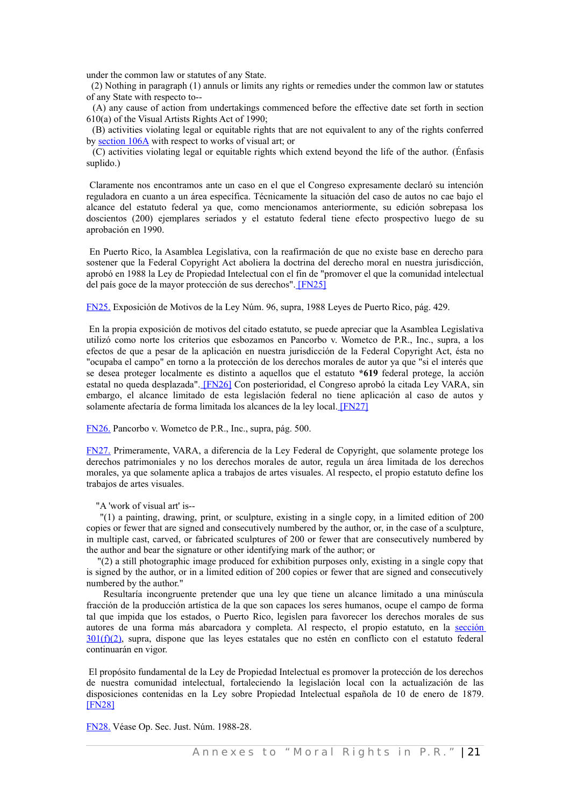under the common law or statutes of any State.

 (2) Nothing in paragraph (1) annuls or limits any rights or remedies under the common law or statutes of any State with respecto to--

(A) any cause of action from undertakings commenced before the effective date set forth in section 610(a) of the Visual Artists Rights Act of 1990;

(B) activities violating legal or equitable rights that are not equivalent to any of the rights conferred by [section 106A](http://www.westlaw.com/Find/Default.wl?rs=dfa1.0&vr=2.0&DB=1000546&DocName=17USCAS106A&FindType=L) with respect to works of visual art; or

(C) activities violating legal or equitable rights which extend beyond the life of the author. (Énfasis suplido.)

Claramente nos encontramos ante un caso en el que el Congreso expresamente declaró su intención reguladora en cuanto a un área específica. Técnicamente la situación del caso de autos no cae bajo el alcance del estatuto federal ya que, como mencionamos anteriormente, su edición sobrepasa los doscientos (200) ejemplares seriados y el estatuto federal tiene efecto prospectivo luego de su aprobación en 1990.

En Puerto Rico, la Asamblea Legislativa, con la reafirmación de que no existe base en derecho para sostener que la Federal Copyright Act aboliera la doctrina del derecho moral en nuestra jurisdicción, aprobó en 1988 la Ley de Propiedad Intelectual con el fin de "promover el que la comunidad intelectual del país goce de la mayor protección de sus derechos"[. \[FN25\]](#page-40-7)

<span id="page-40-7"></span><span id="page-40-6"></span>[FN25.](#page-40-6) Exposición de Motivos de la Ley Núm. 96, supra, 1988 Leyes de Puerto Rico, pág. 429.

En la propia exposición de motivos del citado estatuto, se puede apreciar que la Asamblea Legislativa utilizó como norte los criterios que esbozamos en Pancorbo v. Wometco de P.R., Inc., supra, a los efectos de que a pesar de la aplicación en nuestra jurisdicción de la Federal Copyright Act, ésta no "ocupaba el campo" en torno a la protección de los derechos morales de autor ya que "si el interés que se desea proteger localmente es distinto a aquellos que el estatuto **\*619** federal protege, la acción estatal no queda desplazada". [\[FN26\]](#page-40-5) Con posterioridad, el Congreso aprobó la citada Ley VARA, sin embargo, el alcance limitado de esta legislación federal no tiene aplicación al caso de autos y solamente afectaría de forma limitada los alcances de la ley local[. \[FN27\]](#page-40-4)

<span id="page-40-5"></span><span id="page-40-3"></span><span id="page-40-2"></span>[FN26.](#page-40-3) Pancorbo v. Wometco de P.R., Inc., supra, pág. 500.

<span id="page-40-4"></span>[FN27.](#page-40-2) Primeramente, VARA, a diferencia de la Ley Federal de Copyright, que solamente protege los derechos patrimoniales y no los derechos morales de autor, regula un área limitada de los derechos morales, ya que solamente aplica a trabajos de artes visuales. Al respecto, el propio estatuto define los trabajos de artes visuales.

"A 'work of visual art' is--

"(1) a painting, drawing, print, or sculpture, existing in a single copy, in a limited edition of 200 copies or fewer that are signed and consecutively numbered by the author, or, in the case of a sculpture, in multiple cast, carved, or fabricated sculptures of 200 or fewer that are consecutively numbered by the author and bear the signature or other identifying mark of the author; or

"(2) a still photographic image produced for exhibition purposes only, existing in a single copy that is signed by the author, or in a limited edition of 200 copies or fewer that are signed and consecutively numbered by the author."

Resultaría incongruente pretender que una ley que tiene un alcance limitado a una minúscula fracción de la producción artística de la que son capaces los seres humanos, ocupe el campo de forma tal que impida que los estados, o Puerto Rico, legislen para favorecer los derechos morales de sus autores de una forma más abarcadora y completa. Al respecto, el propio estatuto, en la [sección](http://www.westlaw.com/Find/Default.wl?rs=dfa1.0&vr=2.0&DB=1000546&DocName=17USCAS301&FindType=L) [301\(f\)\(2\),](http://www.westlaw.com/Find/Default.wl?rs=dfa1.0&vr=2.0&DB=1000546&DocName=17USCAS301&FindType=L) supra, dispone que las leyes estatales que no estén en conflicto con el estatuto federal continuarán en vigor.

<span id="page-40-0"></span> El propósito fundamental de la Ley de Propiedad Intelectual es promover la protección de los derechos de nuestra comunidad intelectual, fortaleciendo la legislación local con la actualización de las disposiciones contenidas en la Ley sobre Propiedad Intelectual española de 10 de enero de 1879[.](#page-40-1) [\[FN28\]](#page-40-1)

<span id="page-40-1"></span>[FN28.](#page-40-0) Véase Op. Sec. Just. Núm. 1988-28.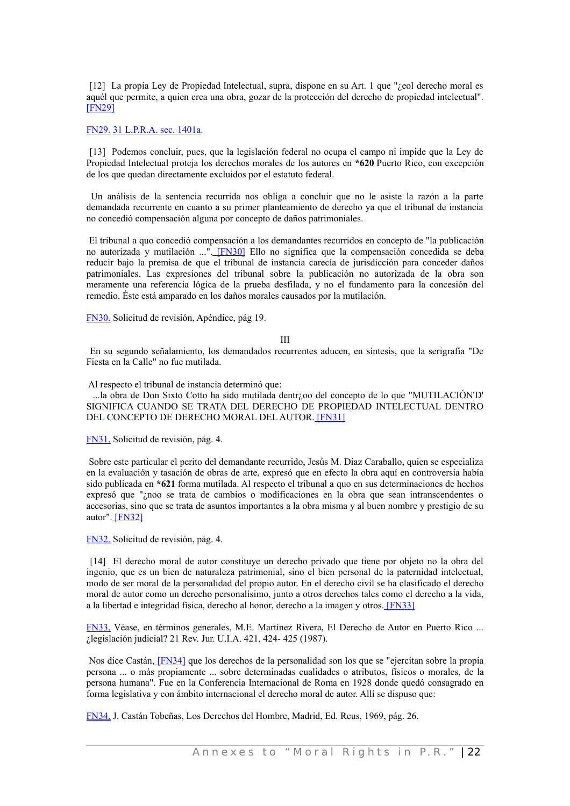[12] La propia Ley de Propiedad Intelectual, supra, dispone en su Art. 1 que "*i* eol derecho moral es aquél que permite, a quien crea una obra, gozar de la protección del derecho de propiedad intelectual"[.](#page-41-11) [\[FN29\]](#page-41-11)

#### <span id="page-41-11"></span>[FN29.](#page-41-10) [31 L.P.R.A. sec. 1401a.](http://www.westlaw.com/Find/Default.wl?rs=dfa1.0&vr=2.0&DB=1015876&DocName=PRSSTT31S1401A&FindType=L)

[13] Podemos concluir, pues, que la legislación federal no ocupa el campo ni impide que la Ley de Propiedad Intelectual proteja los derechos morales de los autores en **\*620** Puerto Rico, con excepción de los que quedan directamente excluidos por el estatuto federal.

Un análisis de la sentencia recurrida nos obliga a concluir que no le asiste la razón a la parte demandada recurrente en cuanto a su primer planteamiento de derecho ya que el tribunal de instancia no concedió compensación alguna por concepto de daños patrimoniales.

El tribunal a quo concedió compensación a los demandantes recurridos en concepto de "la publicación no autorizada y mutilación ...". [\[FN30\]](#page-41-9) Ello no significa que la compensación concedida se deba reducir bajo la premisa de que el tribunal de instancia carecía de jurisdicción para conceder daños patrimoniales. Las expresiones del tribunal sobre la publicación no autorizada de la obra son meramente una referencia lógica de la prueba desfilada, y no el fundamento para la concesión del remedio. Éste está amparado en los daños morales causados por la mutilación.

<span id="page-41-9"></span>[FN30.](#page-41-8) Solicitud de revisión, Apéndice, pág 19.

<span id="page-41-10"></span><span id="page-41-8"></span><span id="page-41-6"></span><span id="page-41-2"></span>III

En su segundo señalamiento, los demandados recurrentes aducen, en síntesis, que la serigrafía "De Fiesta en la Calle" no fue mutilada.

Al respecto el tribunal de instancia determinó que:

...la obra de Don Sixto Cotto ha sido mutilada dentr¿oo del concepto de lo que "MUTILACIÓN'D' SIGNIFICA CUANDO SE TRATA DEL DERECHO DE PROPIEDAD INTELECTUAL DENTRO DEL CONCEPTO DE DERECHO MORAL DEL AUTOR[. \[FN31\]](#page-41-7)

<span id="page-41-7"></span>[FN31.](#page-41-6) Solicitud de revisión, pág. 4.

Sobre este particular el perito del demandante recurrido, Jesús M. Díaz Caraballo, quien se especializa en la evaluación y tasación de obras de arte, expresó que en efecto la obra aquí en controversia había sido publicada en **\*621** forma mutilada. Al respecto el tribunal a quo en sus determinaciones de hechos expresó que "¿noo se trata de cambios o modificaciones en la obra que sean intranscendentes o accesorias, sino que se trata de asuntos importantes a la obra misma y al buen nombre y prestigio de su autor"[. \[FN32\]](#page-41-5)

<span id="page-41-5"></span><span id="page-41-4"></span>[FN32.](#page-41-4) Solicitud de revisión, pág. 4.

[14] El derecho moral de autor constituye un derecho privado que tiene por objeto no la obra del ingenio, que es un bien de naturaleza patrimonial, sino el bien personal de la paternidad intelectual, modo de ser moral de la personalidad del propio autor. En el derecho civil se ha clasificado el derecho moral de autor como un derecho personalísimo, junto a otros derechos tales como el derecho a la vida, a la libertad e integridad física, derecho al honor, derecho a la imagen y otros[. \[FN33\]](#page-41-3)

<span id="page-41-3"></span>[FN33.](#page-41-2) Véase, en términos generales, M.E. Martínez Rivera, El Derecho de Autor en Puerto Rico ... ¿legislación judicial? 21 Rev. Jur. U.I.A. 421, 424- 425 (1987).

<span id="page-41-0"></span>Nos dice Castán, [\[FN34\]](#page-41-1) que los derechos de la personalidad son los que se "ejercitan sobre la propia persona ... o más propiamente ... sobre determinadas cualidades o atributos, físicos o morales, de la persona humana". Fue en la Conferencia Internacional de Roma en 1928 donde quedó consagrado en forma legislativa y con ámbito internacional el derecho moral de autor. Allí se dispuso que:

<span id="page-41-1"></span>[FN34.](#page-41-0) J. Castán Tobeñas, Los Derechos del Hombre, Madrid, Ed. Reus, 1969, pág. 26.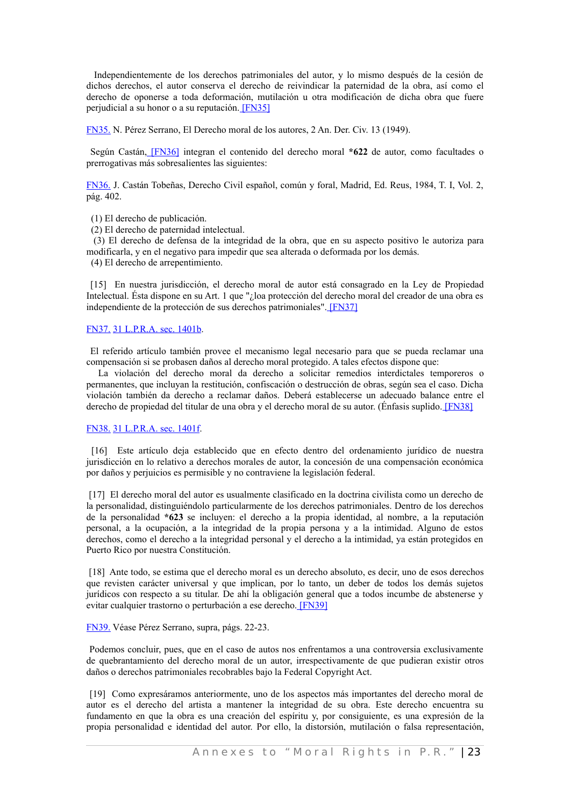Independientemente de los derechos patrimoniales del autor, y lo mismo después de la cesión de dichos derechos, el autor conserva el derecho de reivindicar la paternidad de la obra, así como el derecho de oponerse a toda deformación, mutilación u otra modificación de dicha obra que fuere perjudicial a su honor o a su reputación[. \[FN35\]](#page-42-9)

<span id="page-42-9"></span><span id="page-42-8"></span>[FN35.](#page-42-8) N. Pérez Serrano, El Derecho moral de los autores, 2 An. Der. Civ. 13 (1949).

<span id="page-42-6"></span>Según Castán, [\[FN36\]](#page-42-7) integran el contenido del derecho moral **\*622** de autor, como facultades o prerrogativas más sobresalientes las siguientes:

<span id="page-42-7"></span>[FN36.](#page-42-6) J. Castán Tobeñas, Derecho Civil español, común y foral, Madrid, Ed. Reus, 1984, T. I, Vol. 2, pág. 402.

- (1) El derecho de publicación.
- (2) El derecho de paternidad intelectual.

(3) El derecho de defensa de la integridad de la obra, que en su aspecto positivo le autoriza para modificarla, y en el negativo para impedir que sea alterada o deformada por los demás.

(4) El derecho de arrepentimiento.

<span id="page-42-4"></span>[15] En nuestra jurisdicción, el derecho moral de autor está consagrado en la Ley de Propiedad Intelectual. Ésta dispone en su Art. 1 que "¿loa protección del derecho moral del creador de una obra es independiente de la protección de sus derechos patrimoniales"[. \[FN37\]](#page-42-5)

#### <span id="page-42-5"></span>[FN37.](#page-42-4) [31 L.P.R.A. sec. 1401b.](http://www.westlaw.com/Find/Default.wl?rs=dfa1.0&vr=2.0&DB=1015876&DocName=PRSSTT31S1401B&FindType=L)

El referido artículo también provee el mecanismo legal necesario para que se pueda reclamar una compensación si se probasen daños al derecho moral protegido. A tales efectos dispone que:

La violación del derecho moral da derecho a solicitar remedios interdictales temporeros o permanentes, que incluyan la restitución, confiscación o destrucción de obras, según sea el caso. Dicha violación también da derecho a reclamar daños. Deberá establecerse un adecuado balance entre el derecho de propiedad del titular de una obra y el derecho moral de su autor. (Énfasis suplido[. \[FN38\]](#page-42-3)

#### <span id="page-42-3"></span><span id="page-42-2"></span>[FN38.](#page-42-2) [31 L.P.R.A. sec. 1401f.](http://www.westlaw.com/Find/Default.wl?rs=dfa1.0&vr=2.0&DB=1015876&DocName=PRSSTT31S1401F&FindType=L)

[16] Este artículo deja establecido que en efecto dentro del ordenamiento jurídico de nuestra jurisdicción en lo relativo a derechos morales de autor, la concesión de una compensación económica por daños y perjuicios es permisible y no contraviene la legislación federal.

[17] El derecho moral del autor es usualmente clasificado en la doctrina civilista como un derecho de la personalidad, distinguiéndolo particularmente de los derechos patrimoniales. Dentro de los derechos de la personalidad **\*623** se incluyen: el derecho a la propia identidad, al nombre, a la reputación personal, a la ocupación, a la integridad de la propia persona y a la intimidad. Alguno de estos derechos, como el derecho a la integridad personal y el derecho a la intimidad, ya están protegidos en Puerto Rico por nuestra Constitución.

[18] Ante todo, se estima que el derecho moral es un derecho absoluto, es decir, uno de esos derechos que revisten carácter universal y que implican, por lo tanto, un deber de todos los demás sujetos jurídicos con respecto a su titular. De ahí la obligación general que a todos incumbe de abstenerse y evitar cualquier trastorno o perturbación a ese derecho[. \[FN39\]](#page-42-1)

#### <span id="page-42-1"></span><span id="page-42-0"></span>[FN39.](#page-42-0) Véase Pérez Serrano, supra, págs. 22-23.

Podemos concluir, pues, que en el caso de autos nos enfrentamos a una controversia exclusivamente de quebrantamiento del derecho moral de un autor, irrespectivamente de que pudieran existir otros daños o derechos patrimoniales recobrables bajo la Federal Copyright Act.

[19] Como expresáramos anteriormente, uno de los aspectos más importantes del derecho moral de autor es el derecho del artista a mantener la integridad de su obra. Este derecho encuentra su fundamento en que la obra es una creación del espíritu y, por consiguiente, es una expresión de la propia personalidad e identidad del autor. Por ello, la distorsión, mutilación o falsa representación,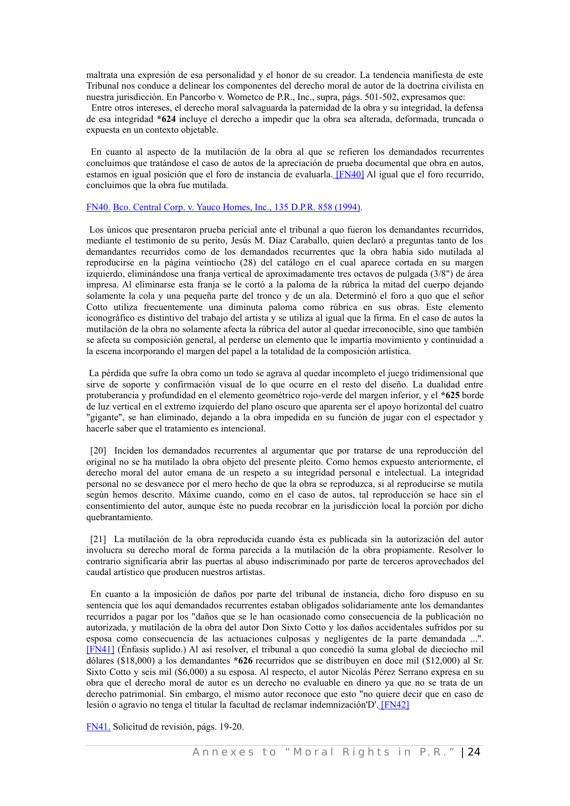maltrata una expresión de esa personalidad y el honor de su creador. La tendencia manifiesta de este Tribunal nos conduce a delinear los componentes del derecho moral de autor de la doctrina civilista en nuestra jurisdicción. En Pancorbo v. Wometco de P.R., Inc., supra, págs. 501-502, expresamos que:

 Entre otros intereses, el derecho moral salvaguarda la paternidad de la obra y su integridad, la defensa de esa integridad **\*624** incluye el derecho a impedir que la obra sea alterada, deformada, truncada o expuesta en un contexto objetable.

<span id="page-43-2"></span>En cuanto al aspecto de la mutilación de la obra al que se refieren los demandados recurrentes concluimos que tratándose el caso de autos de la apreciación de prueba documental que obra en autos, estamos en igual posición que el foro de instancia de evaluarla. [\[FN40\]](#page-43-3) Al igual que el foro recurrido, concluimos que la obra fue mutilada.

#### <span id="page-43-3"></span>[FN40.](#page-43-2) [Bco. Central Corp. v. Yauco Homes, Inc., 135 D.P.R. 858 \(1994\).](http://www.westlaw.com/Find/Default.wl?rs=dfa1.0&vr=2.0&DB=2995&FindType=Y&SerialNum=1996275969)

Los únicos que presentaron prueba pericial ante el tribunal a quo fueron los demandantes recurridos, mediante el testimonio de su perito, Jesús M. Díaz Caraballo, quien declaró a preguntas tanto de los demandantes recurridos como de los demandados recurrentes que la obra había sido mutilada al reproducirse en la página veintiocho (28) del catálogo en el cual aparece cortada en su margen izquierdo, eliminándose una franja vertical de aproximadamente tres octavos de pulgada (3/8") de área impresa. Al eliminarse esta franja se le cortó a la paloma de la rúbrica la mitad del cuerpo dejando solamente la cola y una pequeña parte del tronco y de un ala. Determinó el foro a quo que el señor Cotto utiliza frecuentemente una diminuta paloma como rúbrica en sus obras. Este elemento iconográfico es distintivo del trabajo del artista y se utiliza al igual que la firma. En el caso de autos la mutilación de la obra no solamente afecta la rúbrica del autor al quedar irreconocible, sino que también se afecta su composición general, al perderse un elemento que le impartía movimiento y continuidad a la escena incorporando el margen del papel a la totalidad de la composición artística.

La pérdida que sufre la obra como un todo se agrava al quedar incompleto el juego tridimensional que sirve de soporte y confirmación visual de lo que ocurre en el resto del diseño. La dualidad entre protuberancia y profundidad en el elemento geométrico rojo-verde del margen inferior, y el **\*625** borde de luz vertical en el extremo izquierdo del plano oscuro que aparenta ser el apoyo horizontal del cuatro "gigante", se han eliminado, dejando a la obra impedida en su función de jugar con el espectador y hacerle saber que el tratamiento es intencional.

[20] Inciden los demandados recurrentes al argumentar que por tratarse de una reproducción del original no se ha mutilado la obra objeto del presente pleito. Como hemos expuesto anteriormente, el derecho moral del autor emana de un respeto a su integridad personal e intelectual. La integridad personal no se desvanece por el mero hecho de que la obra se reproduzca, si al reproducirse se mutila según hemos descrito. Máxime cuando, como en el caso de autos, tal reproducción se hace sin el consentimiento del autor, aunque éste no pueda recobrar en la jurisdicción local la porción por dicho quebrantamiento.

[21] La mutilación de la obra reproducida cuando ésta es publicada sin la autorización del autor involucra su derecho moral de forma parecida a la mutilación de la obra propiamente. Resolver lo contrario significaría abrir las puertas al abuso indiscriminado por parte de terceros aprovechados del caudal artístico que producen nuestros artistas.

<span id="page-43-0"></span>En cuanto a la imposición de daños por parte del tribunal de instancia, dicho foro dispuso en su sentencia que los aquí demandados recurrentes estaban obligados solidariamente ante los demandantes recurridos a pagar por los "daños que se le han ocasionado como consecuencia de la publicación no autorizada, y mutilación de la obra del autor Don Sixto Cotto y los daños accidentales sufridos por su esposa como consecuencia de las actuaciones culposas y negligentes de la parte demandada ..."[.](#page-43-1) [\[FN41\]](#page-43-1) (Énfasis suplido.) Al así resolver, el tribunal a quo concedió la suma global de dieciocho mil dólares (\$18,000) a los demandantes **\*626** recurridos que se distribuyen en doce mil (\$12,000) al Sr. Sixto Cotto y seis mil (\$6,000) a su esposa. Al respecto, el autor Nicolás Pérez Serrano expresa en su obra que el derecho moral de autor es un derecho no evaluable en dinero ya que no se trata de un derecho patrimonial. Sin embargo, el mismo autor reconoce que esto "no quiere decir que en caso de lesión o agravio no tenga el titular la facultad de reclamar indemnización'D'[. \[FN42\]](#page-44-0)

<span id="page-43-4"></span><span id="page-43-1"></span>[FN41.](#page-43-0) Solicitud de revisión, págs. 19-20.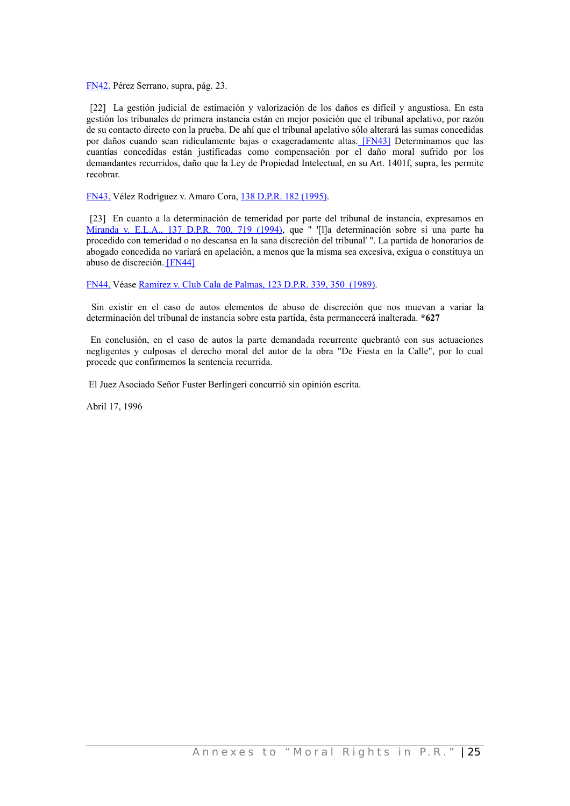<span id="page-44-0"></span>[FN42.](#page-43-4) Pérez Serrano, supra, pág. 23.

<span id="page-44-3"></span>[22] La gestión judicial de estimación y valorización de los daños es difícil y angustiosa. En esta gestión los tribunales de primera instancia están en mejor posición que el tribunal apelativo, por razón de su contacto directo con la prueba. De ahí que el tribunal apelativo sólo alterará las sumas concedidas por daños cuando sean ridículamente bajas o exageradamente altas. [\[FN43\]](#page-44-4) Determinamos que las cuantías concedidas están justificadas como compensación por el daño moral sufrido por los demandantes recurridos, daño que la Ley de Propiedad Intelectual, en su Art. 1401f, supra, les permite recobrar.

<span id="page-44-4"></span>[FN43.](#page-44-3) Vélez Rodríguez v. Amaro Cora, [138 D.P.R. 182 \(1995\).](http://www.westlaw.com/Find/Default.wl?rs=dfa1.0&vr=2.0&DB=2995&FindType=Y&SerialNum=1996275831)

[23] En cuanto a la determinación de temeridad por parte del tribunal de instancia, expresamos en [Miranda](http://www.westlaw.com/Find/Default.wl?rs=dfa1.0&vr=2.0&DB=2995&FindType=Y&ReferencePositionType=S&SerialNum=1996275373&ReferencePosition=719) v. E.L.A., 137 D.P.R. 700, 719 (1994), que " '[l]a determinación sobre si una parte ha procedido con temeridad o no descansa en la sana discreción del tribunal' ". La partida de honorarios de abogado concedida no variará en apelación, a menos que la misma sea excesiva, exigua o constituya un abuso de discreción[. \[FN44\]](#page-44-2)

<span id="page-44-2"></span><span id="page-44-1"></span>[FN44.](#page-44-1) Véase [Ramírez v. Club Cala de Palmas, 123 D.P.R. 339, 350 \(1989\).](http://www.westlaw.com/Find/Default.wl?rs=dfa1.0&vr=2.0&DB=2995&FindType=Y&ReferencePositionType=S&SerialNum=1996216793&ReferencePosition=350)

Sin existir en el caso de autos elementos de abuso de discreción que nos muevan a variar la determinación del tribunal de instancia sobre esta partida, ésta permanecerá inalterada. **\*627**

En conclusión, en el caso de autos la parte demandada recurrente quebrantó con sus actuaciones negligentes y culposas el derecho moral del autor de la obra "De Fiesta en la Calle", por lo cual procede que confirmemos la sentencia recurrida.

El Juez Asociado Señor Fuster Berlingeri concurrió sin opinión escrita.

Abril 17, 1996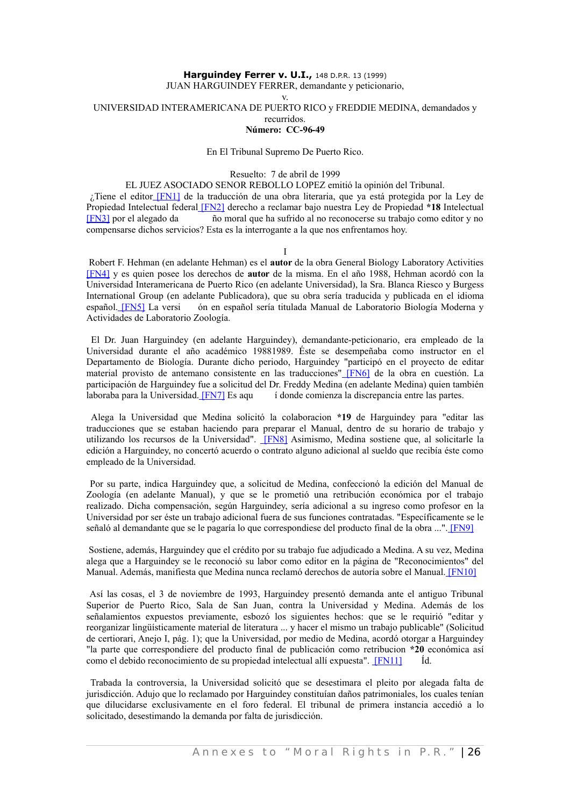# **Harguindey Ferrer v. U.I., 148 D.P.R. 13 (1999)**

JUAN HARGUINDEY FERRER, demandante y peticionario,

v.

UNIVERSIDAD INTERAMERICANA DE PUERTO RICO y FREDDIE MEDINA, demandados y recurridos.

## **Número: CC-96-49**

#### En El Tribunal Supremo De Puerto Rico.

#### Resuelto: 7 de abril de 1999

EL JUEZ ASOCIADO SENOR REBOLLO LOPEZ emitió la opinión del Tribunal.

¿Tiene el editor [\[FN1\]](#page-35-9) de la traducción de una obra literaria, que ya está protegida por la Ley de Propiedad Intelectual federal [\[FN2\]](#page-35-7) derecho a reclamar bajo nuestra Ley de Propiedad **\*18** Intelectua[l](#page-35-5) [\[FN3\]](#page-35-5) por el alegado da ño moral que ha sufrido al no reconocerse su trabajo como editor y no compensarse dichos servicios? Esta es la interrogante a la que nos enfrentamos hoy.

I

Robert F. Hehman (en adelante Hehman) es el **autor** de la obra General Biology Laboratory Activitie[s](#page-35-3) [\[FN4\]](#page-35-3) y es quien posee los derechos de **autor** de la misma. En el año 1988, Hehman acordó con la Universidad Interamericana de Puerto Rico (en adelante Universidad), la Sra. Blanca Riesco y Burgess International Group (en adelante Publicadora), que su obra sería traducida y publicada en el idioma español. [\[FN5\]](#page-35-1) La versi ón en español sería titulada Manual de Laboratorio Biología Moderna y Actividades de Laboratorio Zoología.

El Dr. Juan Harguindey (en adelante Harguindey), demandante-peticionario, era empleado de la Universidad durante el año académico 19881989. Éste se desempeñaba como instructor en el Departamento de Biología. Durante dicho periodo, Harguindey "participó en el proyecto de editar material provisto de antemano consistente en las traducciones" [\[FN6\]](#page-36-3) de la obra en cuestión. La participación de Harguindey fue a solicitud del Dr. Freddy Medina (en adelante Medina) quien también laboraba para la Universidad[. \[FN7\]](#page-36-1) Es aqu i donde comienza la discrepancia entre las partes.

Alega la Universidad que Medina solicitó la colaboracion **\*19** de Harguindey para "editar las traducciones que se estaban haciendo para preparar el Manual, dentro de su horario de trabajo y utilizando los recursos de la Universidad". [\[FN8\]](#page-37-9) Asimismo, Medina sostiene que, al solicitarle la edición a Harguindey, no concertó acuerdo o contrato alguno adicional al sueldo que recibía éste como empleado de la Universidad.

Por su parte, indica Harguindey que, a solicitud de Medina, confeccionó la edición del Manual de Zoología (en adelante Manual), y que se le prometió una retribución económica por el trabajo realizado. Dicha compensación, según Harguindey, sería adicional a su ingreso como profesor en la Universidad por ser éste un trabajo adicional fuera de sus funciones contratadas. "Específicamente se le señaló al demandante que se le pagaría lo que correspondiese del producto final de la obra ..."[. \[FN9\]](#page-37-7)

Sostiene, además, Harguindey que el crédito por su trabajo fue adjudicado a Medina. A su vez, Medina alega que a Harguindey se le reconoció su labor como editor en la página de "Reconocimientos" del Manual. Además, manifiesta que Medina nunca reclamó derechos de autoría sobre el Manual[. \[FN10\]](#page-37-6)

Así las cosas, el 3 de noviembre de 1993, Harguindey presentó demanda ante el antiguo Tribunal Superior de Puerto Rico, Sala de San Juan, contra la Universidad y Medina. Además de los señalamientos expuestos previamente, esbozó los siguientes hechos: que se le requirió "editar y reorganizar lingüísticamente material de literatura ... y hacer el mismo un trabajo publicable" (Solicitud de certiorari, Anejo I, pág. 1); que la Universidad, por medio de Medina, acordó otorgar a Harguindey "la parte que correspondiere del producto final de publicación como retribucion **\*20** económica así como el debido reconocimiento de su propiedad intelectual allí expuesta". [\[FN11\]](#page-37-5) Íd.

Trabada la controversia, la Universidad solicitó que se desestimara el pleito por alegada falta de jurisdicción. Adujo que lo reclamado por Harguindey constituían daños patrimoniales, los cuales tenían que dilucidarse exclusivamente en el foro federal. El tribunal de primera instancia accedió a lo solicitado, desestimando la demanda por falta de jurisdicción.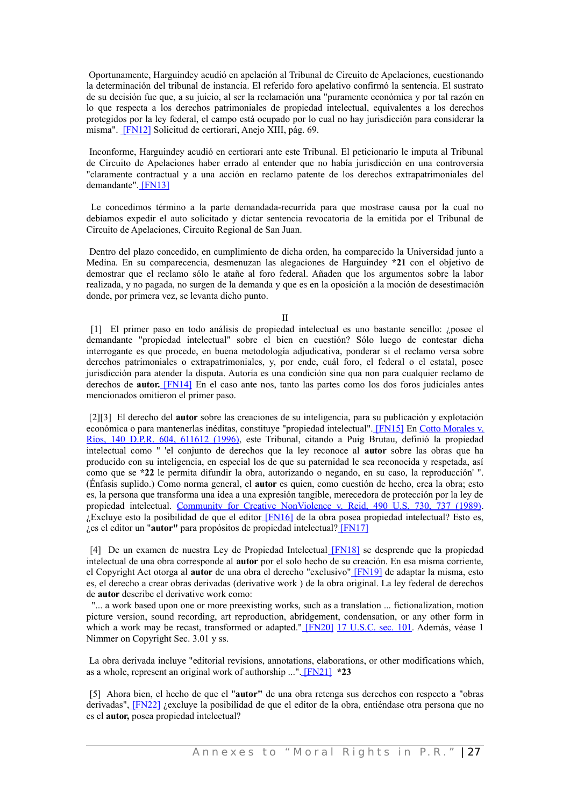Oportunamente, Harguindey acudió en apelación al Tribunal de Circuito de Apelaciones, cuestionando la determinación del tribunal de instancia. El referido foro apelativo confirmó la sentencia. El sustrato de su decisión fue que, a su juicio, al ser la reclamación una "puramente económica y por tal razón en lo que respecta a los derechos patrimoniales de propiedad intelectual, equivalentes a los derechos protegidos por la ley federal, el campo está ocupado por lo cual no hay jurisdicción para considerar la misma". [\[FN12\]](#page-37-4) Solicitud de certiorari, Anejo XIII, pág. 69.

Inconforme, Harguindey acudió en certiorari ante este Tribunal. El peticionario le imputa al Tribunal de Circuito de Apelaciones haber errado al entender que no había jurisdicción en una controversia "claramente contractual y a una acción en reclamo patente de los derechos extrapatrimoniales del demandante"[. \[FN13\]](#page-38-9)

Le concedimos término a la parte demandada-recurrida para que mostrase causa por la cual no debíamos expedir el auto solicitado y dictar sentencia revocatoria de la emitida por el Tribunal de Circuito de Apelaciones, Circuito Regional de San Juan.

Dentro del plazo concedido, en cumplimiento de dicha orden, ha comparecido la Universidad junto a Medina. En su comparecencia, desmenuzan las alegaciones de Harguindey **\*21** con el objetivo de demostrar que el reclamo sólo le atañe al foro federal. Añaden que los argumentos sobre la labor realizada, y no pagada, no surgen de la demanda y que es en la oposición a la moción de desestimación donde, por primera vez, se levanta dicho punto.

II

[1] El primer paso en todo análisis de propiedad intelectual es uno bastante sencillo: ¿posee el demandante "propiedad intelectual" sobre el bien en cuestión? Sólo luego de contestar dicha interrogante es que procede, en buena metodología adjudicativa, ponderar si el reclamo versa sobre derechos patrimoniales o extrapatrimoniales, y, por ende, cuál foro, el federal o el estatal, posee jurisdicción para atender la disputa. Autoría es una condición sine qua non para cualquier reclamo de derechos de **autor.** [\[FN14\]](#page-38-8) En el caso ante nos, tanto las partes como los dos foros judiciales antes mencionados omitieron el primer paso.

[2][3] El derecho del **autor** sobre las creaciones de su inteligencia, para su publicación y explotación económica o para mantenerlas inéditas, constituye "propiedad intelectual". [\[FN15\]](#page-38-7) En Cotto [Morales](http://www.westlaw.com/Find/Default.wl?rs=dfa1.0&vr=2.0&DB=2995&FindType=Y&SerialNum=1996216727) v. Ríos, 140 D.P.R. 604, [611612](http://www.westlaw.com/Find/Default.wl?rs=dfa1.0&vr=2.0&DB=2995&FindType=Y&SerialNum=1996216727) (1996), este Tribunal, citando a Puig Brutau, definió la propiedad intelectual como " 'el conjunto de derechos que la ley reconoce al **autor** sobre las obras que ha producido con su inteligencia, en especial los de que su paternidad le sea reconocida y respetada, así como que se **\*22** le permita difundir la obra, autorizando o negando, en su caso, la reproducción' ". (Énfasis suplido.) Como norma general, el **autor** es quien, como cuestión de hecho, crea la obra; esto es, la persona que transforma una idea a una expresión tangible, merecedora de protección por la ley de propiedad intelectual. Community for Creative [NonViolence](http://www.westlaw.com/Find/Default.wl?rs=dfa1.0&vr=2.0&DB=780&FindType=Y&ReferencePositionType=S&SerialNum=1989082504&ReferencePosition=737) v. Reid, 490 U.S. 730, 737 (1989).  $i$ Excluye esto la posibilidad de que el editor [\[FN16\]](#page-38-3) de la obra posea propiedad intelectual? Esto es, ¿es el editor un "**autor"** para propósitos de propiedad intelectual[? \[FN17\]](#page-38-1)

[4] De un examen de nuestra Ley de Propiedad Intelectual [\[FN18\]](#page-39-13) se desprende que la propiedad intelectual de una obra corresponde al **autor** por el solo hecho de su creación. En esa misma corriente, el Copyright Act otorga al **autor** de una obra el derecho "exclusivo" [\[FN19\]](#page-39-11) de adaptar la misma, esto es, el derecho a crear obras derivadas (derivative work ) de la obra original. La ley federal de derechos de **autor** describe el derivative work como:

"... a work based upon one or more preexisting works, such as a translation ... fictionalization, motion picture version, sound recording, art reproduction, abridgement, condensation, or any other form in which a work may be recast, transformed or adapted." [\[FN20\]](#page-39-9) 17 [U.S.C.](http://www.westlaw.com/Find/Default.wl?rs=dfa1.0&vr=2.0&DB=1000546&DocName=17USCAS101&FindType=L) sec. 101. Además, véase 1 Nimmer on Copyright Sec. 3.01 y ss.

La obra derivada incluye "editorial revisions, annotations, elaborations, or other modifications which, as a whole, represent an original work of authorship ...". [\[FN21\]](#page-39-7) **\*23**

[5] Ahora bien, el hecho de que el "**autor"** de una obra retenga sus derechos con respecto a "obras derivadas", [\[FN22\]](#page-39-6) ¿excluye la posibilidad de que el editor de la obra, entiéndase otra persona que no es el **autor,** posea propiedad intelectual?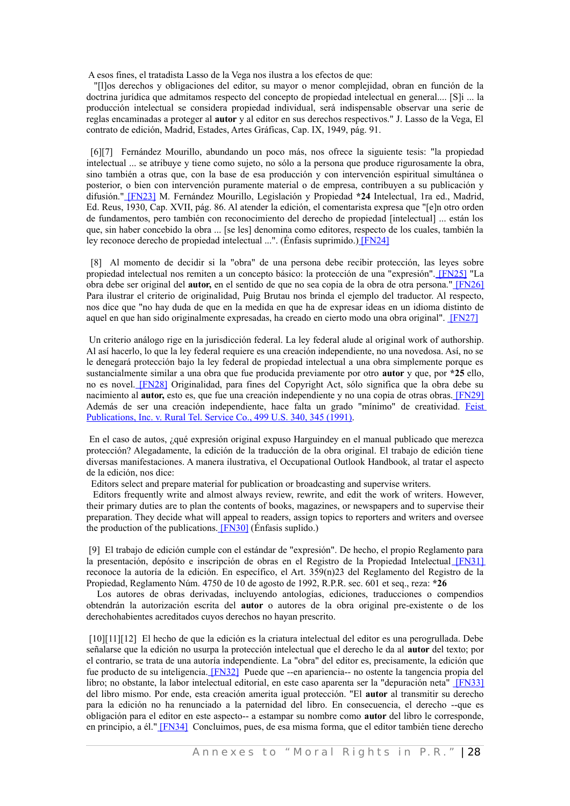A esos fines, el tratadista Lasso de la Vega nos ilustra a los efectos de que:

"[l]os derechos y obligaciones del editor, su mayor o menor complejidad, obran en función de la doctrina jurídica que admitamos respecto del concepto de propiedad intelectual en general.... [S]i ... la producción intelectual se considera propiedad individual, será indispensable observar una serie de reglas encaminadas a proteger al **autor** y al editor en sus derechos respectivos." J. Lasso de la Vega, El contrato de edición, Madrid, Estades, Artes Gráficas, Cap. IX, 1949, pág. 91.

[6][7] Fernández Mourillo, abundando un poco más, nos ofrece la siguiente tesis: "la propiedad intelectual ... se atribuye y tiene como sujeto, no sólo a la persona que produce rigurosamente la obra, sino también a otras que, con la base de esa producción y con intervención espiritual simultánea o posterior, o bien con intervención puramente material o de empresa, contribuyen a su publicación y difusión." [\[FN23\]](#page-39-3) M. Fernández Mourillo, Legislación y Propiedad **\*24** Intelectual, 1ra ed., Madrid, Ed. Reus, 1930, Cap. XVII, pág. 86. Al atender la edición, el comentarista expresa que "[e]n otro orden de fundamentos, pero también con reconocimiento del derecho de propiedad [intelectual] ... están los que, sin haber concebido la obra ... [se les] denomina como editores, respecto de los cuales, también la ley reconoce derecho de propiedad intelectual ...". (Énfasis suprimido.[\) \[FN24\]](#page-39-1)

[8] Al momento de decidir si la "obra" de una persona debe recibir protección, las leyes sobre propiedad intelectual nos remiten a un concepto básico: la protección de una "expresión". [\[FN25\]](#page-40-7) "La obra debe ser original del **autor,** en el sentido de que no sea copia de la obra de otra persona." [\[FN26\]](#page-40-5) Para ilustrar el criterio de originalidad, Puig Brutau nos brinda el ejemplo del traductor. Al respecto, nos dice que "no hay duda de que en la medida en que ha de expresar ideas en un idioma distinto de aquel en que han sido originalmente expresadas, ha creado en cierto modo una obra original". [\[FN27\]](#page-40-4)

Un criterio análogo rige en la jurisdicción federal. La ley federal alude al original work of authorship. Al así hacerlo, lo que la ley federal requiere es una creación independiente, no una novedosa. Así, no se le denegará protección bajo la ley federal de propiedad intelectual a una obra simplemente porque es sustancialmente similar a una obra que fue producida previamente por otro **autor** y que, por **\*25** ello, no es novel. [\[FN28\]](#page-40-1) Originalidad, para fines del Copyright Act, sólo significa que la obra debe su nacimiento al **autor,** esto es, que fue una creación independiente y no una copia de otras obras. [\[FN29\]](#page-41-11) Además de ser una creación independiente, hace falta un grado "mínimo" de creatividad. [Feist](http://www.westlaw.com/Find/Default.wl?rs=dfa1.0&vr=2.0&DB=780&FindType=Y&ReferencePositionType=S&SerialNum=1991060551&ReferencePosition=345) Publications, Inc. v. Rural [Tel. Service Co., 499 U.S. 340, 345 \(1991\).](http://www.westlaw.com/Find/Default.wl?rs=dfa1.0&vr=2.0&DB=780&FindType=Y&ReferencePositionType=S&SerialNum=1991060551&ReferencePosition=345)

En el caso de autos, ¿qué expresión original expuso Harguindey en el manual publicado que merezca protección? Alegadamente, la edición de la traducción de la obra original. El trabajo de edición tiene diversas manifestaciones. A manera ilustrativa, el Occupational Outlook Handbook, al tratar el aspecto de la edición, nos dice:

Editors select and prepare material for publication or broadcasting and supervise writers.

Editors frequently write and almost always review, rewrite, and edit the work of writers. However, their primary duties are to plan the contents of books, magazines, or newspapers and to supervise their preparation. They decide what will appeal to readers, assign topics to reporters and writers and oversee the production of the publications. **[FN30]** (Énfasis suplido.)

[9] El trabajo de edición cumple con el estándar de "expresión". De hecho, el propio Reglamento para la presentación, depósito e inscripción de obras en el Registro de la Propiedad Intelectual [\[FN31\]](#page-41-7) reconoce la autoría de la edición. En específico, el Art. 359(n)23 del Reglamento del Registro de la Propiedad, Reglamento Núm. 4750 de 10 de agosto de 1992, R.P.R. sec. 601 et seq., reza: **\*26**

Los autores de obras derivadas, incluyendo antologías, ediciones, traducciones o compendios obtendrán la autorización escrita del **autor** o autores de la obra original pre-existente o de los derechohabientes acreditados cuyos derechos no hayan prescrito.

[10][11][12] El hecho de que la edición es la criatura intelectual del editor es una perogrullada. Debe señalarse que la edición no usurpa la protección intelectual que el derecho le da al **autor** del texto; por el contrario, se trata de una autoría independiente. La "obra" del editor es, precisamente, la edición que fue producto de su inteligencia. [\[FN32\]](#page-41-5) Puede que --en apariencia-- no ostente la tangencia propia del libro; no obstante, la labor intelectual editorial, en este caso aparenta ser la "depuración neta" [\[FN33\]](#page-41-3) del libro mismo. Por ende, esta creación amerita igual protección. "El **autor** al transmitir su derecho para la edición no ha renunciado a la paternidad del libro. En consecuencia, el derecho --que es obligación para el editor en este aspecto-- a estampar su nombre como **autor** del libro le corresponde, en principio, a él.[" \[FN34\]](#page-41-1) Concluimos, pues, de esa misma forma, que el editor también tiene derecho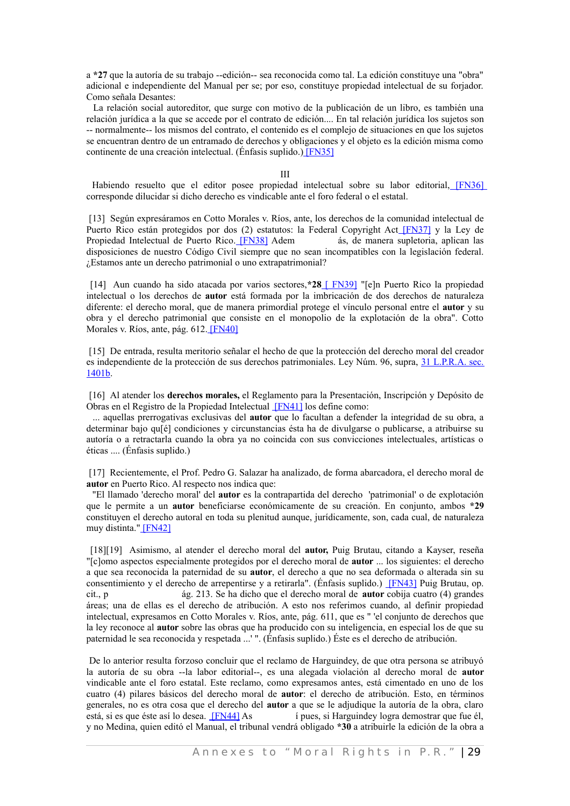a **\*27** que la autoría de su trabajo --edición-- sea reconocida como tal. La edición constituye una "obra" adicional e independiente del Manual per se; por eso, constituye propiedad intelectual de su forjador. Como señala Desantes:

La relación social autoreditor, que surge con motivo de la publicación de un libro, es también una relación jurídica a la que se accede por el contrato de edición.... En tal relación jurídica los sujetos son -- normalmente-- los mismos del contrato, el contenido es el complejo de situaciones en que los sujetos se encuentran dentro de un entramado de derechos y obligaciones y el objeto es la edición misma como continente de una creación intelectual. (Énfasis suplido.[\) \[FN35\]](#page-42-9)

#### III

Habiendo resuelto que el editor posee propiedad intelectual sobre su labor editorial, [\[FN36\]](#page-42-7) corresponde dilucidar si dicho derecho es vindicable ante el foro federal o el estatal.

[13] Según expresáramos en Cotto Morales v. Ríos, ante, los derechos de la comunidad intelectual de Puerto Rico están protegidos por dos (2) estatutos: la Federal Copyright Act [\[FN37\]](#page-42-5) y la Ley de Propiedad Intelectual de Puerto Rico. [\[FN38\]](#page-42-3) Adem ás, de manera supletoria, aplican las disposiciones de nuestro Código Civil siempre que no sean incompatibles con la legislación federal. ¿Estamos ante un derecho patrimonial o uno extrapatrimonial?

[14] Aun cuando ha sido atacada por varios sectores,**\*28** [ [FN39\]](#page-42-1) "[e]n Puerto Rico la propiedad intelectual o los derechos de **autor** está formada por la imbricación de dos derechos de naturaleza diferente: el derecho moral, que de manera primordial protege el vínculo personal entre el **autor** y su obra y el derecho patrimonial que consiste en el monopolio de la explotación de la obra". Cotto Morales v. Ríos, ante, pág. 612[. \[FN40\]](#page-43-3)

[15] De entrada, resulta meritorio señalar el hecho de que la protección del derecho moral del creador es independiente de la protección de sus derechos patrimoniales. Ley Núm. 96, supra, 31 [L.P.R.A.](http://www.westlaw.com/Find/Default.wl?rs=dfa1.0&vr=2.0&DB=1015876&DocName=PRSSTT31S1401B&FindType=L) sec. [1401b.](http://www.westlaw.com/Find/Default.wl?rs=dfa1.0&vr=2.0&DB=1015876&DocName=PRSSTT31S1401B&FindType=L)

[16] Al atender los **derechos morales,** el Reglamento para la Presentación, Inscripción y Depósito de Obras en el Registro de la Propiedad Intelectual [\[FN41\]](#page-43-1) los define como:

... aquellas prerrogativas exclusivas del **autor** que lo facultan a defender la integridad de su obra, a determinar bajo qu[é] condiciones y circunstancias ésta ha de divulgarse o publicarse, a atribuirse su autoría o a retractarla cuando la obra ya no coincida con sus convicciones intelectuales, artísticas o éticas .... (Énfasis suplido.)

[17] Recientemente, el Prof. Pedro G. Salazar ha analizado, de forma abarcadora, el derecho moral de **autor** en Puerto Rico. Al respecto nos indica que:

"El llamado 'derecho moral' del **autor** es la contrapartida del derecho 'patrimonial' o de explotación que le permite a un **autor** beneficiarse económicamente de su creación. En conjunto, ambos **\*29** constituyen el derecho autoral en toda su plenitud aunque, jurídicamente, son, cada cual, de naturaleza muy distinta.[" \[FN42\]](#page-44-0)

[18][19] Asimismo, al atender el derecho moral del **autor,** Puig Brutau, citando a Kayser, reseña "[c]omo aspectos especialmente protegidos por el derecho moral de **autor** ... los siguientes: el derecho a que sea reconocida la paternidad de su **autor**, el derecho a que no sea deformada o alterada sin su consentimiento y el derecho de arrepentirse y a retirarla". (Énfasis suplido.) [\[FN43\]](#page-44-4) Puig Brutau, op. cit., p ág. 213. Se ha dicho que el derecho moral de **autor** cobija cuatro (4) grandes áreas; una de ellas es el derecho de atribución. A esto nos referimos cuando, al definir propiedad intelectual, expresamos en Cotto Morales v. Ríos, ante, pág. 611, que es " 'el conjunto de derechos que la ley reconoce al **autor** sobre las obras que ha producido con su inteligencia, en especial los de que su paternidad le sea reconocida y respetada ...' ". (Énfasis suplido.) Éste es el derecho de atribución.

De lo anterior resulta forzoso concluir que el reclamo de Harguindey, de que otra persona se atribuyó la autoría de su obra --la labor editorial--, es una alegada violación al derecho moral de **autor** vindicable ante el foro estatal. Este reclamo, como expresamos antes, está cimentado en uno de los cuatro (4) pilares básicos del derecho moral de **autor**: el derecho de atribución. Esto, en términos generales, no es otra cosa que el derecho del **autor** a que se le adjudique la autoría de la obra, claro está, si es que éste así lo desea. **[\[FN44\]](#page-44-2)** As *i* pues, si Harguindey logra demostrar que fue él, y no Medina, quien editó el Manual, el tribunal vendrá obligado **\*30** a atribuirle la edición de la obra a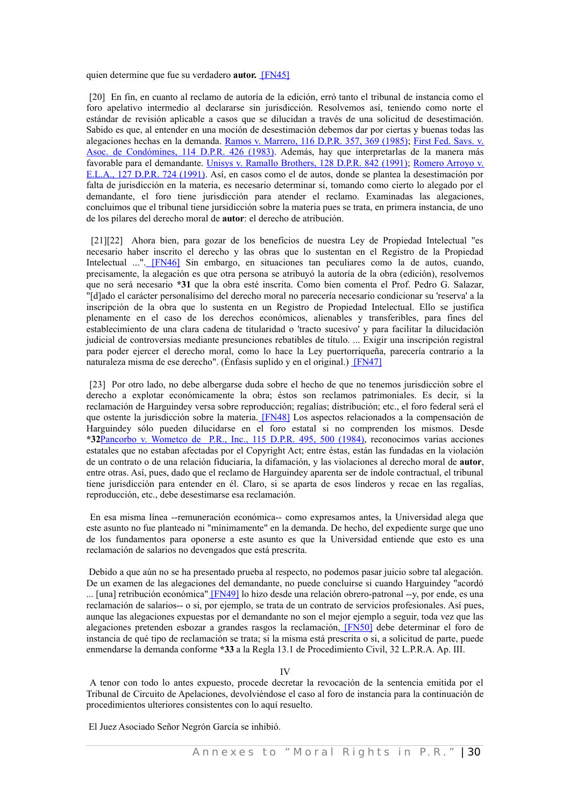<span id="page-49-3"></span>quien determine que fue su verdadero **autor.** [\[FN45\]](#page-52-3)

[20] En fin, en cuanto al reclamo de autoría de la edición, erró tanto el tribunal de instancia como el foro apelativo intermedio al declararse sin jurisdicción. Resolvemos así, teniendo como norte el estándar de revisión aplicable a casos que se dilucidan a través de una solicitud de desestimación. Sabido es que, al entender en una moción de desestimación debemos dar por ciertas y buenas todas las alegaciones hechas en la demanda. Ramos v. [Marrero,](http://www.westlaw.com/Find/Default.wl?rs=dfa1.0&vr=2.0&DB=2995&FindType=Y&ReferencePositionType=S&SerialNum=1985027883&ReferencePosition=369) 116 D.P.R. 357, 369 (1985); First Fed. [Savs.](http://www.westlaw.com/Find/Default.wl?rs=dfa1.0&vr=2.0&DB=2995&FindType=Y&SerialNum=1983028040) v. Asoc. de [Condómines,](http://www.westlaw.com/Find/Default.wl?rs=dfa1.0&vr=2.0&DB=2995&FindType=Y&SerialNum=1983028040) 114 D.P.R. 426 (1983). Además, hay que interpretarlas de la manera más favorable para el demandante. Unisys v. Ramallo [Brothers,](http://www.westlaw.com/Find/Default.wl?rs=dfa1.0&vr=2.0&DB=2995&FindType=Y&SerialNum=1996209880) 128 D.P.R. 842 (1991); [Romero](http://www.westlaw.com/Find/Default.wl?rs=dfa1.0&vr=2.0&DB=2995&FindType=Y&SerialNum=1991218868) Arroyo v. [E.L.A.,](http://www.westlaw.com/Find/Default.wl?rs=dfa1.0&vr=2.0&DB=2995&FindType=Y&SerialNum=1991218868) 127 D.P.R. 724 (1991). Así, en casos como el de autos, donde se plantea la desestimación por falta de jurisdicción en la materia, es necesario determinar si, tomando como cierto lo alegado por el demandante, el foro tiene jurisdicción para atender el reclamo. Examinadas las alegaciones, concluimos que el tribunal tiene jursidicción sobre la materia pues se trata, en primera instancia, de uno de los pilares del derecho moral de **autor**: el derecho de atribución.

<span id="page-49-2"></span>[21][22] Ahora bien, para gozar de los beneficios de nuestra Ley de Propiedad Intelectual "es necesario haber inscrito el derecho y las obras que lo sustentan en el Registro de la Propiedad Intelectual ...". [\[FN46\]](#page-52-2) Sin embargo, en situaciones tan peculiares como la de autos, cuando, precisamente, la alegación es que otra persona se atribuyó la autoría de la obra (edición), resolvemos que no será necesario **\*31** que la obra esté inscrita. Como bien comenta el Prof. Pedro G. Salazar, "[d]ado el carácter personalísimo del derecho moral no parecería necesario condicionar su 'reserva' a la inscripción de la obra que lo sustenta en un Registro de Propiedad Intelectual. Ello se justifica plenamente en el caso de los derechos económicos, alienables y transferibles, para fines del establecimiento de una clara cadena de titularidad o 'tracto sucesivo' y para facilitar la dilucidación judicial de controversias mediante presunciones rebatibles de título. ... Exigir una inscripción registral para poder ejercer el derecho moral, como lo hace la Ley puertorriqueña, parecería contrario a la naturaleza misma de ese derecho". (Énfasis suplido y en el original.) [\[FN47\]](#page-52-1)

<span id="page-49-1"></span><span id="page-49-0"></span>[23] Por otro lado, no debe albergarse duda sobre el hecho de que no tenemos jurisdicción sobre el derecho a explotar económicamente la obra; éstos son reclamos patrimoniales. Es decir, si la reclamación de Harguindey versa sobre reproducción; regalías; distribución; etc., el foro federal será el que ostente la jurisdicción sobre la materia. [\[FN48\]](#page-52-0) Los aspectos relacionados a la compensación de Harguindey sólo pueden dilucidarse en el foro estatal si no comprenden los mismos. Desde **\*32**Pancorbo v. [Wometco](http://www.westlaw.com/Find/Default.wl?rs=dfa1.0&vr=2.0&DB=2995&FindType=Y&ReferencePositionType=S&SerialNum=1984029280&ReferencePosition=500) de P.R., Inc., 115 D.P.R. 495, 500 (1984), reconocimos varias acciones estatales que no estaban afectadas por el Copyright Act; entre éstas, están las fundadas en la violación de un contrato o de una relación fiduciaria, la difamación, y las violaciones al derecho moral de **autor**, entre otras. Así, pues, dado que el reclamo de Harguindey aparenta ser de índole contractual, el tribunal tiene jurisdicción para entender en él. Claro, si se aparta de esos linderos y recae en las regalías, reproducción, etc., debe desestimarse esa reclamación.

En esa misma línea --remuneración económica-- como expresamos antes, la Universidad alega que este asunto no fue planteado ni "mínimamente" en la demanda. De hecho, del expediente surge que uno de los fundamentos para oponerse a este asunto es que la Universidad entiende que esto es una reclamación de salarios no devengados que está prescrita.

Debido a que aún no se ha presentado prueba al respecto, no podemos pasar juicio sobre tal alegación. De un examen de las alegaciones del demandante, no puede concluirse si cuando Harguindey "acordó ... [una] retribución económica[" \[FN49\]](#page-53-1) lo hizo desde una relación obrero-patronal --y, por ende, es una reclamación de salarios-- o si, por ejemplo, se trata de un contrato de servicios profesionales. Así pues, aunque las alegaciones expuestas por el demandante no son el mejor ejemplo a seguir, toda vez que las alegaciones pretenden esbozar a grandes rasgos la reclamación, [\[FN50\]](#page-53-0) debe determinar el foro de instancia de qué tipo de reclamación se trata; si la misma está prescrita o si, a solicitud de parte, puede enmendarse la demanda conforme **\*33** a la Regla 13.1 de Procedimiento Civil, 32 L.P.R.A. Ap. III.

#### <span id="page-49-5"></span><span id="page-49-4"></span>IV

A tenor con todo lo antes expuesto, procede decretar la revocación de la sentencia emitida por el Tribunal de Circuito de Apelaciones, devolviéndose el caso al foro de instancia para la continuación de procedimientos ulteriores consistentes con lo aquí resuelto.

El Juez Asociado Señor Negrón García se inhibió.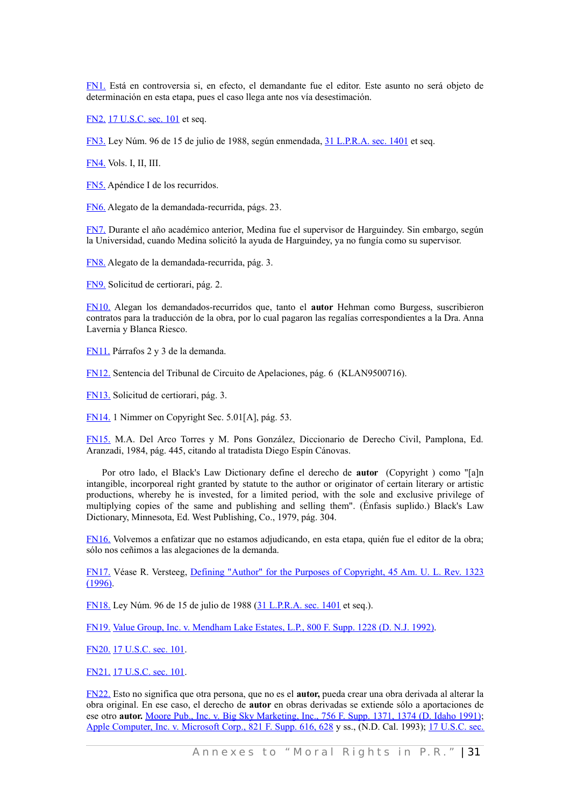[FN1.](#page-35-8) Está en controversia si, en efecto, el demandante fue el editor. Este asunto no será objeto de determinación en esta etapa, pues el caso llega ante nos vía desestimación.

[FN2.](#page-35-6) [17 U.S.C. sec. 101](http://www.westlaw.com/Find/Default.wl?rs=dfa1.0&vr=2.0&DB=1000546&DocName=17USCAS101&FindType=L) et seq.

[FN3.](#page-35-4) Ley Núm. 96 de 15 de julio de 1988, según enmendada, [31 L.P.R.A. sec. 1401](http://www.westlaw.com/Find/Default.wl?rs=dfa1.0&vr=2.0&DB=1015876&DocName=PRSSTT31S1401&FindType=L) et seq.

[FN4.](#page-35-2) Vols. I, II, III.

[FN5.](#page-35-0) Apéndice I de los recurridos.

[FN6.](#page-36-2) Alegato de la demandada-recurrida, págs. 23.

[FN7.](#page-36-0) Durante el año académico anterior, Medina fue el supervisor de Harguindey. Sin embargo, según la Universidad, cuando Medina solicitó la ayuda de Harguindey, ya no fungía como su supervisor.

[FN8.](#page-37-8) Alegato de la demandada-recurrida, pág. 3.

[FN9.](#page-37-3) Solicitud de certiorari, pág. 2.

[FN10.](#page-37-2) Alegan los demandados-recurridos que, tanto el **autor** Hehman como Burgess, suscribieron contratos para la traducción de la obra, por lo cual pagaron las regalías correspondientes a la Dra. Anna Lavernia y Blanca Riesco.

[FN11.](#page-37-1) Párrafos 2 y 3 de la demanda.

[FN12.](#page-37-0) Sentencia del Tribunal de Circuito de Apelaciones, pág. 6 (KLAN9500716).

[FN13.](#page-38-6) Solicitud de certiorari, pág. 3.

[FN14.](#page-38-5) 1 Nimmer on Copyright Sec. 5.01[A], pág. 53.

[FN15.](#page-38-4) M.A. Del Arco Torres y M. Pons González, Diccionario de Derecho Civil, Pamplona, Ed. Aranzadi, 1984, pág. 445, citando al tratadista Diego Espín Cánovas.

Por otro lado, el Black's Law Dictionary define el derecho de **autor** (Copyright ) como "[a]n intangible, incorporeal right granted by statute to the author or originator of certain literary or artistic productions, whereby he is invested, for a limited period, with the sole and exclusive privilege of multiplying copies of the same and publishing and selling them". (Énfasis suplido.) Black's Law Dictionary, Minnesota, Ed. West Publishing, Co., 1979, pág. 304.

[FN16.](#page-38-2) Volvemos a enfatizar que no estamos adjudicando, en esta etapa, quién fue el editor de la obra; sólo nos ceñimos a las alegaciones de la demanda.

[FN17.](#page-38-0) Véase R. Versteeg, Defining "Author" for the Purposes of [Copyright,](http://www.westlaw.com/Find/Default.wl?rs=dfa1.0&vr=2.0&DB=1529&FindType=Y&SerialNum=0106714034) 45 Am. U. L. Rev. 1323 [\(1996\).](http://www.westlaw.com/Find/Default.wl?rs=dfa1.0&vr=2.0&DB=1529&FindType=Y&SerialNum=0106714034)

[FN18.](#page-39-12) Ley Núm. 96 de 15 de julio de 1988 [\(31 L.P.R.A. sec. 1401](http://www.westlaw.com/Find/Default.wl?rs=dfa1.0&vr=2.0&DB=1015876&DocName=PRSSTT31S1401&FindType=L) et seq.).

[FN19.](#page-39-10) [Value Group, Inc. v. Mendham Lake Estates, L.P., 800 F. Supp. 1228 \(D. N.J. 1992\).](http://www.westlaw.com/Find/Default.wl?rs=dfa1.0&vr=2.0&DB=345&FindType=Y&SerialNum=1992156108)

[FN20.](#page-39-8) [17 U.S.C. sec. 101.](http://www.westlaw.com/Find/Default.wl?rs=dfa1.0&vr=2.0&DB=1000546&DocName=17USCAS101&FindType=L)

[FN21.](#page-39-5) [17 U.S.C. sec. 101.](http://www.westlaw.com/Find/Default.wl?rs=dfa1.0&vr=2.0&DB=1000546&DocName=17USCAS101&FindType=L)

[FN22.](#page-39-4) Esto no significa que otra persona, que no es el **autor,** pueda crear una obra derivada al alterar la obra original. En ese caso, el derecho de **autor** en obras derivadas se extiende sólo a aportaciones de ese otro **autor.** Moore Pub., Inc. v. Big Sky [Marketing,](http://www.westlaw.com/Find/Default.wl?rs=dfa1.0&vr=2.0&DB=345&FindType=Y&ReferencePositionType=S&SerialNum=1991042455&ReferencePosition=1374) Inc., 756 F. Supp. 1371, 1374 (D. Idaho 1991); Apple [Computer,](http://www.westlaw.com/Find/Default.wl?rs=dfa1.0&vr=2.0&DB=345&FindType=Y&ReferencePositionType=S&SerialNum=1993110101&ReferencePosition=628) Inc. v. Microsoft Corp., 821 F. Supp. 616, 628 y ss., (N.D. Cal. 1993); 17 [U.S.C.](http://www.westlaw.com/Find/Default.wl?rs=dfa1.0&vr=2.0&DB=1000546&DocName=17USCAS103&FindType=L) sec.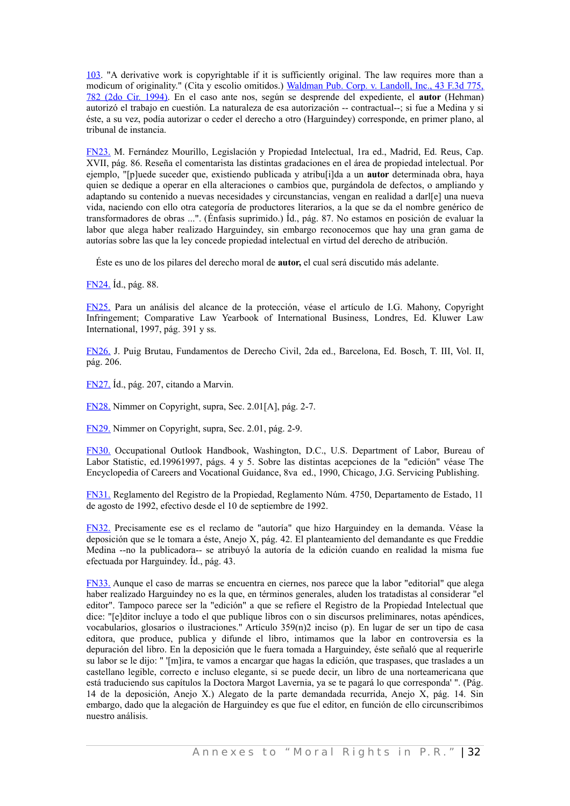[103.](http://www.westlaw.com/Find/Default.wl?rs=dfa1.0&vr=2.0&DB=1000546&DocName=17USCAS103&FindType=L) "A derivative work is copyrightable if it is sufficiently original. The law requires more than a modicum of originality." (Cita y escolio omitidos.) [Waldman](http://www.westlaw.com/Find/Default.wl?rs=dfa1.0&vr=2.0&DB=506&FindType=Y&ReferencePositionType=S&SerialNum=1995020603&ReferencePosition=782) Pub. Corp. v. Landoll, Inc., 43 F.3d 775, 782 (2do Cir. [1994\).](http://www.westlaw.com/Find/Default.wl?rs=dfa1.0&vr=2.0&DB=506&FindType=Y&ReferencePositionType=S&SerialNum=1995020603&ReferencePosition=782) En el caso ante nos, según se desprende del expediente, el **autor** (Hehman) autorizó el trabajo en cuestión. La naturaleza de esa autorización -- contractual--; si fue a Medina y si éste, a su vez, podía autorizar o ceder el derecho a otro (Harguindey) corresponde, en primer plano, al tribunal de instancia.

[FN23.](#page-39-2) M. Fernández Mourillo, Legislación y Propiedad Intelectual, 1ra ed., Madrid, Ed. Reus, Cap. XVII, pág. 86. Reseña el comentarista las distintas gradaciones en el área de propiedad intelectual. Por ejemplo, "[p]uede suceder que, existiendo publicada y atribu[i]da a un **autor** determinada obra, haya quien se dedique a operar en ella alteraciones o cambios que, purgándola de defectos, o ampliando y adaptando su contenido a nuevas necesidades y circunstancias, vengan en realidad a darllel una nueva vida, naciendo con ello otra categoría de productores literarios, a la que se da el nombre genérico de transformadores de obras ...". (Énfasis suprimido.) Íd., pág. 87. No estamos en posición de evaluar la labor que alega haber realizado Harguindey, sin embargo reconocemos que hay una gran gama de autorías sobre las que la ley concede propiedad intelectual en virtud del derecho de atribución.

Éste es uno de los pilares del derecho moral de **autor,** el cual será discutido más adelante.

[FN24.](#page-39-0) Íd., pág. 88.

[FN25.](#page-40-6) Para un análisis del alcance de la protección, véase el artículo de I.G. Mahony, Copyright Infringement; Comparative Law Yearbook of International Business, Londres, Ed. Kluwer Law International, 1997, pág. 391 y ss.

[FN26.](#page-40-3) J. Puig Brutau, Fundamentos de Derecho Civil, 2da ed., Barcelona, Ed. Bosch, T. III, Vol. II, pág. 206.

[FN27.](#page-40-2) Íd., pág. 207, citando a Marvin.

[FN28.](#page-40-0) Nimmer on Copyright, supra, Sec. 2.01[A], pág. 2-7.

[FN29.](#page-41-10) Nimmer on Copyright, supra, Sec. 2.01, pág. 2-9.

[FN30.](#page-41-8) Occupational Outlook Handbook, Washington, D.C., U.S. Department of Labor, Bureau of Labor Statistic, ed.19961997, págs. 4 y 5. Sobre las distintas acepciones de la "edición" véase The Encyclopedia of Careers and Vocational Guidance, 8va ed., 1990, Chicago, J.G. Servicing Publishing.

[FN31.](#page-41-6) Reglamento del Registro de la Propiedad, Reglamento Núm. 4750, Departamento de Estado, 11 de agosto de 1992, efectivo desde el 10 de septiembre de 1992.

[FN32.](#page-41-4) Precisamente ese es el reclamo de "autoría" que hizo Harguindey en la demanda. Véase la deposición que se le tomara a éste, Anejo X, pág. 42. El planteamiento del demandante es que Freddie Medina --no la publicadora-- se atribuyó la autoría de la edición cuando en realidad la misma fue efectuada por Harguindey. Íd., pág. 43.

[FN33.](#page-41-2) Aunque el caso de marras se encuentra en ciernes, nos parece que la labor "editorial" que alega haber realizado Harguindey no es la que, en términos generales, aluden los tratadistas al considerar "el editor". Tampoco parece ser la "edición" a que se refiere el Registro de la Propiedad Intelectual que dice: "[e]ditor incluye a todo el que publique libros con o sin discursos preliminares, notas apéndices, vocabularios, glosarios o ilustraciones." Artículo 359(n)2 inciso (p). En lugar de ser un tipo de casa editora, que produce, publica y difunde el libro, intimamos que la labor en controversia es la depuración del libro. En la deposición que le fuera tomada a Harguindey, éste señaló que al requerirle su labor se le dijo: " '[m]ira, te vamos a encargar que hagas la edición, que traspases, que traslades a un castellano legible, correcto e incluso elegante, si se puede decir, un libro de una norteamericana que está traduciendo sus capítulos la Doctora Margot Lavernia, ya se te pagará lo que corresponda' ". (Pág. 14 de la deposición, Anejo X.) Alegato de la parte demandada recurrida, Anejo X, pág. 14. Sin embargo, dado que la alegación de Harguindey es que fue el editor, en función de ello circunscribimos nuestro análisis.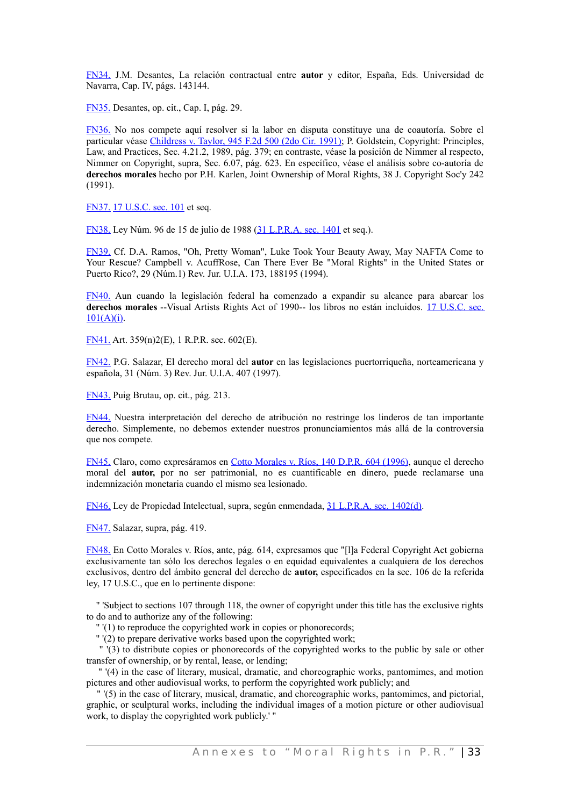[FN34.](#page-41-0) J.M. Desantes, La relación contractual entre **autor** y editor, España, Eds. Universidad de Navarra, Cap. IV, págs. 143144.

[FN35.](#page-42-8) Desantes, op. cit., Cap. I, pág. 29.

[FN36.](#page-42-6) No nos compete aquí resolver si la labor en disputa constituye una de coautoría. Sobre el particular véase [Childress](http://www.westlaw.com/Find/Default.wl?rs=dfa1.0&vr=2.0&DB=350&FindType=Y&SerialNum=1991158186) v. Taylor, 945 F.2d 500 (2do Cir. 1991); P. Goldstein, Copyright: Principles, Law, and Practices, Sec. 4.21.2, 1989, pág. 379; en contraste, véase la posición de Nimmer al respecto, Nimmer on Copyright, supra, Sec. 6.07, pág. 623. En específico, véase el análisis sobre co-autoría de **derechos morales** hecho por P.H. Karlen, Joint Ownership of Moral Rights, 38 J. Copyright Soc'y 242 (1991).

[FN37.](#page-42-4) [17 U.S.C. sec. 101](http://www.westlaw.com/Find/Default.wl?rs=dfa1.0&vr=2.0&DB=1000546&DocName=17USCAS101&FindType=L) et seq.

[FN38.](#page-42-2) Ley Núm. 96 de 15 de julio de 1988 [\(31 L.P.R.A. sec. 1401](http://www.westlaw.com/Find/Default.wl?rs=dfa1.0&vr=2.0&DB=1015876&DocName=PRSSTT31S1401&FindType=L) et seq.).

[FN39.](#page-42-0) Cf. D.A. Ramos, "Oh, Pretty Woman", Luke Took Your Beauty Away, May NAFTA Come to Your Rescue? Campbell v. AcuffRose, Can There Ever Be "Moral Rights" in the United States or Puerto Rico?, 29 (Núm.1) Rev. Jur. U.I.A. 173, 188195 (1994).

[FN40.](#page-43-2) Aun cuando la legislación federal ha comenzado a expandir su alcance para abarcar los **derechos morales** --Visual Artists Rights Act of 1990-- los libros no están incluidos. 17 [U.S.C.](http://www.westlaw.com/Find/Default.wl?rs=dfa1.0&vr=2.0&DB=1000546&DocName=17USCAS101&FindType=L) sec.  $101(A)(i)$ .

[FN41.](#page-43-0) Art. 359(n)2(E), 1 R.P.R. sec. 602(E).

[FN42.](#page-43-4) P.G. Salazar, El derecho moral del **autor** en las legislaciones puertorriqueña, norteamericana y española, 31 (Núm. 3) Rev. Jur. U.I.A. 407 (1997).

[FN43.](#page-44-3) Puig Brutau, op. cit., pág. 213.

[FN44.](#page-44-1) Nuestra interpretación del derecho de atribución no restringe los linderos de tan importante derecho. Simplemente, no debemos extender nuestros pronunciamientos más allá de la controversia que nos compete.

<span id="page-52-3"></span>[FN45.](#page-49-3) Claro, como expresáramos en Cotto [Morales](http://www.westlaw.com/Find/Default.wl?rs=dfa1.0&vr=2.0&DB=2995&FindType=Y&SerialNum=1996216727) v. Ríos, 140 D.P.R. 604 (1996), aunque el derecho moral del **autor,** por no ser patrimonial, no es cuantificable en dinero, puede reclamarse una indemnización monetaria cuando el mismo sea lesionado.

<span id="page-52-2"></span>[FN46.](#page-49-2) Ley de Propiedad Intelectual, supra, según enmendada, [31 L.P.R.A. sec. 1402\(d\).](http://www.westlaw.com/Find/Default.wl?rs=dfa1.0&vr=2.0&DB=1015876&DocName=PRSSTT31S1402&FindType=L)

<span id="page-52-1"></span>[FN47.](#page-49-1) Salazar, supra, pág. 419.

<span id="page-52-0"></span>[FN48.](#page-49-0) En Cotto Morales v. Ríos, ante, pág. 614, expresamos que "[l]a Federal Copyright Act gobierna exclusivamente tan sólo los derechos legales o en equidad equivalentes a cualquiera de los derechos exclusivos, dentro del ámbito general del derecho de **autor,** especificados en la sec. 106 de la referida ley, 17 U.S.C., que en lo pertinente dispone:

 " 'Subject to sections 107 through 118, the owner of copyright under this title has the exclusive rights to do and to authorize any of the following:

" '(1) to reproduce the copyrighted work in copies or phonorecords;

" '(2) to prepare derivative works based upon the copyrighted work;

" '(3) to distribute copies or phonorecords of the copyrighted works to the public by sale or other transfer of ownership, or by rental, lease, or lending;

" '(4) in the case of literary, musical, dramatic, and choreographic works, pantomimes, and motion pictures and other audiovisual works, to perform the copyrighted work publicly; and

" '(5) in the case of literary, musical, dramatic, and choreographic works, pantomimes, and pictorial, graphic, or sculptural works, including the individual images of a motion picture or other audiovisual work, to display the copyrighted work publicly.' "